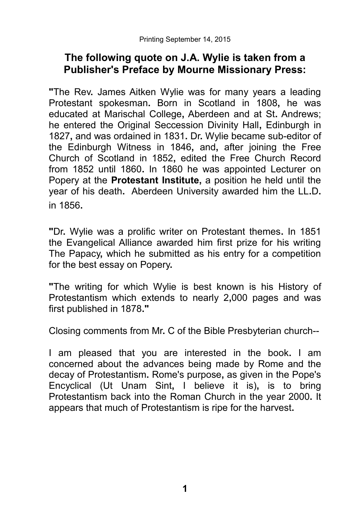#### **The following quote on J.A. Wylie is taken from a Publisher's Preface by Mourne Missionary Press:**

**"**The Rev**.** James Aitken Wylie was for many years a leading Protestant spokesman**.** Born in Scotland in 1808**,** he was educated at Marischal College**,** Aberdeen and at St**.** Andrews; he entered the Original Seccession Divinity Hall**,** Edinburgh in 1827**,** and was ordained in 1831**.** Dr**.** Wylie became sub-editor of the Edinburgh Witness in 1846**,** and**,** after joining the Free Church of Scotland in 1852**,** edited the Free Church Record from 1852 until 1860**.** In 1860 he was appointed Lecturer on Popery at the **Protestant Institute,** a position he held until the year of his death**.** Aberdeen University awarded him the LL**.**D**.** in 1856**.**

**"**Dr**.** Wylie was a prolific writer on Protestant themes**.** In 1851 the Evangelical Alliance awarded him first prize for his writing The Papacy**,** which he submitted as his entry for a competition for the best essay on Popery**.**

**"**The writing for which Wylie is best known is his History of Protestantism which extends to nearly 2**,**000 pages and was first published in 1878**."**

Closing comments from Mr**.** C of the Bible Presbyterian church--

I am pleased that you are interested in the book**.** I am concerned about the advances being made by Rome and the decay of Protestantism**.** Rome's purpose**,** as given in the Pope's Encyclical (Ut Unam Sint**,** I believe it is)**,** is to bring Protestantism back into the Roman Church in the year 2000**.** It appears that much of Protestantism is ripe for the harvest**.**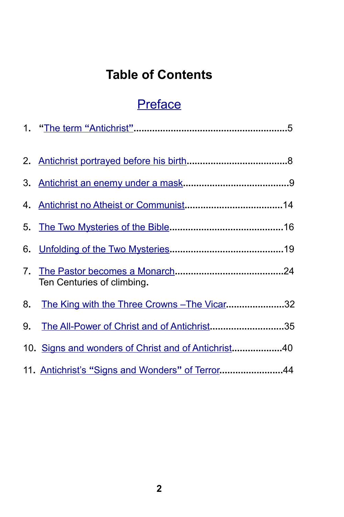## **Table of Contents**

## <span id="page-1-9"></span><span id="page-1-8"></span><span id="page-1-7"></span><span id="page-1-6"></span><span id="page-1-5"></span><span id="page-1-2"></span><span id="page-1-1"></span><span id="page-1-0"></span>**[Preface](#page-3-0)**

<span id="page-1-4"></span><span id="page-1-3"></span>

| Ten Centuries of climbing.                          |  |
|-----------------------------------------------------|--|
| 8. The King with the Three Crowns - The Vicar32     |  |
| 9. The All-Power of Christ and of Antichrist35      |  |
| 10. Signs and wonders of Christ and of Antichrist40 |  |
| 11. Antichrist's "Signs and Wonders" of Terror44    |  |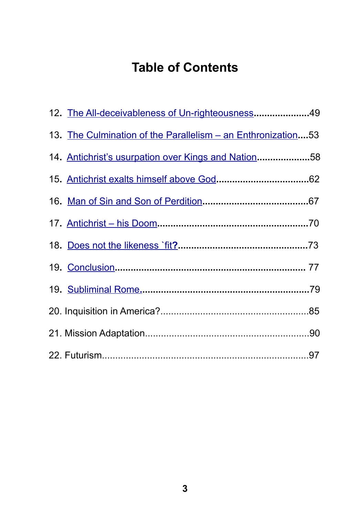# <span id="page-2-7"></span><span id="page-2-6"></span><span id="page-2-5"></span><span id="page-2-4"></span><span id="page-2-3"></span>**Table of Contents**

<span id="page-2-2"></span><span id="page-2-1"></span><span id="page-2-0"></span>

| 12. The All-deceivableness of Un-righteousness49             |  |
|--------------------------------------------------------------|--|
| 13. The Culmination of the Parallelism - an Enthronization53 |  |
| 14. Antichrist's usurpation over Kings and Nation58          |  |
|                                                              |  |
|                                                              |  |
|                                                              |  |
|                                                              |  |
|                                                              |  |
|                                                              |  |
|                                                              |  |
|                                                              |  |
|                                                              |  |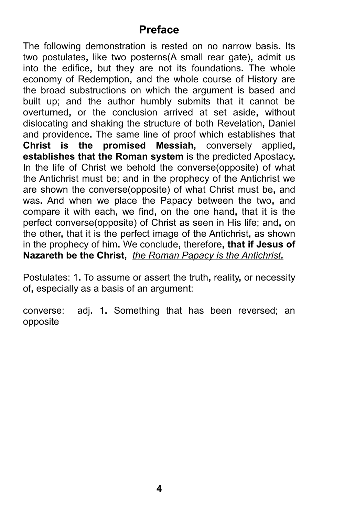## <span id="page-3-0"></span>**Preface**

The following demonstration is rested on no narrow basis**.** Its two postulates**,** like two posterns(A small rear gate)**,** admit us into the edifice**,** but they are not its foundations**.** The whole economy of Redemption**,** and the whole course of History are the broad substructions on which the argument is based and built up; and the author humbly submits that it cannot be overturned**,** or the conclusion arrived at set aside**,** without dislocating and shaking the structure of both Revelation**,** Daniel and providence**.** The same line of proof which establishes that **Christ is the promised Messiah,** conversely applied**, establishes that the Roman system** is the predicted Apostacy**.** In the life of Christ we behold the converse(opposite) of what the Antichrist must be; and in the prophecy of the Antichrist we are shown the converse(opposite) of what Christ must be**,** and was**.** And when we place the Papacy between the two**,** and compare it with each**,** we find**,** on the one hand**,** that it is the perfect converse(opposite) of Christ as seen in His life; and**,** on the other**,** that it is the perfect image of the Antichrist**,** as shown in the prophecy of him**.** We conclude**,** therefore**, that if Jesus of Nazareth be the Christ,** *the Roman Papacy is the Antichrist.*

Postulates: 1**.** To assume or assert the truth**,** reality**,** or necessity of**,** especially as a basis of an argument:

converse: adj**.** 1**.** Something that has been reversed; an opposite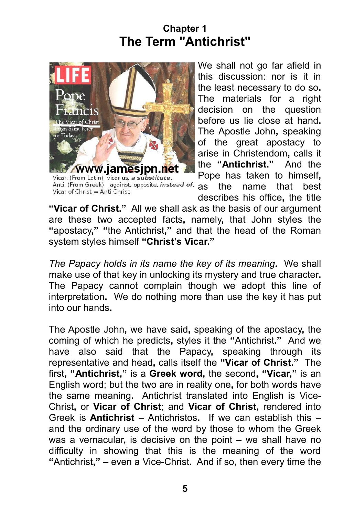### **Chapter 1 The Term "Antichrist"**



Vicar: (From Lauri) Vicarius, a Substitute,<br>Anti: (From Greek) against, opposite, *instead of*, **as** the name that best Vicar of Christ = Anti Christ

We shall not go far afield in this discussion: nor is it in the least necessary to do so**.** The materials for a right decision on the question before us lie close at hand**.** The Apostle John**,** speaking of the great apostacy to arise in Christendom**,** calls it the **"Antichrist."** And the Pope has taken to himself**,** describes his office**,** the title

**"Vicar of Christ."** All we shall ask as the basis of our argument are these two accepted facts**,** namely**,** that John styles the **"**apostacy**," "**the Antichrist**,"** and that the head of the Roman system styles himself **"Christ's Vicar."**

*The Papacy holds in its name the key of its meaning.* We shall make use of that key in unlocking its mystery and true character**.** The Papacy cannot complain though we adopt this line of interpretation**.** We do nothing more than use the key it has put into our hands**.**

The Apostle John**,** we have said**,** speaking of the apostacy**,** the coming of which he predicts**,** styles it the **"**Antichrist**."** And we have also said that the Papacy**,** speaking through its representative and head**,** calls itself the **"Vicar of Christ."** The first**, "Antichrist,"** is a **Greek word,** the second**, "Vicar,"** is an English word; but the two are in reality one**,** for both words have the same meaning**.** Antichrist translated into English is Vice-Christ**,** or **Vicar of Christ**; and **Vicar of Christ,** rendered into Greek is **Antichrist** – Antichristos**.** If we can establish this – and the ordinary use of the word by those to whom the Greek was a vernacular**,** is decisive on the point – we shall have no difficulty in showing that this is the meaning of the word **"**Antichrist**,"** – even a Vice-Christ**.** And if so**,** then every time the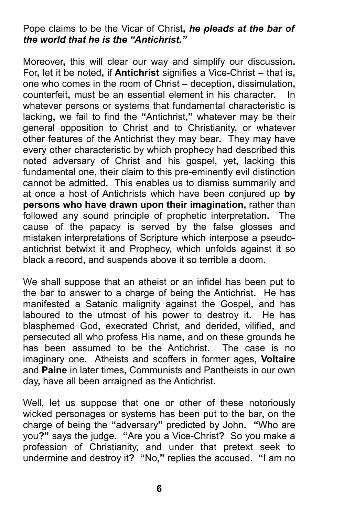#### Pope claims to be the Vicar of Christ**,** *he pleads at the bar of the world that he is the "Antichrist."*

Moreover**,** this will clear our way and simplify our discussion**.** For**,** let it be noted**,** if **Antichrist** signifies a Vice-Christ – that is**,** one who comes in the room of Christ – deception**,** dissimulation**,** counterfeit, must be an essential element in his character. whatever persons or systems that fundamental characteristic is lacking**,** we fail to find the **"**Antichrist**,"** whatever may be their general opposition to Christ and to Christianity**,** or whatever other features of the Antichrist they may bear**.** They may have every other characteristic by which prophecy had described this noted adversary of Christ and his gospel**,** yet**,** lacking this fundamental one**,** their claim to this pre-eminently evil distinction cannot be admitted**.** This enables us to dismiss summarily and at once a host of Antichrists which have been conjured up **by persons who have drawn upon their imagination,** rather than followed any sound principle of prophetic interpretation**.** The cause of the papacy is served by the false glosses and mistaken interpretations of Scripture which interpose a pseudoantichrist betwixt it and Prophecy**,** which unfolds against it so black a record**,** and suspends above it so terrible a doom**.**

We shall suppose that an atheist or an infidel has been put to the bar to answer to a charge of being the Antichrist**.** He has manifested a Satanic malignity against the Gospel**,** and has laboured to the utmost of his power to destroy it**.** He has blasphemed God**,** execrated Christ**,** and derided**,** vilified**,** and persecuted all who profess His name**,** and on these grounds he has been assumed to be the Antichrist**.** The case is no imaginary one**.** Atheists and scoffers in former ages**, Voltaire** and **Paine** in later times**,** Communists and Pantheists in our own day**,** have all been arraigned as the Antichrist**.**

Well**,** let us suppose that one or other of these notoriously wicked personages or systems has been put to the bar**,** on the charge of being the **"**adversary**"** predicted by John**. "**Who are you**?"** says the judge**. "**Are you a Vice-Christ**?** So you make a profession of Christianity**,** and under that pretext seek to undermine and destroy it**? "**No**,"** replies the accused**. "**I am no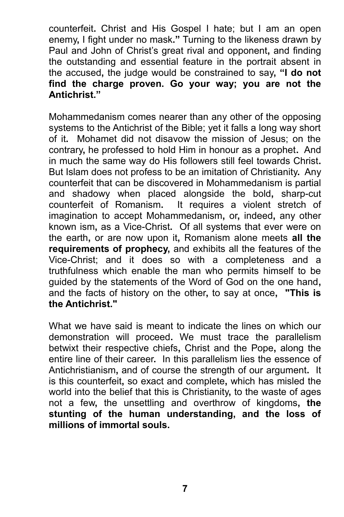counterfeit**.** Christ and His Gospel I hate; but I am an open enemy**,** I fight under no mask**."** Turning to the likeness drawn by Paul and John of Christ's great rival and opponent**,** and finding the outstanding and essential feature in the portrait absent in the accused**,** the judge would be constrained to say**, "I do not find the charge proven. Go your way; you are not the Antichrist."**

Mohammedanism comes nearer than any other of the opposing systems to the Antichrist of the Bible; yet it falls a long way short of it**.** Mohamet did not disavow the mission of Jesus; on the contrary**,** he professed to hold Him in honour as a prophet**.** And in much the same way do His followers still feel towards Christ**.** But Islam does not profess to be an imitation of Christianity**.** Any counterfeit that can be discovered in Mohammedanism is partial and shadowy when placed alongside the bold**,** sharp-cut counterfeit of Romanism**.** It requires a violent stretch of imagination to accept Mohammedanism**,** or**,** indeed**,** any other known ism**,** as a Vice-Christ**.** Of all systems that ever were on the earth**,** or are now upon it**,** Romanism alone meets **all the requirements of prophecy,** and exhibits all the features of the Vice-Christ; and it does so with a completeness and a truthfulness which enable the man who permits himself to be guided by the statements of the Word of God on the one hand**,** and the facts of history on the other**,** to say at once**, "This is the Antichrist."**

What we have said is meant to indicate the lines on which our demonstration will proceed**.** We must trace the parallelism betwixt their respective chiefs**,** Christ and the Pope**,** along the entire line of their career**.** In this parallelism lies the essence of Antichristianism**,** and of course the strength of our argument**.** It is this counterfeit**,** so exact and complete**,** which has misled the world into the belief that this is Christianity**,** to the waste of ages not a few**,** the unsettling and overthrow of kingdoms**, the stunting of the human understanding, and the loss of millions of immortal souls.**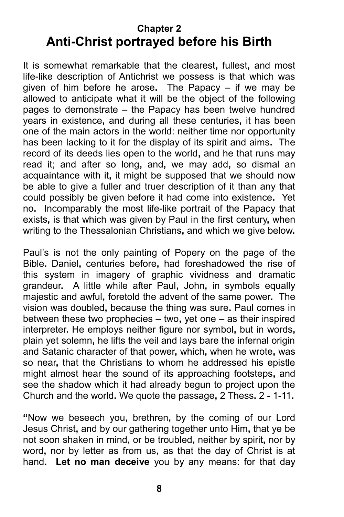### **Chapter 2 Anti-Christ portrayed before his Birth**

It is somewhat remarkable that the clearest**,** fullest**,** and most life-like description of Antichrist we possess is that which was given of him before he arose**.** The Papacy – if we may be allowed to anticipate what it will be the object of the following pages to demonstrate – the Papacy has been twelve hundred years in existence**,** and during all these centuries**,** it has been one of the main actors in the world: neither time nor opportunity has been lacking to it for the display of its spirit and aims**.** The record of its deeds lies open to the world**,** and he that runs may read it; and after so long**,** and**,** we may add**,** so dismal an acquaintance with it**,** it might be supposed that we should now be able to give a fuller and truer description of it than any that could possibly be given before it had come into existence**.** Yet no**.** Incomparably the most life-like portrait of the Papacy that exists**,** is that which was given by Paul in the first century**,** when writing to the Thessalonian Christians**,** and which we give below**.**

Paul's is not the only painting of Popery on the page of the Bible**.** Daniel**,** centuries before**,** had foreshadowed the rise of this system in imagery of graphic vividness and dramatic grandeur**.** A little while after Paul**,** John**,** in symbols equally majestic and awful**,** foretold the advent of the same power**.** The vision was doubled**,** because the thing was sure**.** Paul comes in between these two prophecies – two**,** yet one – as their inspired interpreter**.** He employs neither figure nor symbol**,** but in words**,** plain yet solemn**,** he lifts the veil and lays bare the infernal origin and Satanic character of that power**,** which**,** when he wrote**,** was so near**,** that the Christians to whom he addressed his epistle might almost hear the sound of its approaching footsteps**,** and see the shadow which it had already begun to project upon the Church and the world**.** We quote the passage**,** 2 Thess**.** 2 - 1-11**.**

**"**Now we beseech you**,** brethren**,** by the coming of our Lord Jesus Christ**,** and by our gathering together unto Him**,** that ye be not soon shaken in mind**,** or be troubled**,** neither by spirit**,** nor by word**,** nor by letter as from us**,** as that the day of Christ is at hand**. Let no man deceive** you by any means: for that day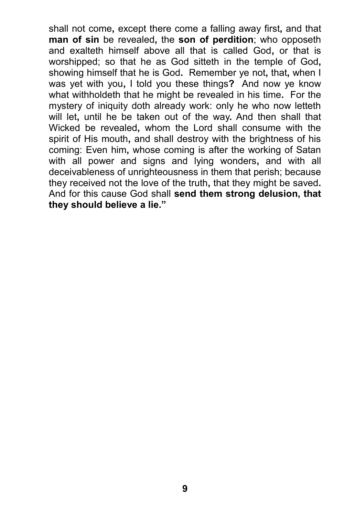<span id="page-8-0"></span>shall not come**,** except there come a falling away first**,** and that **man of sin** be revealed**,** the **son of perdition**; who opposeth and exalteth himself above all that is called God**,** or that is worshipped; so that he as God sitteth in the temple of God**,** showing himself that he is God**.** Remember ye not**,** that**,** when I was yet with you**,** I told you these things**?** And now ye know what withholdeth that he might be revealed in his time**.** For the mystery of iniquity doth already work: only he who now letteth will let**,** until he be taken out of the way**.** And then shall that Wicked be revealed**,** whom the Lord shall consume with the spirit of His mouth**,** and shall destroy with the brightness of his coming: Even him**,** whose coming is after the working of Satan with all power and signs and lying wonders**,** and with all deceivableness of unrighteousness in them that perish; because they received not the love of the truth**,** that they might be saved**.** And for this cause God shall **send them strong delusion, that they should believe a lie."**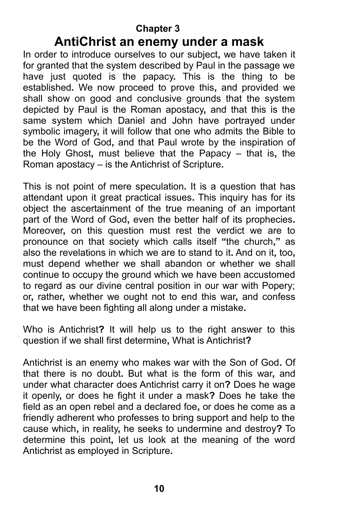#### **Chapter 3**

## **AntiChrist an enemy under a mask**

In order to introduce ourselves to our subject**,** we have taken it for granted that the system described by Paul in the passage we have just quoted is the papacy**.** This is the thing to be established**.** We now proceed to prove this**,** and provided we shall show on good and conclusive grounds that the system depicted by Paul is the Roman apostacy**,** and that this is the same system which Daniel and John have portrayed under symbolic imagery**,** it will follow that one who admits the Bible to be the Word of God**,** and that Paul wrote by the inspiration of the Holy Ghost**,** must believe that the Papacy – that is**,** the Roman apostacy – is the Antichrist of Scripture**.**

This is not point of mere speculation**.** It is a question that has attendant upon it great practical issues**.** This inquiry has for its object the ascertainment of the true meaning of an important part of the Word of God**,** even the better half of its prophecies**.** Moreover**,** on this question must rest the verdict we are to pronounce on that society which calls itself **"**the church**,"** as also the revelations in which we are to stand to it**.** And on it**,** too**,** must depend whether we shall abandon or whether we shall continue to occupy the ground which we have been accustomed to regard as our divine central position in our war with Popery; or**,** rather**,** whether we ought not to end this war**,** and confess that we have been fighting all along under a mistake**.**

Who is Antichrist**?** It will help us to the right answer to this question if we shall first determine**,** What is Antichrist**?**

Antichrist is an enemy who makes war with the Son of God**.** Of that there is no doubt**.** But what is the form of this war**,** and under what character does Antichrist carry it on**?** Does he wage it openly**,** or does he fight it under a mask**?** Does he take the field as an open rebel and a declared foe**,** or does he come as a friendly adherent who professes to bring support and help to the cause which**,** in reality**,** he seeks to undermine and destroy**?** To determine this point**,** let us look at the meaning of the word Antichrist as employed in Scripture**.**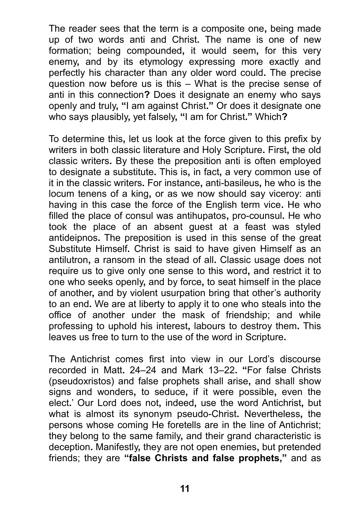The reader sees that the term is a composite one**,** being made up of two words anti and Christ**.** The name is one of new formation; being compounded**,** it would seem**,** for this very enemy**,** and by its etymology expressing more exactly and perfectly his character than any older word could**.** The precise question now before us is this – What is the precise sense of anti in this connection**?** Does it designate an enemy who says openly and truly**, "**I am against Christ**."** Or does it designate one who says plausibly**,** yet falsely**, "**I am for Christ**."** Which**?**

To determine this**,** let us look at the force given to this prefix by writers in both classic literature and Holy Scripture**.** First**,** the old classic writers**.** By these the preposition anti is often employed to designate a substitute**.** This is**,** in fact**,** a very common use of it in the classic writers**.** For instance**,** anti-basileus**,** he who is the locum tenens of a king**,** or as we now should say viceroy: anti having in this case the force of the English term vice**.** He who filled the place of consul was antihupatos**,** pro-counsul**.** He who took the place of an absent guest at a feast was styled antideipnos**.** The preposition is used in this sense of the great Substitute Himself**.** Christ is said to have given Himself as an antilutron**,** a ransom in the stead of all**.** Classic usage does not require us to give only one sense to this word**,** and restrict it to one who seeks openly**,** and by force**,** to seat himself in the place of another**,** and by violent usurpation bring that other's authority to an end**.** We are at liberty to apply it to one who steals into the office of another under the mask of friendship; and while professing to uphold his interest**,** labours to destroy them**.** This leaves us free to turn to the use of the word in Scripture**.**

The Antichrist comes first into view in our Lord's discourse recorded in Matt**.** 24–24 and Mark 13–22**. "**For false Christs (pseudoxristos) and false prophets shall arise**,** and shall show signs and wonders**,** to seduce**,** if it were possible**,** even the elect**.**' Our Lord does not**,** indeed**,** use the word Antichrist**,** but what is almost its synonym pseudo-Christ**.** Nevertheless**,** the persons whose coming He foretells are in the line of Antichrist; they belong to the same family**,** and their grand characteristic is deception**.** Manifestly**,** they are not open enemies**,** but pretended friends; they are **"false Christs and false prophets,"** and as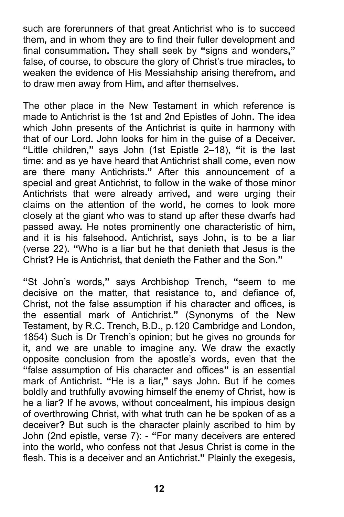such are forerunners of that great Antichrist who is to succeed them**,** and in whom they are to find their fuller development and final consummation**.** They shall seek by **"**signs and wonders**,"** false**,** of course**,** to obscure the glory of Christ's true miracles**,** to weaken the evidence of His Messiahship arising therefrom**,** and to draw men away from Him**,** and after themselves**.**

The other place in the New Testament in which reference is made to Antichrist is the 1st and 2nd Epistles of John**.** The idea which John presents of the Antichrist is quite in harmony with that of our Lord**.** John looks for him in the guise of a Deceiver**. "**Little children**,"** says John (1st Epistle 2–18)**, "**it is the last time: and as ye have heard that Antichrist shall come**,** even now are there many Antichrists**."** After this announcement of a special and great Antichrist**,** to follow in the wake of those minor Antichrists that were already arrived**,** and were urging their claims on the attention of the world**,** he comes to look more closely at the giant who was to stand up after these dwarfs had passed away**.** He notes prominently one characteristic of him**,** and it is his falsehood**.** Antichrist**,** says John**,** is to be a liar (verse 22)**. "**Who is a liar but he that denieth that Jesus is the Christ**?** He is Antichrist**,** that denieth the Father and the Son**."**

**"**St John's words**,"** says Archbishop Trench**, "**seem to me decisive on the matter**,** that resistance to**,** and defiance of**,** Christ**,** not the false assumption if his character and offices**,** is the essential mark of Antichrist**."** (Synonyms of the New Testament**,** by R**.**C**.** Trench**,** B**.**D**.,** p**.**120 Cambridge and London**,** 1854) Such is Dr Trench's opinion; but he gives no grounds for it**,** and we are unable to imagine any**.** We draw the exactly opposite conclusion from the apostle's words**,** even that the **"**false assumption of His character and offices**"** is an essential mark of Antichrist**. "**He is a liar**,"** says John**.** But if he comes boldly and truthfully avowing himself the enemy of Christ**,** how is he a liar**?** If he avows**,** without concealment**,** his impious design of overthrowing Christ**,** with what truth can he be spoken of as a deceiver**?** But such is the character plainly ascribed to him by John (2nd epistle**,** verse 7): - **"**For many deceivers are entered into the world**,** who confess not that Jesus Christ is come in the flesh**.** This is a deceiver and an Antichrist**."** Plainly the exegesis**,**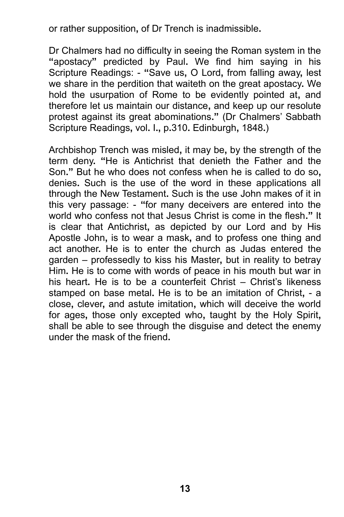or rather supposition**,** of Dr Trench is inadmissible**.**

Dr Chalmers had no difficulty in seeing the Roman system in the **"**apostacy**"** predicted by Paul**.** We find him saying in his Scripture Readings: - **"**Save us**,** O Lord**,** from falling away**,** lest we share in the perdition that waiteth on the great apostacy**.** We hold the usurpation of Rome to be evidently pointed at**,** and therefore let us maintain our distance**,** and keep up our resolute protest against its great abominations**."** (Dr Chalmers' Sabbath Scripture Readings**,** vol**.** I**.,** p**.**310**.** Edinburgh**,** 1848**.**)

<span id="page-12-0"></span>Archbishop Trench was misled**,** it may be**,** by the strength of the term deny**. "**He is Antichrist that denieth the Father and the Son**."** But he who does not confess when he is called to do so**,** denies**.** Such is the use of the word in these applications all through the New Testament**.** Such is the use John makes of it in this very passage: - **"**for many deceivers are entered into the world who confess not that Jesus Christ is come in the flesh**."** It is clear that Antichrist**,** as depicted by our Lord and by His Apostle John**,** is to wear a mask**,** and to profess one thing and act another**.** He is to enter the church as Judas entered the garden – professedly to kiss his Master**,** but in reality to betray Him**.** He is to come with words of peace in his mouth but war in his heart**.** He is to be a counterfeit Christ – Christ's likeness stamped on base metal**.** He is to be an imitation of Christ**,** - a close**,** clever**,** and astute imitation**,** which will deceive the world for ages**,** those only excepted who**,** taught by the Holy Spirit**,** shall be able to see through the disguise and detect the enemy under the mask of the friend**.**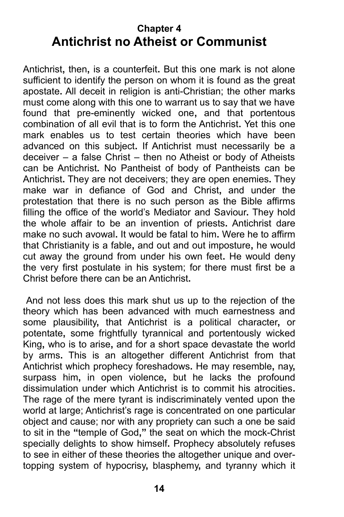#### **Chapter 4 Antichrist no Atheist or Communist**

Antichrist**,** then**,** is a counterfeit**.** But this one mark is not alone sufficient to identify the person on whom it is found as the great apostate**.** All deceit in religion is anti-Christian; the other marks must come along with this one to warrant us to say that we have found that pre-eminently wicked one**,** and that portentous combination of all evil that is to form the Antichrist**.** Yet this one mark enables us to test certain theories which have been advanced on this subject**.** If Antichrist must necessarily be a deceiver – a false Christ – then no Atheist or body of Atheists can be Antichrist**.** No Pantheist of body of Pantheists can be Antichrist**.** They are not deceivers; they are open enemies**.** They make war in defiance of God and Christ**,** and under the protestation that there is no such person as the Bible affirms filling the office of the world's Mediator and Saviour**.** They hold the whole affair to be an invention of priests**.** Antichrist dare make no such avowal**.** It would be fatal to him**.** Were he to affirm that Christianity is a fable**,** and out and out imposture**,** he would cut away the ground from under his own feet**.** He would deny the very first postulate in his system; for there must first be a Christ before there can be an Antichrist**.**

 And not less does this mark shut us up to the rejection of the theory which has been advanced with much earnestness and some plausibility**,** that Antichrist is a political character**,** or potentate**,** some frightfully tyrannical and portentously wicked King**,** who is to arise**,** and for a short space devastate the world by arms**.** This is an altogether different Antichrist from that Antichrist which prophecy foreshadows**.** He may resemble**,** nay**,** surpass him**,** in open violence**,** but he lacks the profound dissimulation under which Antichrist is to commit his atrocities**.** The rage of the mere tyrant is indiscriminately vented upon the world at large; Antichrist's rage is concentrated on one particular object and cause; nor with any propriety can such a one be said to sit in the **"**temple of God**,"** the seat on which the mock-Christ specially delights to show himself**.** Prophecy absolutely refuses to see in either of these theories the altogether unique and overtopping system of hypocrisy**,** blasphemy**,** and tyranny which it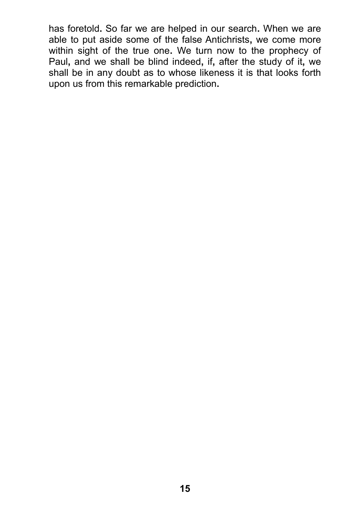has foretold**.** So far we are helped in our search**.** When we are able to put aside some of the false Antichrists**,** we come more within sight of the true one**.** We turn now to the prophecy of Paul**,** and we shall be blind indeed**,** if**,** after the study of it**,** we shall be in any doubt as to whose likeness it is that looks forth upon us from this remarkable prediction**.**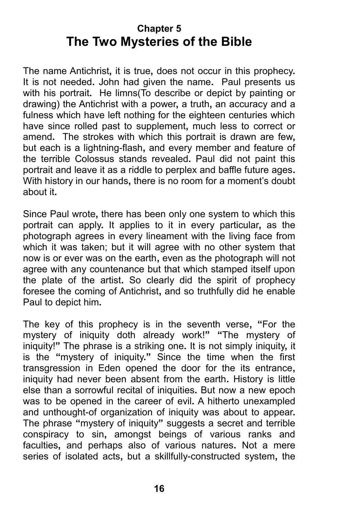#### **Chapter 5 The Two Mysteries of the Bible**

The name Antichrist**,** it is true**,** does not occur in this prophecy**.** It is not needed**.** John had given the name**.** Paul presents us with his portrait**.** He limns(To describe or depict by painting or drawing) the Antichrist with a power**,** a truth**,** an accuracy and a fulness which have left nothing for the eighteen centuries which have since rolled past to supplement**,** much less to correct or amend**.** The strokes with which this portrait is drawn are few**,** but each is a lightning-flash**,** and every member and feature of the terrible Colossus stands revealed**.** Paul did not paint this portrait and leave it as a riddle to perplex and baffle future ages**.** With history in our hands**,** there is no room for a moment's doubt about it**.**

Since Paul wrote**,** there has been only one system to which this portrait can apply**.** It applies to it in every particular**,** as the photograph agrees in every lineament with the living face from which it was taken; but it will agree with no other system that now is or ever was on the earth**,** even as the photograph will not agree with any countenance but that which stamped itself upon the plate of the artist**.** So clearly did the spirit of prophecy foresee the coming of Antichrist**,** and so truthfully did he enable Paul to depict him**.**

The key of this prophecy is in the seventh verse**, "**For the mystery of iniquity doth already work!**" "**The mystery of iniquity!**"** The phrase is a striking one**.** It is not simply iniquity**,** it is the **"**mystery of iniquity**."** Since the time when the first transgression in Eden opened the door for the its entrance**,** iniquity had never been absent from the earth**.** History is little else than a sorrowful recital of iniquities**.** But now a new epoch was to be opened in the career of evil**.** A hitherto unexampled and unthought-of organization of iniquity was about to appear**.** The phrase **"**mystery of iniquity**"** suggests a secret and terrible conspiracy to sin**,** amongst beings of various ranks and faculties**,** and perhaps also of various natures**.** Not a mere series of isolated acts**,** but a skillfully-constructed system**,** the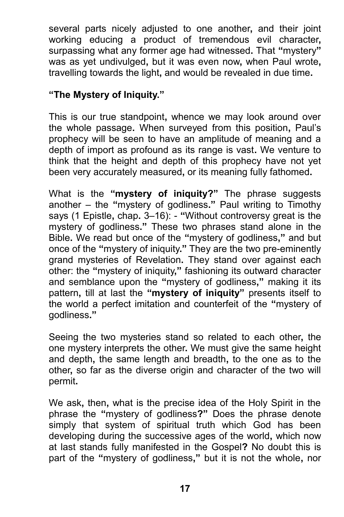several parts nicely adjusted to one another**,** and their joint working educing a product of tremendous evil character**,** surpassing what any former age had witnessed**.** That **"**mystery**"** was as yet undivulged**,** but it was even now**,** when Paul wrote**,** travelling towards the light**,** and would be revealed in due time**.**

#### **"The Mystery of Iniquity."**

This is our true standpoint**,** whence we may look around over the whole passage**.** When surveyed from this position**,** Paul's prophecy will be seen to have an amplitude of meaning and a depth of import as profound as its range is vast**.** We venture to think that the height and depth of this prophecy have not yet been very accurately measured**,** or its meaning fully fathomed**.**

What is the **"mystery of iniquity?"** The phrase suggests another – the **"**mystery of godliness**."** Paul writing to Timothy says (1 Epistle**,** chap**.** 3–16): - **"**Without controversy great is the mystery of godliness**."** These two phrases stand alone in the Bible**.** We read but once of the **"**mystery of godliness**,"** and but once of the **"**mystery of iniquity**."** They are the two pre-eminently grand mysteries of Revelation**.** They stand over against each other: the **"**mystery of iniquity**,"** fashioning its outward character and semblance upon the **"**mystery of godliness**,"** making it its pattern**,** till at last the **"mystery of iniquity"** presents itself to the world a perfect imitation and counterfeit of the **"**mystery of godliness**."**

Seeing the two mysteries stand so related to each other**,** the one mystery interprets the other**.** We must give the same height and depth**,** the same length and breadth**,** to the one as to the other**,** so far as the diverse origin and character of the two will permit**.**

We ask**,** then**,** what is the precise idea of the Holy Spirit in the phrase the **"**mystery of godliness**?"** Does the phrase denote simply that system of spiritual truth which God has been developing during the successive ages of the world**,** which now at last stands fully manifested in the Gospel**?** No doubt this is part of the **"**mystery of godliness**,"** but it is not the whole**,** nor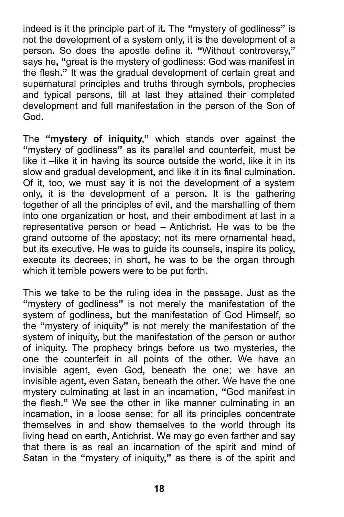indeed is it the principle part of it**.** The **"**mystery of godliness**"** is not the development of a system only**,** it is the development of a person**.** So does the apostle define it**. "**Without controversy**,"** says he**, "**great is the mystery of godliness: God was manifest in the flesh**."** It was the gradual development of certain great and supernatural principles and truths through symbols**,** prophecies and typical persons**,** till at last they attained their completed development and full manifestation in the person of the Son of God**.**

The **"mystery of iniquity,"** which stands over against the **"**mystery of godliness**"** as its parallel and counterfeit**,** must be like it –like it in having its source outside the world**,** like it in its slow and gradual development**,** and like it in its final culmination**.** Of it**,** too**,** we must say it is not the development of a system only**,** it is the development of a person**.** It is the gathering together of all the principles of evil**,** and the marshalling of them into one organization or host**,** and their embodiment at last in a representative person or head – Antichrist**.** He was to be the grand outcome of the apostacy; not its mere ornamental head**,** but its executive**.** He was to guide its counsels**,** inspire its policy**,** execute its decrees; in short**,** he was to be the organ through which it terrible powers were to be put forth**.**

This we take to be the ruling idea in the passage**.** Just as the **"**mystery of godliness**"** is not merely the manifestation of the system of godliness**,** but the manifestation of God Himself**,** so the **"**mystery of iniquity**"** is not merely the manifestation of the system of iniquity**,** but the manifestation of the person or author of iniquity**.** The prophecy brings before us two mysteries**,** the one the counterfeit in all points of the other**.** We have an invisible agent**,** even God**,** beneath the one; we have an invisible agent**,** even Satan**,** beneath the other**.** We have the one mystery culminating at last in an incarnation**, "**God manifest in the flesh**."** We see the other in like manner culminating in an incarnation**,** in a loose sense; for all its principles concentrate themselves in and show themselves to the world through its living head on earth**,** Antichrist**.** We may go even farther and say that there is as real an incarnation of the spirit and mind of Satan in the **"**mystery of iniquity**,"** as there is of the spirit and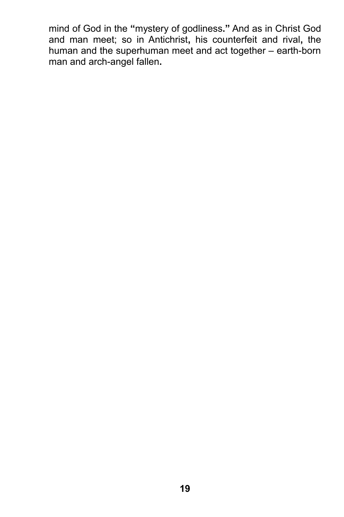mind of God in the **"**mystery of godliness**."** And as in Christ God and man meet; so in Antichrist**,** his counterfeit and rival**,** the human and the superhuman meet and act together – earth-born man and arch-angel fallen**.**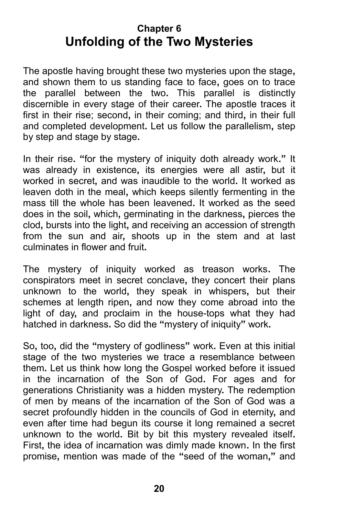### **Chapter 6 Unfolding of the Two Mysteries**

The apostle having brought these two mysteries upon the stage**,** and shown them to us standing face to face**,** goes on to trace the parallel between the two**.** This parallel is distinctly discernible in every stage of their career**.** The apostle traces it first in their rise; second**,** in their coming; and third**,** in their full and completed development**.** Let us follow the parallelism**,** step by step and stage by stage**.**

In their rise**. "**for the mystery of iniquity doth already work**."** It was already in existence**,** its energies were all astir**,** but it worked in secret**,** and was inaudible to the world**.** It worked as leaven doth in the meal**,** which keeps silently fermenting in the mass till the whole has been leavened**.** It worked as the seed does in the soil**,** which**,** germinating in the darkness**,** pierces the clod**,** bursts into the light**,** and receiving an accession of strength from the sun and air**,** shoots up in the stem and at last culminates in flower and fruit**.**

The mystery of iniquity worked as treason works**.** The conspirators meet in secret conclave**,** they concert their plans unknown to the world**,** they speak in whispers**,** but their schemes at length ripen**,** and now they come abroad into the light of day**,** and proclaim in the house-tops what they had hatched in darkness**.** So did the **"**mystery of iniquity**"** work**.**

So**,** too**,** did the **"**mystery of godliness**"** work**.** Even at this initial stage of the two mysteries we trace a resemblance between them**.** Let us think how long the Gospel worked before it issued in the incarnation of the Son of God**.** For ages and for generations Christianity was a hidden mystery**.** The redemption of men by means of the incarnation of the Son of God was a secret profoundly hidden in the councils of God in eternity**,** and even after time had begun its course it long remained a secret unknown to the world**.** Bit by bit this mystery revealed itself**.** First**,** the idea of incarnation was dimly made known**.** In the first promise**,** mention was made of the **"**seed of the woman**,"** and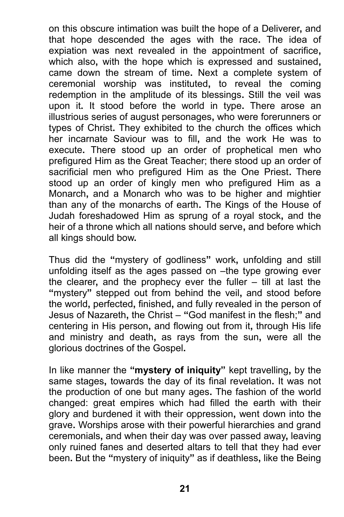on this obscure intimation was built the hope of a Deliverer**,** and that hope descended the ages with the race**.** The idea of expiation was next revealed in the appointment of sacrifice**,** which also**,** with the hope which is expressed and sustained**,** came down the stream of time**.** Next a complete system of ceremonial worship was instituted**,** to reveal the coming redemption in the amplitude of its blessings**.** Still the veil was upon it**.** It stood before the world in type**.** There arose an illustrious series of august personages**,** who were forerunners or types of Christ**.** They exhibited to the church the offices which her incarnate Saviour was to fill**,** and the work He was to execute**.** There stood up an order of prophetical men who prefigured Him as the Great Teacher; there stood up an order of sacrificial men who prefigured Him as the One Priest**.** There stood up an order of kingly men who prefigured Him as a Monarch**,** and a Monarch who was to be higher and mightier than any of the monarchs of earth**.** The Kings of the House of Judah foreshadowed Him as sprung of a royal stock**,** and the heir of a throne which all nations should serve**,** and before which all kings should bow**.**

Thus did the **"**mystery of godliness**"** work**,** unfolding and still unfolding itself as the ages passed on –the type growing ever the clearer**,** and the prophecy ever the fuller – till at last the **"**mystery**"** stepped out from behind the veil**,** and stood before the world**,** perfected**,** finished**,** and fully revealed in the person of Jesus of Nazareth**,** the Christ – **"**God manifest in the flesh;**"** and centering in His person**,** and flowing out from it**,** through His life and ministry and death**,** as rays from the sun**,** were all the glorious doctrines of the Gospel**.**

In like manner the **"mystery of iniquity"** kept travelling**,** by the same stages**,** towards the day of its final revelation**.** It was not the production of one but many ages**.** The fashion of the world changed: great empires which had filled the earth with their glory and burdened it with their oppression**,** went down into the grave**.** Worships arose with their powerful hierarchies and grand ceremonials**,** and when their day was over passed away**,** leaving only ruined fanes and deserted altars to tell that they had ever been**.** But the **"**mystery of iniquity**"** as if deathless**,** like the Being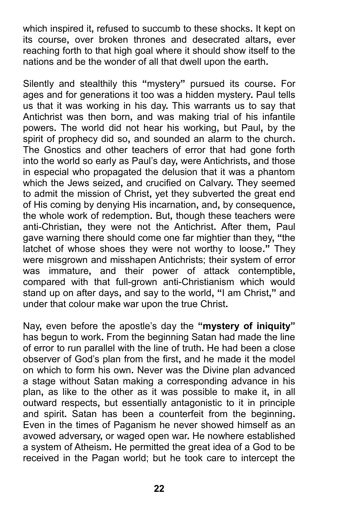which inspired it**,** refused to succumb to these shocks**.** It kept on its course**,** over broken thrones and desecrated altars**,** ever reaching forth to that high goal where it should show itself to the nations and be the wonder of all that dwell upon the earth**.**

Silently and stealthily this **"**mystery**"** pursued its course**.** For ages and for generations it too was a hidden mystery**.** Paul tells us that it was working in his day**.** This warrants us to say that Antichrist was then born**,** and was making trial of his infantile powers**.** The world did not hear his working**,** but Paul**,** by the spirit of prophecy did so**,** and sounded an alarm to the church**.** The Gnostics and other teachers of error that had gone forth into the world so early as Paul's day**,** were Antichrists**,** and those in especial who propagated the delusion that it was a phantom which the Jews seized**,** and crucified on Calvary**.** They seemed to admit the mission of Christ**,** yet they subverted the great end of His coming by denying His incarnation**,** and**,** by consequence**,** the whole work of redemption**.** But**,** though these teachers were anti-Christian**,** they were not the Antichrist**.** After them**,** Paul gave warning there should come one far mightier than they**, "**the latchet of whose shoes they were not worthy to loose**."** They were misgrown and misshapen Antichrists; their system of error was immature**,** and their power of attack contemptible**,** compared with that full-grown anti-Christianism which would stand up on after days**,** and say to the world**, "**I am Christ**,"** and under that colour make war upon the true Christ**.**

Nay**,** even before the apostle's day the **"mystery of iniquity"** has begun to work**.** From the beginning Satan had made the line of error to run parallel with the line of truth**.** He had been a close observer of God's plan from the first**,** and he made it the model on which to form his own**.** Never was the Divine plan advanced a stage without Satan making a corresponding advance in his plan**,** as like to the other as it was possible to make it**,** in all outward respects**,** but essentially antagonistic to it in principle and spirit**.** Satan has been a counterfeit from the beginning**.** Even in the times of Paganism he never showed himself as an avowed adversary**,** or waged open war**.** He nowhere established a system of Atheism**.** He permitted the great idea of a God to be received in the Pagan world; but he took care to intercept the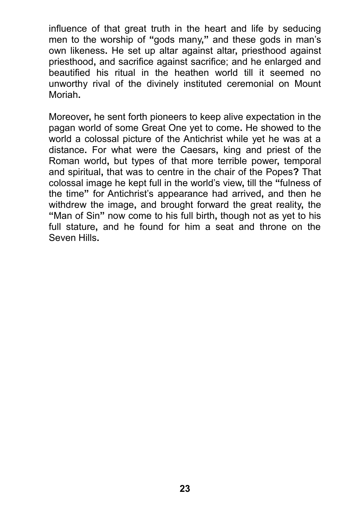influence of that great truth in the heart and life by seducing men to the worship of **"**gods many**,"** and these gods in man's own likeness**.** He set up altar against altar**,** priesthood against priesthood**,** and sacrifice against sacrifice; and he enlarged and beautified his ritual in the heathen world till it seemed no unworthy rival of the divinely instituted ceremonial on Mount Moriah**.**

Moreover**,** he sent forth pioneers to keep alive expectation in the pagan world of some Great One yet to come**.** He showed to the world a colossal picture of the Antichrist while yet he was at a distance**.** For what were the Caesars**,** king and priest of the Roman world**,** but types of that more terrible power**,** temporal and spiritual**,** that was to centre in the chair of the Popes**?** That colossal image he kept full in the world's view**,** till the **"**fulness of the time**"** for Antichrist's appearance had arrived**,** and then he withdrew the image**,** and brought forward the great reality**,** the **"**Man of Sin**"** now come to his full birth**,** though not as yet to his full stature**,** and he found for him a seat and throne on the Seven Hills**.**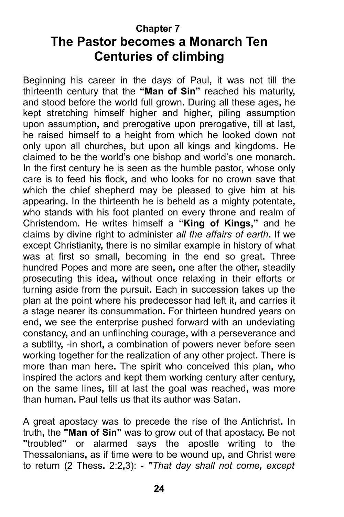## **Chapter 7 The Pastor becomes a Monarch Ten Centuries of climbing**

Beginning his career in the days of Paul**,** it was not till the thirteenth century that the **"Man of Sin"** reached his maturity**,** and stood before the world full grown**.** During all these ages**,** he kept stretching himself higher and higher**,** piling assumption upon assumption**,** and prerogative upon prerogative**,** till at last**,** he raised himself to a height from which he looked down not only upon all churches**,** but upon all kings and kingdoms**.** He claimed to be the world's one bishop and world's one monarch**.** In the first century he is seen as the humble pastor**,** whose only care is to feed his flock**,** and who looks for no crown save that which the chief shepherd may be pleased to give him at his appearing**.** In the thirteenth he is beheld as a mighty potentate**,** who stands with his foot planted on every throne and realm of Christendom**.** He writes himself a **"King of Kings,"** and he claims by divine right to administer *all the affairs of earth***.** If we except Christianity**,** there is no similar example in history of what was at first so small**,** becoming in the end so great**.** Three hundred Popes and more are seen**,** one after the other**,** steadily prosecuting this idea**,** without once relaxing in their efforts or turning aside from the pursuit**.** Each in succession takes up the plan at the point where his predecessor had left it**,** and carries it a stage nearer its consummation**.** For thirteen hundred years on end**,** we see the enterprise pushed forward with an undeviating constancy**,** and an unflinching courage**,** with a perseverance and a subtilty**,** -in short**,** a combination of powers never before seen working together for the realization of any other project**.** There is more than man here**.** The spirit who conceived this plan**,** who inspired the actors and kept them working century after century**,** on the same lines**,** till at last the goal was reached**,** was more than human**.** Paul tells us that its author was Satan**.**

A great apostacy was to precede the rise of the Antichrist**.** In truth**,** the **"Man of Sin"** was to grow out of that apostacy**.** Be not **"**troubled**"** or alarmed says the apostle writing to the Thessalonians**,** as if time were to be wound up**,** and Christ were to return (2 Thess**.** 2:2**,**3): - *"That day shall not come, except*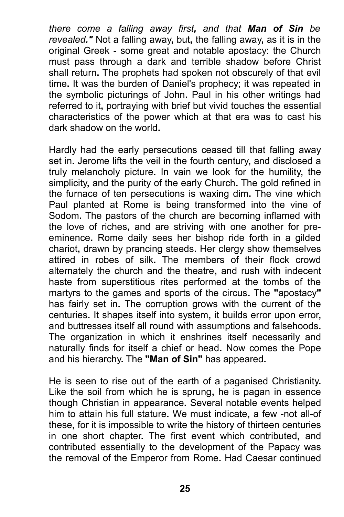*there come a falling away first, and that Man of Sin be revealed."* Not a falling away**,** but**,** the falling away**,** as it is in the original Greek - some great and notable apostacy: the Church must pass through a dark and terrible shadow before Christ shall return**.** The prophets had spoken not obscurely of that evil time**.** It was the burden of Daniel's prophecy; it was repeated in the symbolic picturings of John**.** Paul in his other writings had referred to it**,** portraying with brief but vivid touches the essential characteristics of the power which at that era was to cast his dark shadow on the world**.**

Hardly had the early persecutions ceased till that falling away set in**.** Jerome lifts the veil in the fourth century**,** and disclosed a truly melancholy picture**.** In vain we look for the humility**,** the simplicity**,** and the purity of the early Church**.** The gold refined in the furnace of ten persecutions is waxing dim**.** The vine which Paul planted at Rome is being transformed into the vine of Sodom**.** The pastors of the church are becoming inflamed with the love of riches**,** and are striving with one another for preeminence**.** Rome daily sees her bishop ride forth in a gilded chariot**,** drawn by prancing steeds**.** Her clergy show themselves attired in robes of silk**.** The members of their flock crowd alternately the church and the theatre**,** and rush with indecent haste from superstitious rites performed at the tombs of the martyrs to the games and sports of the circus**.** The **"**apostacy**"** has fairly set in**.** The corruption grows with the current of the centuries**.** It shapes itself into system**,** it builds error upon error**,** and buttresses itself all round with assumptions and falsehoods**.** The organization in which it enshrines itself necessarily and naturally finds for itself a chief or head**.** Now comes the Pope and his hierarchy**.** The **"Man of Sin"** has appeared**.**

He is seen to rise out of the earth of a paganised Christianity**.** Like the soil from which he is sprung**,** he is pagan in essence though Christian in appearance**.** Several notable events helped him to attain his full stature**.** We must indicate**,** a few -not all-of these**,** for it is impossible to write the history of thirteen centuries in one short chapter**.** The first event which contributed**,** and contributed essentially to the development of the Papacy was the removal of the Emperor from Rome**.** Had Caesar continued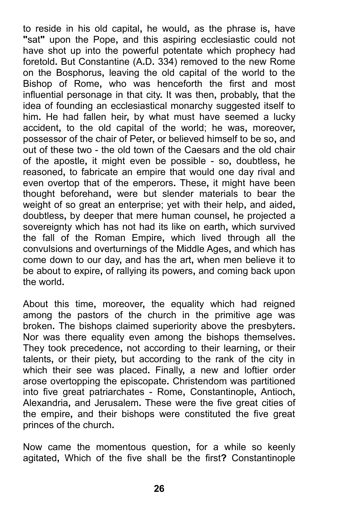to reside in his old capital**,** he would**,** as the phrase is**,** have **"**sat**"** upon the Pope**,** and this aspiring ecclesiastic could not have shot up into the powerful potentate which prophecy had foretold**.** But Constantine (A**.**D**.** 334) removed to the new Rome on the Bosphorus**,** leaving the old capital of the world to the Bishop of Rome**,** who was henceforth the first and most influential personage in that city**.** It was then**,** probably**,** that the idea of founding an ecclesiastical monarchy suggested itself to him**.** He had fallen heir**,** by what must have seemed a lucky accident**,** to the old capital of the world; he was**,** moreover**,** possessor of the chair of Peter**,** or believed himself to be so**,** and out of these two - the old town of the Caesars and the old chair of the apostle**,** it might even be possible - so**,** doubtless**,** he reasoned**,** to fabricate an empire that would one day rival and even overtop that of the emperors**.** These**,** it might have been thought beforehand**,** were but slender materials to bear the weight of so great an enterprise; yet with their help**,** and aided**,** doubtless**,** by deeper that mere human counsel**,** he projected a sovereignty which has not had its like on earth**,** which survived the fall of the Roman Empire**,** which lived through all the convulsions and overturnings of the Middle Ages**,** and which has come down to our day**,** and has the art**,** when men believe it to be about to expire**,** of rallying its powers**,** and coming back upon the world**.**

About this time**,** moreover**,** the equality which had reigned among the pastors of the church in the primitive age was broken**.** The bishops claimed superiority above the presbyters**.** Nor was there equality even among the bishops themselves**.** They took precedence**,** not according to their learning**,** or their talents**,** or their piety**,** but according to the rank of the city in which their see was placed**.** Finally**,** a new and loftier order arose overtopping the episcopate**.** Christendom was partitioned into five great patriarchates - Rome**,** Constantinople**,** Antioch**,** Alexandria**,** and Jerusalem**.** These were the five great cities of the empire**,** and their bishops were constituted the five great princes of the church**.**

Now came the momentous question**,** for a while so keenly agitated**,** Which of the five shall be the first**?** Constantinople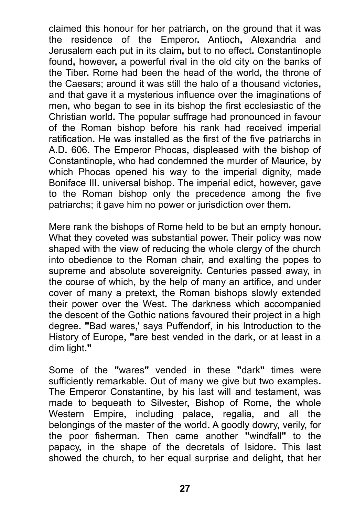claimed this honour for her patriarch**,** on the ground that it was the residence of the Emperor**.** Antioch**,** Alexandria and Jerusalem each put in its claim**,** but to no effect**.** Constantinople found**,** however**,** a powerful rival in the old city on the banks of the Tiber**.** Rome had been the head of the world**,** the throne of the Caesars; around it was still the halo of a thousand victories**,** and that gave it a mysterious influence over the imaginations of men**,** who began to see in its bishop the first ecclesiastic of the Christian world**.** The popular suffrage had pronounced in favour of the Roman bishop before his rank had received imperial ratification**.** He was installed as the first of the five patriarchs in A**.**D**.** 606**.** The Emperor Phocas**,** displeased with the bishop of Constantinople**,** who had condemned the murder of Maurice**,** by which Phocas opened his way to the imperial dignity**,** made Boniface III**.** universal bishop**.** The imperial edict**,** however**,** gave to the Roman bishop only the precedence among the five patriarchs; it gave him no power or jurisdiction over them**.**

Mere rank the bishops of Rome held to be but an empty honour**.** What they coveted was substantial power**.** Their policy was now shaped with the view of reducing the whole clergy of the church into obedience to the Roman chair**,** and exalting the popes to supreme and absolute sovereignity**.** Centuries passed away**,** in the course of which**,** by the help of many an artifice**,** and under cover of many a pretext**,** the Roman bishops slowly extended their power over the West**.** The darkness which accompanied the descent of the Gothic nations favoured their project in a high degree**. "**Bad wares**,**' says Puffendorf**,** in his Introduction to the History of Europe**, "**are best vended in the dark**,** or at least in a dim light**."**

Some of the **"**wares**"** vended in these **"**dark**"** times were sufficiently remarkable**.** Out of many we give but two examples**.** The Emperor Constantine**,** by his last will and testament**,** was made to bequeath to Silvester**,** Bishop of Rome**,** the whole Western Empire**,** including palace**,** regalia**,** and all the belongings of the master of the world**.** A goodly dowry**,** verily**,** for the poor fisherman**.** Then came another **"**windfall**"** to the papacy**,** in the shape of the decretals of Isidore**.** This last showed the church**,** to her equal surprise and delight**,** that her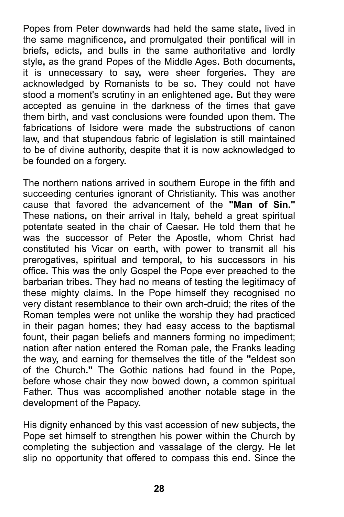Popes from Peter downwards had held the same state**,** lived in the same magnificence**,** and promulgated their pontifical will in briefs**,** edicts**,** and bulls in the same authoritative and lordly style**,** as the grand Popes of the Middle Ages**.** Both documents**,** it is unnecessary to say**,** were sheer forgeries**.** They are acknowledged by Romanists to be so**.** They could not have stood a moment's scrutiny in an enlightened age**.** But they were accepted as genuine in the darkness of the times that gave them birth**,** and vast conclusions were founded upon them**.** The fabrications of Isidore were made the substructions of canon law**,** and that stupendous fabric of legislation is still maintained to be of divine authority**,** despite that it is now acknowledged to be founded on a forgery**.**

The northern nations arrived in southern Europe in the fifth and succeeding centuries ignorant of Christianity**.** This was another cause that favored the advancement of the **"Man of Sin."** These nations**,** on their arrival in Italy**,** beheld a great spiritual potentate seated in the chair of Caesar**.** He told them that he was the successor of Peter the Apostle**,** whom Christ had constituted his Vicar on earth**,** with power to transmit all his prerogatives**,** spiritual and temporal**,** to his successors in his office**.** This was the only Gospel the Pope ever preached to the barbarian tribes**.** They had no means of testing the legitimacy of these mighty claims**.** In the Pope himself they recognised no very distant resemblance to their own arch-druid; the rites of the Roman temples were not unlike the worship they had practiced in their pagan homes; they had easy access to the baptismal fount**,** their pagan beliefs and manners forming no impediment; nation after nation entered the Roman pale**,** the Franks leading the way**,** and earning for themselves the title of the **"**eldest son of the Church**."** The Gothic nations had found in the Pope**,** before whose chair they now bowed down**,** a common spiritual Father**.** Thus was accomplished another notable stage in the development of the Papacy**.**

His dignity enhanced by this vast accession of new subjects**,** the Pope set himself to strengthen his power within the Church by completing the subjection and vassalage of the clergy**.** He let slip no opportunity that offered to compass this end**.** Since the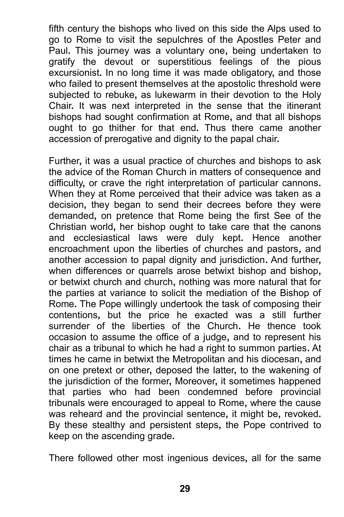fifth century the bishops who lived on this side the Alps used to go to Rome to visit the sepulchres of the Apostles Peter and Paul**.** This journey was a voluntary one**,** being undertaken to gratify the devout or superstitious feelings of the pious excursionist**.** In no long time it was made obligatory**,** and those who failed to present themselves at the apostolic threshold were subjected to rebuke**,** as lukewarm in their devotion to the Holy Chair**.** It was next interpreted in the sense that the itinerant bishops had sought confirmation at Rome**,** and that all bishops ought to go thither for that end**.** Thus there came another accession of prerogative and dignity to the papal chair**.**

Further**,** it was a usual practice of churches and bishops to ask the advice of the Roman Church in matters of consequence and difficulty**,** or crave the right interpretation of particular cannons**.** When they at Rome perceived that their advice was taken as a decision**,** they began to send their decrees before they were demanded**,** on pretence that Rome being the first See of the Christian world**,** her bishop ought to take care that the canons and ecclesiastical laws were duly kept**.** Hence another encroachment upon the liberties of churches and pastors**,** and another accession to papal dignity and jurisdiction**.** And further**,** when differences or quarrels arose betwixt bishop and bishop**,** or betwixt church and church**,** nothing was more natural that for the parties at variance to solicit the mediation of the Bishop of Rome**.** The Pope willingly undertook the task of composing their contentions**,** but the price he exacted was a still further surrender of the liberties of the Church**.** He thence took occasion to assume the office of a judge**,** and to represent his chair as a tribunal to which he had a right to summon parties**.** At times he came in betwixt the Metropolitan and his diocesan**,** and on one pretext or other**,** deposed the latter**,** to the wakening of the jurisdiction of the former**,** Moreover**,** it sometimes happened that parties who had been condemned before provincial tribunals were encouraged to appeal to Rome**,** where the cause was reheard and the provincial sentence**,** it might be**,** revoked**.** By these stealthy and persistent steps**,** the Pope contrived to keep on the ascending grade**.**

There followed other most ingenious devices**,** all for the same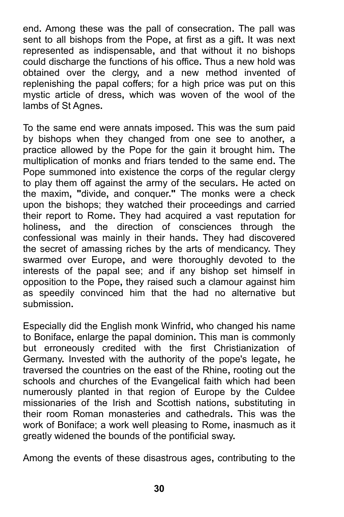end**.** Among these was the pall of consecration**.** The pall was sent to all bishops from the Pope**,** at first as a gift**.** It was next represented as indispensable**,** and that without it no bishops could discharge the functions of his office**.** Thus a new hold was obtained over the clergy**,** and a new method invented of replenishing the papal coffers; for a high price was put on this mystic article of dress**,** which was woven of the wool of the lambs of St Agnes**.**

To the same end were annats imposed**.** This was the sum paid by bishops when they changed from one see to another**,** a practice allowed by the Pope for the gain it brought him**.** The multiplication of monks and friars tended to the same end**.** The Pope summoned into existence the corps of the regular clergy to play them off against the army of the seculars**.** He acted on the maxim**, "**divide**,** and conquer**."** The monks were a check upon the bishops; they watched their proceedings and carried their report to Rome**.** They had acquired a vast reputation for holiness**,** and the direction of consciences through the confessional was mainly in their hands**.** They had discovered the secret of amassing riches by the arts of mendicancy**.** They swarmed over Europe**,** and were thoroughly devoted to the interests of the papal see; and if any bishop set himself in opposition to the Pope**,** they raised such a clamour against him as speedily convinced him that the had no alternative but submission**.**

Especially did the English monk Winfrid**,** who changed his name to Boniface**,** enlarge the papal dominion**.** This man is commonly but erroneously credited with the first Christianization of Germany**.** Invested with the authority of the pope's legate**,** he traversed the countries on the east of the Rhine**,** rooting out the schools and churches of the Evangelical faith which had been numerously planted in that region of Europe by the Culdee missionaries of the Irish and Scottish nations**,** substituting in their room Roman monasteries and cathedrals**.** This was the work of Boniface; a work well pleasing to Rome**,** inasmuch as it greatly widened the bounds of the pontificial sway**.**

Among the events of these disastrous ages**,** contributing to the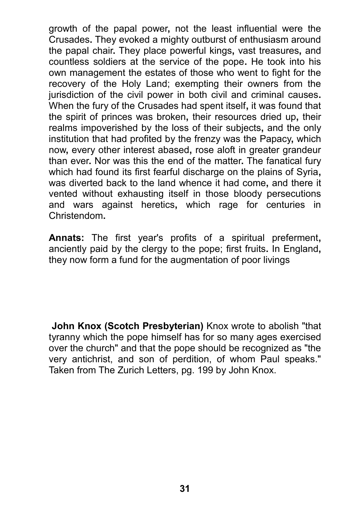growth of the papal power**,** not the least influential were the Crusades**.** They evoked a mighty outburst of enthusiasm around the papal chair**.** They place powerful kings**,** vast treasures**,** and countless soldiers at the service of the pope**.** He took into his own management the estates of those who went to fight for the recovery of the Holy Land; exempting their owners from the jurisdiction of the civil power in both civil and criminal causes**.** When the fury of the Crusades had spent itself**,** it was found that the spirit of princes was broken**,** their resources dried up**,** their realms impoverished by the loss of their subjects**,** and the only institution that had profited by the frenzy was the Papacy**,** which now**,** every other interest abased**,** rose aloft in greater grandeur than ever**.** Nor was this the end of the matter**.** The fanatical fury which had found its first fearful discharge on the plains of Syria**,** was diverted back to the land whence it had come**,** and there it vented without exhausting itself in those bloody persecutions and wars against heretics**,** which rage for centuries in Christendom**.**

**Annats:** The first year's profits of a spiritual preferment**,** anciently paid by the clergy to the pope; first fruits**.** In England**,** they now form a fund for the augmentation of poor livings

**John Knox (Scotch Presbyterian)** Knox wrote to abolish "that tyranny which the pope himself has for so many ages exercised over the church" and that the pope should be recognized as "the very antichrist, and son of perdition, of whom Paul speaks." Taken from The Zurich Letters, pg. 199 by John Knox.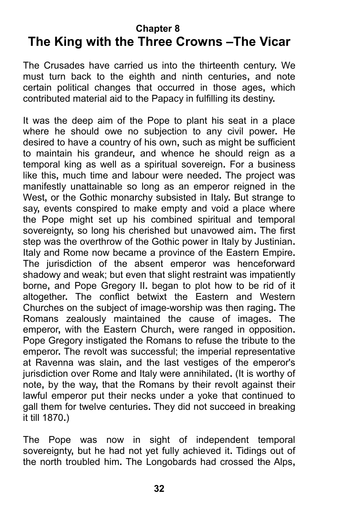#### **Chapter 8**

# **The King with the Three Crowns –The Vicar**

The Crusades have carried us into the thirteenth century**.** We must turn back to the eighth and ninth centuries**,** and note certain political changes that occurred in those ages**,** which contributed material aid to the Papacy in fulfilling its destiny**.**

It was the deep aim of the Pope to plant his seat in a place where he should owe no subjection to any civil power**.** He desired to have a country of his own**,** such as might be sufficient to maintain his grandeur**,** and whence he should reign as a temporal king as well as a spiritual sovereign**.** For a business like this**,** much time and labour were needed**.** The project was manifestly unattainable so long as an emperor reigned in the West**,** or the Gothic monarchy subsisted in Italy**.** But strange to say**,** events conspired to make empty and void a place where the Pope might set up his combined spiritual and temporal sovereignty**,** so long his cherished but unavowed aim**.** The first step was the overthrow of the Gothic power in Italy by Justinian**.** Italy and Rome now became a province of the Eastern Empire**.** The jurisdiction of the absent emperor was henceforward shadowy and weak; but even that slight restraint was impatiently borne**,** and Pope Gregory II**.** began to plot how to be rid of it altogether**.** The conflict betwixt the Eastern and Western Churches on the subject of image-worship was then raging**.** The Romans zealously maintained the cause of images**.** The emperor**,** with the Eastern Church**,** were ranged in opposition**.** Pope Gregory instigated the Romans to refuse the tribute to the emperor**.** The revolt was successful; the imperial representative at Ravenna was slain**,** and the last vestiges of the emperor's jurisdiction over Rome and Italy were annihilated**.** (It is worthy of note**,** by the way**,** that the Romans by their revolt against their lawful emperor put their necks under a yoke that continued to gall them for twelve centuries**.** They did not succeed in breaking it till 1870**.**)

The Pope was now in sight of independent temporal sovereignty**,** but he had not yet fully achieved it**.** Tidings out of the north troubled him**.** The Longobards had crossed the Alps**,**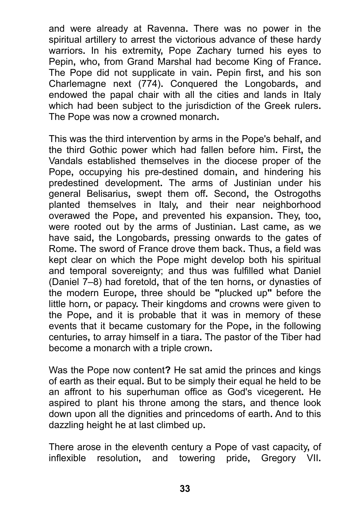and were already at Ravenna**.** There was no power in the spiritual artillery to arrest the victorious advance of these hardy warriors**.** In his extremity**,** Pope Zachary turned his eyes to Pepin**,** who**,** from Grand Marshal had become King of France**.** The Pope did not supplicate in vain**.** Pepin first**,** and his son Charlemagne next (774)**.** Conquered the Longobards**,** and endowed the papal chair with all the cities and lands in Italy which had been subject to the jurisdiction of the Greek rulers**.** The Pope was now a crowned monarch**.**

This was the third intervention by arms in the Pope's behalf**,** and the third Gothic power which had fallen before him**.** First**,** the Vandals established themselves in the diocese proper of the Pope**,** occupying his pre-destined domain**,** and hindering his predestined development**.** The arms of Justinian under his general Belisarius**,** swept them off**.** Second**,** the Ostrogoths planted themselves in Italy**,** and their near neighborhood overawed the Pope**,** and prevented his expansion**.** They**,** too**,** were rooted out by the arms of Justinian**.** Last came**,** as we have said**,** the Longobards**,** pressing onwards to the gates of Rome**.** The sword of France drove them back**.** Thus**,** a field was kept clear on which the Pope might develop both his spiritual and temporal sovereignty; and thus was fulfilled what Daniel (Daniel 7–8) had foretold**,** that of the ten horns**,** or dynasties of the modern Europe**,** three should be **"**plucked up**"** before the little horn**,** or papacy**.** Their kingdoms and crowns were given to the Pope**,** and it is probable that it was in memory of these events that it became customary for the Pope**,** in the following centuries**,** to array himself in a tiara**.** The pastor of the Tiber had become a monarch with a triple crown**.**

Was the Pope now content**?** He sat amid the princes and kings of earth as their equal**.** But to be simply their equal he held to be an affront to his superhuman office as God's vicegerent**.** He aspired to plant his throne among the stars**,** and thence look down upon all the dignities and princedoms of earth**.** And to this dazzling height he at last climbed up**.**

There arose in the eleventh century a Pope of vast capacity**,** of inflexible resolution**,** and towering pride**,** Gregory VII**.**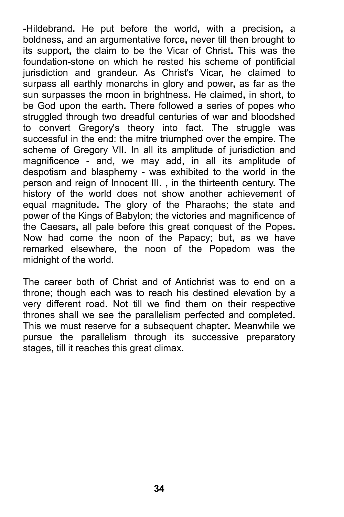-Hildebrand**.** He put before the world**,** with a precision**,** a boldness**,** and an argumentative force**,** never till then brought to its support**,** the claim to be the Vicar of Christ**.** This was the foundation-stone on which he rested his scheme of pontificial jurisdiction and grandeur**.** As Christ's Vicar**,** he claimed to surpass all earthly monarchs in glory and power**,** as far as the sun surpasses the moon in brightness**.** He claimed**,** in short**,** to be God upon the earth**.** There followed a series of popes who struggled through two dreadful centuries of war and bloodshed to convert Gregory's theory into fact**.** The struggle was successful in the end: the mitre triumphed over the empire**.** The scheme of Gregory VII**.** In all its amplitude of jurisdiction and magnificence - and**,** we may add**,** in all its amplitude of despotism and blasphemy - was exhibited to the world in the person and reign of Innocent III**. ,** in the thirteenth century**.** The history of the world does not show another achievement of equal magnitude**.** The glory of the Pharaohs; the state and power of the Kings of Babylon; the victories and magnificence of the Caesars**,** all pale before this great conquest of the Popes**.** Now had come the noon of the Papacy; but**,** as we have remarked elsewhere**,** the noon of the Popedom was the midnight of the world**.**

The career both of Christ and of Antichrist was to end on a throne; though each was to reach his destined elevation by a very different road**.** Not till we find them on their respective thrones shall we see the parallelism perfected and completed**.** This we must reserve for a subsequent chapter**.** Meanwhile we pursue the parallelism through its successive preparatory stages**,** till it reaches this great climax**.**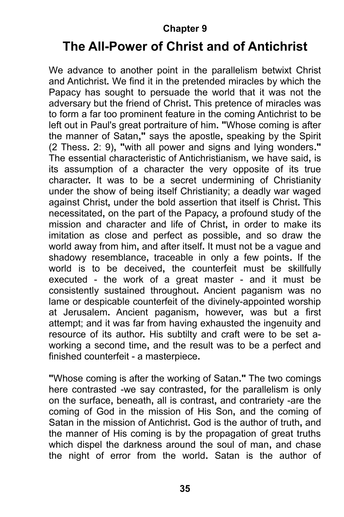#### <span id="page-34-0"></span>**Chapter 9**

## **The All-Power of Christ and of Antichrist**

We advance to another point in the parallelism betwixt Christ and Antichrist**.** We find it in the pretended miracles by which the Papacy has sought to persuade the world that it was not the adversary but the friend of Christ**.** This pretence of miracles was to form a far too prominent feature in the coming Antichrist to be left out in Paul's great portraiture of him**. "**Whose coming is after the manner of Satan**,"** says the apostle**,** speaking by the Spirit (2 Thess**.** 2: 9)**, "**with all power and signs and lying wonders**."** The essential characteristic of Antichristianism**,** we have said**,** is its assumption of a character the very opposite of its true character**.** It was to be a secret undermining of Christianity under the show of being itself Christianity; a deadly war waged against Christ**,** under the bold assertion that itself is Christ**.** This necessitated**,** on the part of the Papacy**,** a profound study of the mission and character and life of Christ**,** in order to make its imitation as close and perfect as possible**,** and so draw the world away from him**,** and after itself**.** It must not be a vague and shadowy resemblance**,** traceable in only a few points**.** If the world is to be deceived**,** the counterfeit must be skillfully executed - the work of a great master - and it must be consistently sustained throughout**.** Ancient paganism was no lame or despicable counterfeit of the divinely-appointed worship at Jerusalem**.** Ancient paganism**,** however**,** was but a first attempt; and it was far from having exhausted the ingenuity and resource of its author**.** His subtilty and craft were to be set aworking a second time**,** and the result was to be a perfect and finished counterfeit - a masterpiece**.**

**"**Whose coming is after the working of Satan**."** The two comings here contrasted -we say contrasted**,** for the parallelism is only on the surface**,** beneath**,** all is contrast**,** and contrariety -are the coming of God in the mission of His Son**,** and the coming of Satan in the mission of Antichrist**.** God is the author of truth**,** and the manner of His coming is by the propagation of great truths which dispel the darkness around the soul of man**,** and chase the night of error from the world**.** Satan is the author of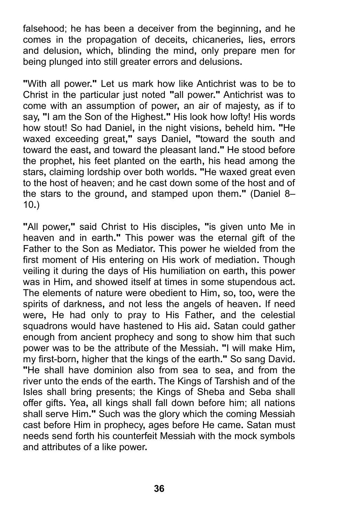falsehood; he has been a deceiver from the beginning**,** and he comes in the propagation of deceits**,** chicaneries**,** lies**,** errors and delusion**,** which**,** blinding the mind**,** only prepare men for being plunged into still greater errors and delusions**.**

**"**With all power**."** Let us mark how like Antichrist was to be to Christ in the particular just noted **"**all power**."** Antichrist was to come with an assumption of power**,** an air of majesty**,** as if to say**, "**I am the Son of the Highest**."** His look how lofty! His words how stout! So had Daniel**,** in the night visions**,** beheld him**. "**He waxed exceeding great**,"** says Daniel**, "**toward the south and toward the east**,** and toward the pleasant land**."** He stood before the prophet**,** his feet planted on the earth**,** his head among the stars**,** claiming lordship over both worlds**. "**He waxed great even to the host of heaven; and he cast down some of the host and of the stars to the ground**,** and stamped upon them**."** (Daniel 8– 10**.**)

**"**All power**,"** said Christ to His disciples**, "**is given unto Me in heaven and in earth**."** This power was the eternal gift of the Father to the Son as Mediator**.** This power he wielded from the first moment of His entering on His work of mediation**.** Though veiling it during the days of His humiliation on earth**,** this power was in Him**,** and showed itself at times in some stupendous act**.** The elements of nature were obedient to Him**,** so**,** too**,** were the spirits of darkness**,** and not less the angels of heaven**.** If need were**,** He had only to pray to His Father**,** and the celestial squadrons would have hastened to His aid**.** Satan could gather enough from ancient prophecy and song to show him that such power was to be the attribute of the Messiah**. "**I will make Him**,** my first-born**,** higher that the kings of the earth**."** So sang David**. "**He shall have dominion also from sea to sea**,** and from the river unto the ends of the earth**.** The Kings of Tarshish and of the Isles shall bring presents; the Kings of Sheba and Seba shall offer gifts**.** Yea**,** all kings shall fall down before him; all nations shall serve Him**."** Such was the glory which the coming Messiah cast before Him in prophecy**,** ages before He came**.** Satan must needs send forth his counterfeit Messiah with the mock symbols and attributes of a like power**.**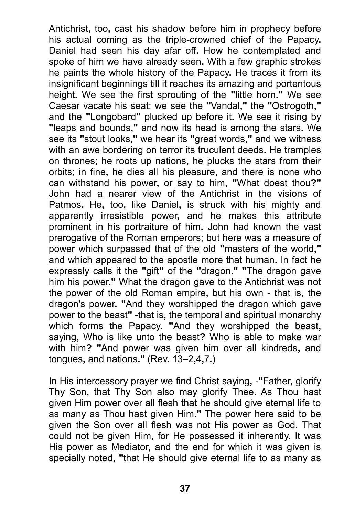Antichrist**,** too**,** cast his shadow before him in prophecy before his actual coming as the triple-crowned chief of the Papacy**.** Daniel had seen his day afar off**.** How he contemplated and spoke of him we have already seen**.** With a few graphic strokes he paints the whole history of the Papacy**.** He traces it from its insignificant beginnings till it reaches its amazing and portentous height**.** We see the first sprouting of the **"**little horn**."** We see Caesar vacate his seat; we see the **"**Vandal**,"** the **"**Ostrogoth**,"** and the **"**Longobard**"** plucked up before it**.** We see it rising by **"**leaps and bounds**,"** and now its head is among the stars**.** We see its **"**stout looks**,"** we hear its **"**great words**,"** and we witness with an awe bordering on terror its truculent deeds**.** He tramples on thrones; he roots up nations**,** he plucks the stars from their orbits; in fine**,** he dies all his pleasure**,** and there is none who can withstand his power**,** or say to him**, "**What doest thou**?"** John had a nearer view of the Antichrist in the visions of Patmos**.** He**,** too**,** like Daniel**,** is struck with his mighty and apparently irresistible power**,** and he makes this attribute prominent in his portraiture of him**.** John had known the vast prerogative of the Roman emperors; but here was a measure of power which surpassed that of the old **"**masters of the world**,"** and which appeared to the apostle more that human**.** In fact he expressly calls it the **"**gift**"** of the **"**dragon**." "**The dragon gave him his power**."** What the dragon gave to the Antichrist was not the power of the old Roman empire**,** but his own - that is**,** the dragon's power**. "**And they worshipped the dragon which gave power to the beast**"** -that is**,** the temporal and spiritual monarchy which forms the Papacy**. "**And they worshipped the beast**,** saying**,** Who is like unto the beast**?** Who is able to make war with him**? "**And power was given him over all kindreds**,** and tongues**,** and nations**."** (Rev**.** 13–2**,**4**,**7**.**)

In His intercessory prayer we find Christ saying**,** -**"**Father**,** glorify Thy Son**,** that Thy Son also may glorify Thee**.** As Thou hast given Him power over all flesh that he should give eternal life to as many as Thou hast given Him**."** The power here said to be given the Son over all flesh was not His power as God**.** That could not be given Him**,** for He possessed it inherently**.** It was His power as Mediator**,** and the end for which it was given is specially noted**, "**that He should give eternal life to as many as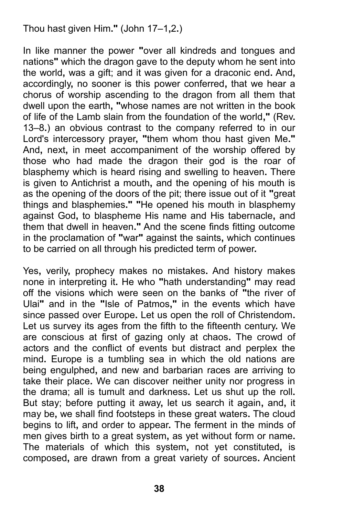Thou hast given Him**."** (John 17–1**,**2**.**)

In like manner the power **"**over all kindreds and tongues and nations**"** which the dragon gave to the deputy whom he sent into the world**,** was a gift; and it was given for a draconic end**.** And**,** accordingly**,** no sooner is this power conferred**,** that we hear a chorus of worship ascending to the dragon from all them that dwell upon the earth**, "**whose names are not written in the book of life of the Lamb slain from the foundation of the world**,"** (Rev**.** 13–8**.**) an obvious contrast to the company referred to in our Lord's intercessory prayer**, "**them whom thou hast given Me**."** And**,** next**,** in meet accompaniment of the worship offered by those who had made the dragon their god is the roar of blasphemy which is heard rising and swelling to heaven**.** There is given to Antichrist a mouth**,** and the opening of his mouth is as the opening of the doors of the pit; there issue out of it **"**great things and blasphemies**." "**He opened his mouth in blasphemy against God**,** to blaspheme His name and His tabernacle**,** and them that dwell in heaven**."** And the scene finds fitting outcome in the proclamation of **"**war**"** against the saints**,** which continues to be carried on all through his predicted term of power**.**

Yes**,** verily**,** prophecy makes no mistakes**.** And history makes none in interpreting it**.** He who **"**hath understanding**"** may read off the visions which were seen on the banks of **"**the river of Ulai**"** and in the **"**Isle of Patmos**,"** in the events which have since passed over Europe**.** Let us open the roll of Christendom**.** Let us survey its ages from the fifth to the fifteenth century**.** We are conscious at first of gazing only at chaos**.** The crowd of actors and the conflict of events but distract and perplex the mind**.** Europe is a tumbling sea in which the old nations are being engulphed**,** and new and barbarian races are arriving to take their place**.** We can discover neither unity nor progress in the drama; all is tumult and darkness**.** Let us shut up the roll**.** But stay; before putting it away**,** let us search it again**,** and**,** it may be**,** we shall find footsteps in these great waters**.** The cloud begins to lift**,** and order to appear**.** The ferment in the minds of men gives birth to a great system**,** as yet without form or name**.** The materials of which this system**,** not yet constituted**,** is composed**,** are drawn from a great variety of sources**.** Ancient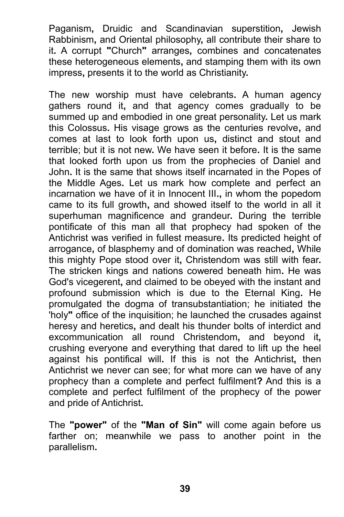Paganism**,** Druidic and Scandinavian superstition**,** Jewish Rabbinism**,** and Oriental philosophy**,** all contribute their share to it**.** A corrupt **"**Church**"** arranges**,** combines and concatenates these heterogeneous elements**,** and stamping them with its own impress**,** presents it to the world as Christianity**.**

The new worship must have celebrants**.** A human agency gathers round it**,** and that agency comes gradually to be summed up and embodied in one great personality**.** Let us mark this Colossus**.** His visage grows as the centuries revolve**,** and comes at last to look forth upon us**,** distinct and stout and terrible; but it is not new**.** We have seen it before**.** It is the same that looked forth upon us from the prophecies of Daniel and John**.** It is the same that shows itself incarnated in the Popes of the Middle Ages**.** Let us mark how complete and perfect an incarnation we have of it in Innocent III**.,** in whom the popedom came to its full growth**,** and showed itself to the world in all it superhuman magnificence and grandeur**.** During the terrible pontificate of this man all that prophecy had spoken of the Antichrist was verified in fullest measure**.** Its predicted height of arrogance**,** of blasphemy and of domination was reached**,** While this mighty Pope stood over it**,** Christendom was still with fear**.** The stricken kings and nations cowered beneath him**.** He was God's vicegerent**,** and claimed to be obeyed with the instant and profound submission which is due to the Eternal King**.** He promulgated the dogma of transubstantiation; he initiated the 'holy**"** office of the inquisition; he launched the crusades against heresy and heretics**,** and dealt his thunder bolts of interdict and excommunication all round Christendom**,** and beyond it**,** crushing everyone and everything that dared to lift up the heel against his pontifical will**.** If this is not the Antichrist**,** then Antichrist we never can see; for what more can we have of any prophecy than a complete and perfect fulfilment**?** And this is a complete and perfect fulfilment of the prophecy of the power and pride of Antichrist**.**

The **"power"** of the **"Man of Sin"** will come again before us farther on; meanwhile we pass to another point in the parallelism**.**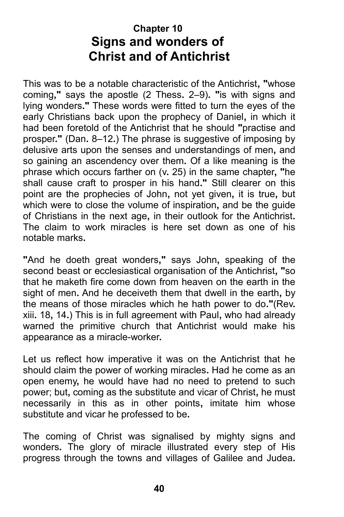### **Chapter 10 Signs and wonders of Christ and of Antichrist**

This was to be a notable characteristic of the Antichrist**, "**whose coming**,"** says the apostle (2 Thess**.** 2–9)**. "**is with signs and lying wonders**."** These words were fitted to turn the eyes of the early Christians back upon the prophecy of Daniel**,** in which it had been foretold of the Antichrist that he should **"**practise and prosper**."** (Dan**.** 8–12**.**) The phrase is suggestive of imposing by delusive arts upon the senses and understandings of men**,** and so gaining an ascendency over them**.** Of a like meaning is the phrase which occurs farther on (v**.** 25) in the same chapter**, "**he shall cause craft to prosper in his hand**."** Still clearer on this point are the prophecies of John**,** not yet given**,** it is true**,** but which were to close the volume of inspiration**,** and be the guide of Christians in the next age**,** in their outlook for the Antichrist**.** The claim to work miracles is here set down as one of his notable marks**.**

**"**And he doeth great wonders**,"** says John**,** speaking of the second beast or ecclesiastical organisation of the Antichrist**, "**so that he maketh fire come down from heaven on the earth in the sight of men**.** And he deceiveth them that dwell in the earth**,** by the means of those miracles which he hath power to do**."**(Rev**.** xiii**.** 18**,** 14**.**) This is in full agreement with Paul**,** who had already warned the primitive church that Antichrist would make his appearance as a miracle-worker**.**

Let us reflect how imperative it was on the Antichrist that he should claim the power of working miracles**.** Had he come as an open enemy**,** he would have had no need to pretend to such power; but**,** coming as the substitute and vicar of Christ**,** he must necessarily in this as in other points**,** imitate him whose substitute and vicar he professed to be**.**

The coming of Christ was signalised by mighty signs and wonders**.** The glory of miracle illustrated every step of His progress through the towns and villages of Galilee and Judea**.**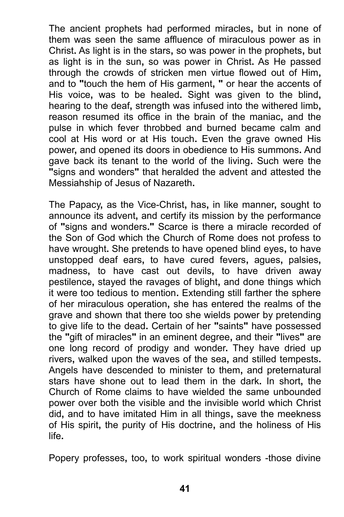The ancient prophets had performed miracles**,** but in none of them was seen the same affluence of miraculous power as in Christ**.** As light is in the stars**,** so was power in the prophets**,** but as light is in the sun**,** so was power in Christ**.** As He passed through the crowds of stricken men virtue flowed out of Him**,** and to **"**touch the hem of His garment**, "** or hear the accents of His voice**,** was to be healed**.** Sight was given to the blind**,** hearing to the deaf**,** strength was infused into the withered limb**,** reason resumed its office in the brain of the maniac**,** and the pulse in which fever throbbed and burned became calm and cool at His word or at His touch**.** Even the grave owned His power**,** and opened its doors in obedience to His summons**.** And gave back its tenant to the world of the living**.** Such were the **"**signs and wonders**"** that heralded the advent and attested the Messiahship of Jesus of Nazareth**.**

The Papacy**,** as the Vice-Christ**,** has**,** in like manner**,** sought to announce its advent**,** and certify its mission by the performance of **"**signs and wonders**."** Scarce is there a miracle recorded of the Son of God which the Church of Rome does not profess to have wrought**.** She pretends to have opened blind eyes**,** to have unstopped deaf ears**,** to have cured fevers**,** agues**,** palsies**,** madness**,** to have cast out devils**,** to have driven away pestilence**,** stayed the ravages of blight**,** and done things which it were too tedious to mention**.** Extending still farther the sphere of her miraculous operation**,** she has entered the realms of the grave and shown that there too she wields power by pretending to give life to the dead**.** Certain of her **"**saints**"** have possessed the **"**gift of miracles**"** in an eminent degree**,** and their **"**lives**"** are one long record of prodigy and wonder**.** They have dried up rivers**,** walked upon the waves of the sea**,** and stilled tempests**.** Angels have descended to minister to them**,** and preternatural stars have shone out to lead them in the dark**.** In short**,** the Church of Rome claims to have wielded the same unbounded power over both the visible and the invisible world which Christ did**,** and to have imitated Him in all things**,** save the meekness of His spirit**,** the purity of His doctrine**,** and the holiness of His life**.**

Popery professes**,** too**,** to work spiritual wonders -those divine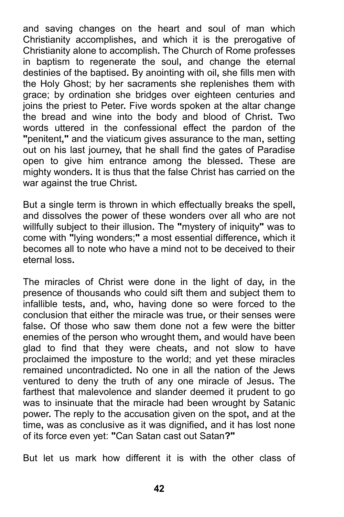and saving changes on the heart and soul of man which Christianity accomplishes**,** and which it is the prerogative of Christianity alone to accomplish**.** The Church of Rome professes in baptism to regenerate the soul**,** and change the eternal destinies of the baptised**.** By anointing with oil**,** she fills men with the Holy Ghost; by her sacraments she replenishes them with grace; by ordination she bridges over eighteen centuries and joins the priest to Peter**.** Five words spoken at the altar change the bread and wine into the body and blood of Christ**.** Two words uttered in the confessional effect the pardon of the **"**penitent**,"** and the viaticum gives assurance to the man**,** setting out on his last journey**,** that he shall find the gates of Paradise open to give him entrance among the blessed**.** These are mighty wonders**.** It is thus that the false Christ has carried on the war against the true Christ**.**

But a single term is thrown in which effectually breaks the spell**,** and dissolves the power of these wonders over all who are not willfully subject to their illusion**.** The **"**mystery of iniquity**"** was to come with **"**lying wonders;**"** a most essential difference**,** which it becomes all to note who have a mind not to be deceived to their eternal loss**.**

The miracles of Christ were done in the light of day**,** in the presence of thousands who could sift them and subject them to infallible tests**,** and**,** who**,** having done so were forced to the conclusion that either the miracle was true**,** or their senses were false**.** Of those who saw them done not a few were the bitter enemies of the person who wrought them**,** and would have been glad to find that they were cheats**,** and not slow to have proclaimed the imposture to the world; and yet these miracles remained uncontradicted**.** No one in all the nation of the Jews ventured to deny the truth of any one miracle of Jesus**.** The farthest that malevolence and slander deemed it prudent to go was to insinuate that the miracle had been wrought by Satanic power**.** The reply to the accusation given on the spot**,** and at the time**,** was as conclusive as it was dignified**,** and it has lost none of its force even yet: **"**Can Satan cast out Satan**?"**

But let us mark how different it is with the other class of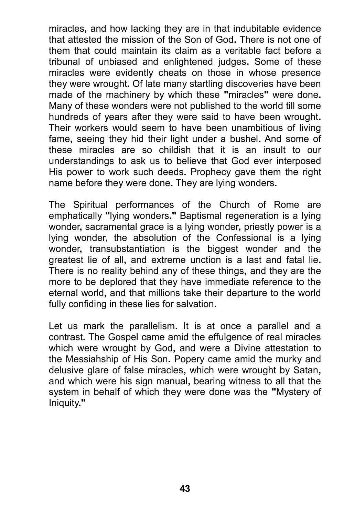miracles**,** and how lacking they are in that indubitable evidence that attested the mission of the Son of God**.** There is not one of them that could maintain its claim as a veritable fact before a tribunal of unbiased and enlightened judges**.** Some of these miracles were evidently cheats on those in whose presence they were wrought**.** Of late many startling discoveries have been made of the machinery by which these **"**miracles**"** were done**.** Many of these wonders were not published to the world till some hundreds of years after they were said to have been wrought**.** Their workers would seem to have been unambitious of living fame**,** seeing they hid their light under a bushel**.** And some of these miracles are so childish that it is an insult to our understandings to ask us to believe that God ever interposed His power to work such deeds**.** Prophecy gave them the right name before they were done**.** They are lying wonders**.**

The Spiritual performances of the Church of Rome are emphatically **"**lying wonders**."** Baptismal regeneration is a lying wonder**,** sacramental grace is a lying wonder**,** priestly power is a lying wonder**,** the absolution of the Confessional is a lying wonder**,** transubstantiation is the biggest wonder and the greatest lie of all**,** and extreme unction is a last and fatal lie**.** There is no reality behind any of these things**,** and they are the more to be deplored that they have immediate reference to the eternal world**,** and that millions take their departure to the world fully confiding in these lies for salvation**.**

Let us mark the parallelism**.** It is at once a parallel and a contrast**.** The Gospel came amid the effulgence of real miracles which were wrought by God**,** and were a Divine attestation to the Messiahship of His Son**.** Popery came amid the murky and delusive glare of false miracles**,** which were wrought by Satan**,** and which were his sign manual**,** bearing witness to all that the system in behalf of which they were done was the **"**Mystery of Iniquity**."**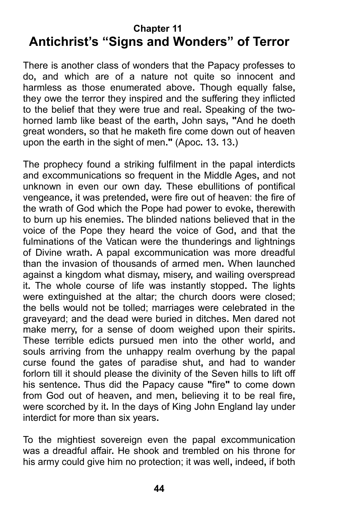#### **Chapter 11**

# **Antichrist's "Signs and Wonders" of Terror**

There is another class of wonders that the Papacy professes to do**,** and which are of a nature not quite so innocent and harmless as those enumerated above**.** Though equally false**,** they owe the terror they inspired and the suffering they inflicted to the belief that they were true and real**.** Speaking of the twohorned lamb like beast of the earth**,** John says**, "**And he doeth great wonders**,** so that he maketh fire come down out of heaven upon the earth in the sight of men**."** (Apoc**.** 13**.** 13**.**)

The prophecy found a striking fulfilment in the papal interdicts and excommunications so frequent in the Middle Ages**,** and not unknown in even our own day**.** These ebullitions of pontifical vengeance**,** it was pretended**,** were fire out of heaven: the fire of the wrath of God which the Pope had power to evoke**,** therewith to burn up his enemies**.** The blinded nations believed that in the voice of the Pope they heard the voice of God**,** and that the fulminations of the Vatican were the thunderings and lightnings of Divine wrath**.** A papal excommunication was more dreadful than the invasion of thousands of armed men**.** When launched against a kingdom what dismay**,** misery**,** and wailing overspread it**.** The whole course of life was instantly stopped**.** The lights were extinguished at the altar; the church doors were closed; the bells would not be tolled; marriages were celebrated in the graveyard; and the dead were buried in ditches**.** Men dared not make merry**,** for a sense of doom weighed upon their spirits**.** These terrible edicts pursued men into the other world**,** and souls arriving from the unhappy realm overhung by the papal curse found the gates of paradise shut**,** and had to wander forlorn till it should please the divinity of the Seven hills to lift off his sentence**.** Thus did the Papacy cause **"**fire**"** to come down from God out of heaven**,** and men**,** believing it to be real fire**,** were scorched by it**.** In the days of King John England lay under interdict for more than six years**.**

To the mightiest sovereign even the papal excommunication was a dreadful affair**.** He shook and trembled on his throne for his army could give him no protection; it was well**,** indeed**,** if both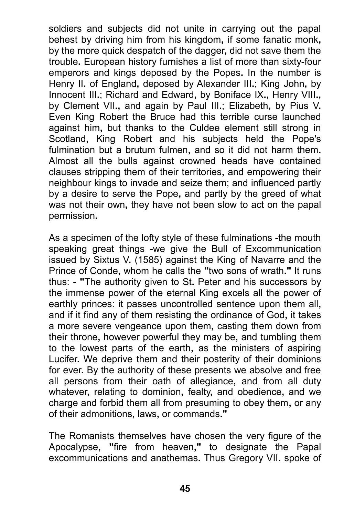soldiers and subjects did not unite in carrying out the papal behest by driving him from his kingdom**,** if some fanatic monk**,** by the more quick despatch of the dagger**,** did not save them the trouble**.** European history furnishes a list of more than sixty-four emperors and kings deposed by the Popes**.** In the number is Henry II**.** of England**,** deposed by Alexander III**.**; King John**,** by Innocent III**.**; Richard and Edward**,** by Boniface IX**.,** Henry VIII**.,** by Clement VII**.,** and again by Paul III**.**; Elizabeth**,** by Pius V**.** Even King Robert the Bruce had this terrible curse launched against him**,** but thanks to the Culdee element still strong in Scotland**,** King Robert and his subjects held the Pope's fulmination but a brutum fulmen**,** and so it did not harm them**.** Almost all the bulls against crowned heads have contained clauses stripping them of their territories**,** and empowering their neighbour kings to invade and seize them; and influenced partly by a desire to serve the Pope**,** and partly by the greed of what was not their own**,** they have not been slow to act on the papal permission**.**

As a specimen of the lofty style of these fulminations -the mouth speaking great things -we give the Bull of Excommunication issued by Sixtus V**.** (1585) against the King of Navarre and the Prince of Conde**,** whom he calls the **"**two sons of wrath**."** It runs thus: - **"**The authority given to St**.** Peter and his successors by the immense power of the eternal King excels all the power of earthly princes: it passes uncontrolled sentence upon them all**,** and if it find any of them resisting the ordinance of God**,** it takes a more severe vengeance upon them**,** casting them down from their throne**,** however powerful they may be**,** and tumbling them to the lowest parts of the earth**,** as the ministers of aspiring Lucifer**.** We deprive them and their posterity of their dominions for ever**.** By the authority of these presents we absolve and free all persons from their oath of allegiance**,** and from all duty whatever**,** relating to dominion**,** fealty**,** and obedience**,** and we charge and forbid them all from presuming to obey them**,** or any of their admonitions**,** laws**,** or commands**."**

The Romanists themselves have chosen the very figure of the Apocalypse**, "**fire from heaven**,"** to designate the Papal excommunications and anathemas**.** Thus Gregory VII**.** spoke of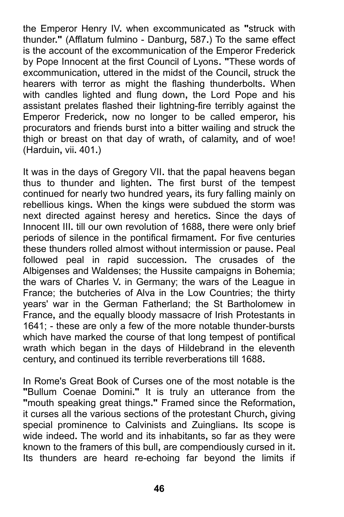the Emperor Henry IV**.** when excommunicated as **"**struck with thunder**."** (Afflatum fulmino - Danburg**,** 587**.**) To the same effect is the account of the excommunication of the Emperor Frederick by Pope Innocent at the first Council of Lyons**. "**These words of excommunication**,** uttered in the midst of the Council**,** struck the hearers with terror as might the flashing thunderbolts**.** When with candles lighted and flung down**,** the Lord Pope and his assistant prelates flashed their lightning-fire terribly against the Emperor Frederick**,** now no longer to be called emperor**,** his procurators and friends burst into a bitter wailing and struck the thigh or breast on that day of wrath**,** of calamity**,** and of woe! (Harduin**,** vii**.** 401**.**)

It was in the days of Gregory VII**.** that the papal heavens began thus to thunder and lighten**.** The first burst of the tempest continued for nearly two hundred years**,** its fury falling mainly on rebellious kings**.** When the kings were subdued the storm was next directed against heresy and heretics**.** Since the days of Innocent III**.** till our own revolution of 1688**,** there were only brief periods of silence in the pontifical firmament**.** For five centuries these thunders rolled almost without intermission or pause**.** Peal followed peal in rapid succession**.** The crusades of the Albigenses and Waldenses; the Hussite campaigns in Bohemia; the wars of Charles V**.** in Germany; the wars of the League in France; the butcheries of Alva in the Low Countries; the thirty years' war in the German Fatherland; the St Bartholomew in France**,** and the equally bloody massacre of Irish Protestants in 1641; - these are only a few of the more notable thunder-bursts which have marked the course of that long tempest of pontifical wrath which began in the days of Hildebrand in the eleventh century**,** and continued its terrible reverberations till 1688**.**

In Rome's Great Book of Curses one of the most notable is the **"**Bullum Coenae Domini**."** It is truly an utterance from the **"**mouth speaking great things**."** Framed since the Reformation**,** it curses all the various sections of the protestant Church**,** giving special prominence to Calvinists and Zuinglians**.** Its scope is wide indeed**.** The world and its inhabitants**,** so far as they were known to the framers of this bull**,** are compendiously cursed in it**.** Its thunders are heard re-echoing far beyond the limits if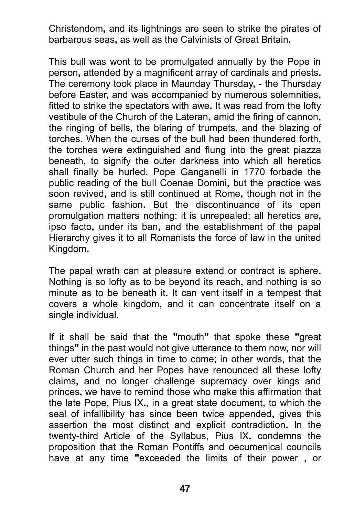Christendom**,** and its lightnings are seen to strike the pirates of barbarous seas**,** as well as the Calvinists of Great Britain**.**

This bull was wont to be promulgated annually by the Pope in person**,** attended by a magnificent array of cardinals and priests**.** The ceremony took place in Maunday Thursday**,** - the Thursday before Easter**,** and was accompanied by numerous solemnities**,** fitted to strike the spectators with awe**.** It was read from the lofty vestibule of the Church of the Lateran**,** amid the firing of cannon**,** the ringing of bells**,** the blaring of trumpets**,** and the blazing of torches**.** When the curses of the bull had been thundered forth**,** the torches were extinguished and flung into the great piazza beneath**,** to signify the outer darkness into which all heretics shall finally be hurled**.** Pope Ganganelli in 1770 forbade the public reading of the bull Coenae Domini**,** but the practice was soon revived**,** and is still continued at Rome**,** though not in the same public fashion**.** But the discontinuance of its open promulgation matters nothing; it is unrepealed; all heretics are**,** ipso facto**,** under its ban**,** and the establishment of the papal Hierarchy gives it to all Romanists the force of law in the united Kingdom**.**

The papal wrath can at pleasure extend or contract is sphere**.** Nothing is so lofty as to be beyond its reach**,** and nothing is so minute as to be beneath it**.** It can vent itself in a tempest that covers a whole kingdom**,** and it can concentrate itself on a single individual**.**

If it shall be said that the **"**mouth**"** that spoke these **"**great things**"** in the past would not give utterance to them now**,** nor will ever utter such things in time to come; in other words**,** that the Roman Church and her Popes have renounced all these lofty claims**,** and no longer challenge supremacy over kings and princes**,** we have to remind those who make this affirmation that the late Pope**,** Pius IX**.,** in a great state document**,** to which the seal of infallibility has since been twice appended**,** gives this assertion the most distinct and explicit contradiction**.** In the twenty-third Article of the Syllabus**,** Pius IX**.** condemns the proposition that the Roman Pontiffs and oecumenical councils have at any time **"**exceeded the limits of their power **,** or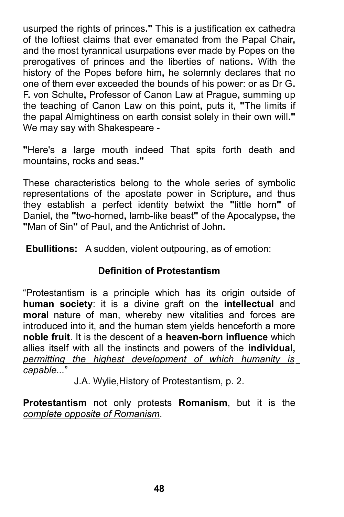usurped the rights of princes**."** This is a justification ex cathedra of the loftiest claims that ever emanated from the Papal Chair**,** and the most tyrannical usurpations ever made by Popes on the prerogatives of princes and the liberties of nations**.** With the history of the Popes before him**,** he solemnly declares that no one of them ever exceeded the bounds of his power: or as Dr G**.** F**.** von Schulte**,** Professor of Canon Law at Prague**,** summing up the teaching of Canon Law on this point**,** puts it**, "**The limits if the papal Almightiness on earth consist solely in their own will**."** We may say with Shakespeare -

**"**Here's a large mouth indeed That spits forth death and mountains**,** rocks and seas**."**

These characteristics belong to the whole series of symbolic representations of the apostate power in Scripture**,** and thus they establish a perfect identity betwixt the **"**little horn**"** of Daniel**,** the **"**two-horned**,** lamb-like beast**"** of the Apocalypse**,** the **"**Man of Sin**"** of Paul**,** and the Antichrist of John**.**

 **Ebullitions:** A sudden, violent outpouring, as of emotion:

#### **Definition of Protestantism**

"Protestantism is a principle which has its origin outside of **human society**: it is a divine graft on the **intellectual** and **mora**l nature of man, whereby new vitalities and forces are introduced into it, and the human stem yields henceforth a more **noble fruit**. It is the descent of a **heaven-born influence** which allies itself with all the instincts and powers of the **individual,** *permitting the highest development of which humanity is capable...*"

J.A. Wylie,History of Protestantism, p. 2.

**Protestantism** not only protests **Romanism**, but it is the *complete opposite of Romanism*.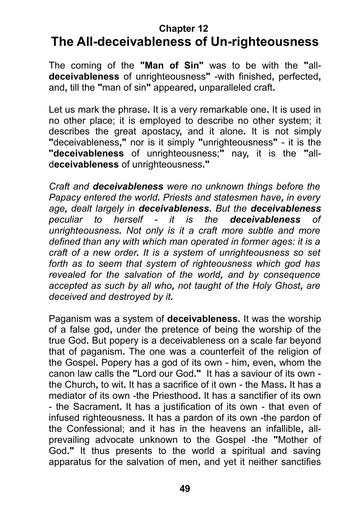#### **Chapter 12**

## **The All-deceivableness of Un-righteousness**

The coming of the **"Man of Sin"** was to be with the **"**all**deceivableness** of unrighteousness**"** -with finished**,** perfected**,** and**,** till the **"**man of sin**"** appeared**,** unparalleled craft**.**

Let us mark the phrase**.** It is a very remarkable one**.** It is used in no other place; it is employed to describe no other system; it describes the great apostacy**,** and it alone**.** It is not simply **"**deceivableness**,"** nor is it simply **"**unrighteousness**"** - it is the **"deceivableness** of unrighteousness;**"** nay**,** it is the **"**alld**eceivableness** of unrighteousness**."**

*Craft and deceivableness were no unknown things before the Papacy entered the world. Priests and statesmen have, in every age, dealt largely in deceivableness. But the deceivableness peculiar to herself - it is the deceivableness of unrighteousness. Not only is it a craft more subtle and more defined than any with which man operated in former ages: it is a craft of a new order. It is a system of unrighteousness so set forth as to seem that system of righteousness which god has revealed for the salvation of the world, and by consequence accepted as such by all who, not taught of the Holy Ghost, are deceived and destroyed by it.*

Paganism was a system of **deceivableness.** It was the worship of a false god**,** under the pretence of being the worship of the true God**.** But popery is a deceivableness on a scale far beyond that of paganism**.** The one was a counterfeit of the religion of the Gospel**.** Popery has a god of its own - him**,** even**,** whom the canon law calls the **"**Lord our God**."** It has a saviour of its own the Church**,** to wit**.** It has a sacrifice of it own - the Mass**.** It has a mediator of its own -the Priesthood**.** It has a sanctifier of its own - the Sacrament**.** It has a justification of its own - that even of infused righteousness**.** It has a pardon of its own -the pardon of the Confessional; and it has in the heavens an infallible**,** allprevailing advocate unknown to the Gospel -the **"**Mother of God**."** It thus presents to the world a spiritual and saving apparatus for the salvation of men**,** and yet it neither sanctifies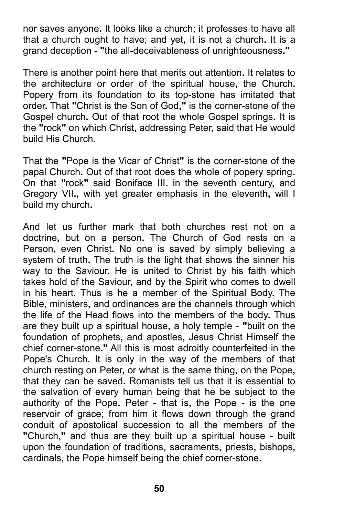nor saves anyone**.** It looks like a church; it professes to have all that a church ought to have; and yet**,** it is not a church**.** It is a grand deception - **"**the all-deceivableness of unrighteousness**."**

There is another point here that merits out attention**.** It relates to the architecture or order of the spiritual house**,** the Church**.** Popery from its foundation to its top-stone has imitated that order**.** That **"**Christ is the Son of God**,"** is the corner-stone of the Gospel church**.** Out of that root the whole Gospel springs**.** It is the **"**rock**"** on which Christ**,** addressing Peter**,** said that He would build His Church**.**

That the **"**Pope is the Vicar of Christ**"** is the corner-stone of the papal Church**.** Out of that root does the whole of popery spring**.** On that **"**rock**"** said Boniface III**.** in the seventh century**,** and Gregory VII**.,** with yet greater emphasis in the eleventh**,** will I build my church**.**

And let us further mark that both churches rest not on a doctrine**,** but on a person**.** The Church of God rests on a Person**,** even Christ**.** No one is saved by simply believing a system of truth**.** The truth is the light that shows the sinner his way to the Saviour**.** He is united to Christ by his faith which takes hold of the Saviour**,** and by the Spirit who comes to dwell in his heart**.** Thus is he a member of the Spiritual Body**.** The Bible**,** ministers**,** and ordinances are the channels through which the life of the Head flows into the members of the body**.** Thus are they built up a spiritual house**,** a holy temple - **"**built on the foundation of prophets**,** and apostles**,** Jesus Christ Himself the chief corner-stone**."** All this is most adroitly counterfeited in the Pope's Church**.** It is only in the way of the members of that church resting on Peter**,** or what is the same thing**,** on the Pope**,** that they can be saved**.** Romanists tell us that it is essential to the salvation of every human being that he be subject to the authority of the Pope**.** Peter - that is**,** the Pope - is the one reservoir of grace; from him it flows down through the grand conduit of apostolical succession to all the members of the **"**Church**,"** and thus are they built up a spiritual house - built upon the foundation of traditions**,** sacraments**,** priests**,** bishops**,** cardinals**,** the Pope himself being the chief corner-stone**.**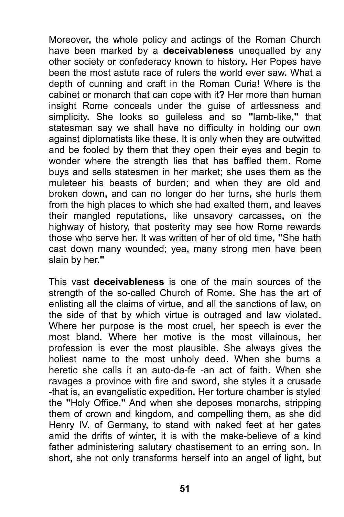Moreover**,** the whole policy and actings of the Roman Church have been marked by a **deceivableness** unequalled by any other society or confederacy known to history**.** Her Popes have been the most astute race of rulers the world ever saw**.** What a depth of cunning and craft in the Roman Curia! Where is the cabinet or monarch that can cope with it**?** Her more than human insight Rome conceals under the guise of artlessness and simplicity**.** She looks so guileless and so **"**lamb-like**,"** that statesman say we shall have no difficulty in holding our own against diplomatists like these**.** It is only when they are outwitted and be fooled by them that they open their eyes and begin to wonder where the strength lies that has baffled them**.** Rome buys and sells statesmen in her market; she uses them as the muleteer his beasts of burden; and when they are old and broken down**,** and can no longer do her turns**,** she hurls them from the high places to which she had exalted them**,** and leaves their mangled reputations**,** like unsavory carcasses**,** on the highway of history**,** that posterity may see how Rome rewards those who serve her**.** It was written of her of old time**, "**She hath cast down many wounded; yea**,** many strong men have been slain by her**."**

This vast **deceivableness** is one of the main sources of the strength of the so-called Church of Rome**.** She has the art of enlisting all the claims of virtue**,** and all the sanctions of law**,** on the side of that by which virtue is outraged and law violated**.** Where her purpose is the most cruel**,** her speech is ever the most bland**.** Where her motive is the most villainous**,** her profession is ever the most plausible**.** She always gives the holiest name to the most unholy deed**.** When she burns a heretic she calls it an auto-da-fe -an act of faith**.** When she ravages a province with fire and sword**,** she styles it a crusade -that is**,** an evangelistic expedition**.** Her torture chamber is styled the **"**Holy Office**."** And when she deposes monarchs**,** stripping them of crown and kingdom**,** and compelling them**,** as she did Henry IV**.** of Germany**,** to stand with naked feet at her gates amid the drifts of winter**,** it is with the make-believe of a kind father administering salutary chastisement to an erring son**.** In short**,** she not only transforms herself into an angel of light**,** but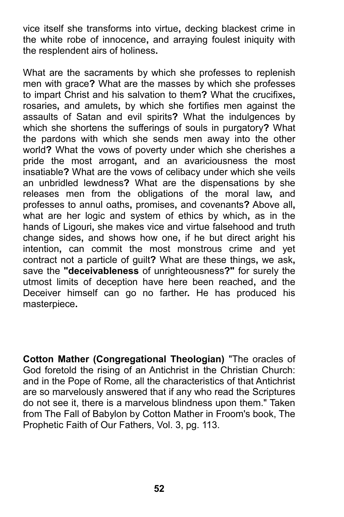vice itself she transforms into virtue**,** decking blackest crime in the white robe of innocence**,** and arraying foulest iniquity with the resplendent airs of holiness**.**

What are the sacraments by which she professes to replenish men with grace**?** What are the masses by which she professes to impart Christ and his salvation to them**?** What the crucifixes**,** rosaries**,** and amulets**,** by which she fortifies men against the assaults of Satan and evil spirits**?** What the indulgences by which she shortens the sufferings of souls in purgatory**?** What the pardons with which she sends men away into the other world**?** What the vows of poverty under which she cherishes a pride the most arrogant**,** and an avariciousness the most insatiable**?** What are the vows of celibacy under which she veils an unbridled lewdness**?** What are the dispensations by she releases men from the obligations of the moral law**,** and professes to annul oaths**,** promises**,** and covenants**?** Above all**,** what are her logic and system of ethics by which**,** as in the hands of Ligouri**,** she makes vice and virtue falsehood and truth change sides**,** and shows how one**,** if he but direct aright his intention**,** can commit the most monstrous crime and yet contract not a particle of guilt**?** What are these things**,** we ask**,** save the **"deceivableness** of unrighteousness**?"** for surely the utmost limits of deception have here been reached**,** and the Deceiver himself can go no farther**.** He has produced his masterpiece**.**

**Cotton Mather (Congregational Theologian)** "The oracles of God foretold the rising of an Antichrist in the Christian Church: and in the Pope of Rome, all the characteristics of that Antichrist are so marvelously answered that if any who read the Scriptures do not see it, there is a marvelous blindness upon them." Taken from The Fall of Babylon by Cotton Mather in Froom's book, The Prophetic Faith of Our Fathers, Vol. 3, pg. 113.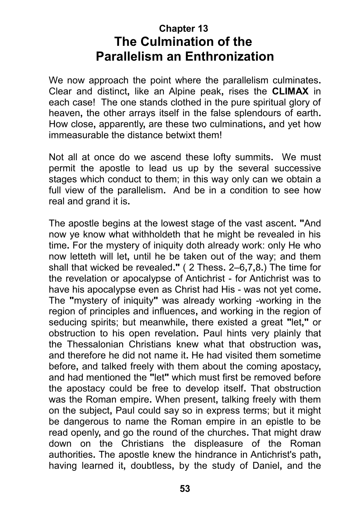### **Chapter 13 The Culmination of the Parallelism an Enthronization**

We now approach the point where the parallelism culminates**.** Clear and distinct**,** like an Alpine peak**,** rises the **CLIMAX** in each case! The one stands clothed in the pure spiritual glory of heaven**,** the other arrays itself in the false splendours of earth**.** How close**,** apparently**,** are these two culminations**,** and yet how immeasurable the distance betwixt them!

Not all at once do we ascend these lofty summits**.** We must permit the apostle to lead us up by the several successive stages which conduct to them; in this way only can we obtain a full view of the parallelism**.** And be in a condition to see how real and grand it is**.**

The apostle begins at the lowest stage of the vast ascent**. "**And now ye know what withholdeth that he might be revealed in his time**.** For the mystery of iniquity doth already work: only He who now letteth will let**,** until he be taken out of the way; and them shall that wicked be revealed**."** ( 2 Thess**.** 2–6**,**7**,**8**.**) The time for the revelation or apocalypse of Antichrist - for Antichrist was to have his apocalypse even as Christ had His - was not yet come**.** The **"**mystery of iniquity**"** was already working -working in the region of principles and influences**,** and working in the region of seducing spirits; but meanwhile**,** there existed a great **"**let**,"** or obstruction to his open revelation**.** Paul hints very plainly that the Thessalonian Christians knew what that obstruction was**,** and therefore he did not name it**.** He had visited them sometime before**,** and talked freely with them about the coming apostacy**,** and had mentioned the **"**let**"** which must first be removed before the apostacy could be free to develop itself**.** That obstruction was the Roman empire**.** When present**,** talking freely with them on the subject**,** Paul could say so in express terms; but it might be dangerous to name the Roman empire in an epistle to be read openly**,** and go the round of the churches**.** That might draw down on the Christians the displeasure of the Roman authorities**.** The apostle knew the hindrance in Antichrist's path**,** having learned it**,** doubtless**,** by the study of Daniel**,** and the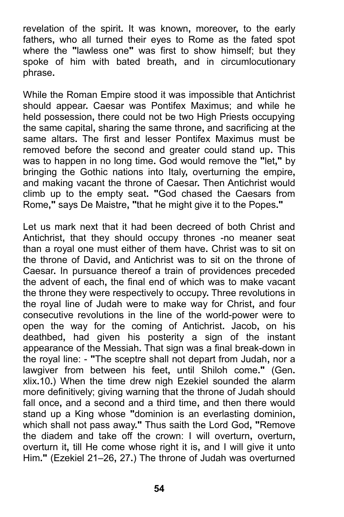revelation of the spirit**.** It was known**,** moreover**,** to the early fathers**,** who all turned their eyes to Rome as the fated spot where the **"**lawless one**"** was first to show himself; but they spoke of him with bated breath**,** and in circumlocutionary phrase**.**

While the Roman Empire stood it was impossible that Antichrist should appear**.** Caesar was Pontifex Maximus; and while he held possession**,** there could not be two High Priests occupying the same capital**,** sharing the same throne**,** and sacrificing at the same altars**.** The first and lesser Pontifex Maximus must be removed before the second and greater could stand up**.** This was to happen in no long time**.** God would remove the **"**let**,"** by bringing the Gothic nations into Italy**,** overturning the empire**,** and making vacant the throne of Caesar**.** Then Antichrist would climb up to the empty seat**. "**God chased the Caesars from Rome**,"** says De Maistre**, "**that he might give it to the Popes**."**

Let us mark next that it had been decreed of both Christ and Antichrist**,** that they should occupy thrones -no meaner seat than a royal one must either of them have**.** Christ was to sit on the throne of David**,** and Antichrist was to sit on the throne of Caesar**.** In pursuance thereof a train of providences preceded the advent of each**,** the final end of which was to make vacant the throne they were respectively to occupy**.** Three revolutions in the royal line of Judah were to make way for Christ**,** and four consecutive revolutions in the line of the world-power were to open the way for the coming of Antichrist**.** Jacob**,** on his deathbed**,** had given his posterity a sign of the instant appearance of the Messiah**.** That sign was a final break-down in the royal line: - **"**The sceptre shall not depart from Judah**,** nor a lawgiver from between his feet**,** until Shiloh come**."** (Gen**.** xlix**.**10**.**) When the time drew nigh Ezekiel sounded the alarm more definitively; giving warning that the throne of Judah should fall once**,** and a second and a third time**,** and then there would stand up a King whose **"**dominion is an everlasting dominion**,** which shall not pass away**."** Thus saith the Lord God**, "**Remove the diadem and take off the crown: I will overturn**,** overturn**,** overturn it**,** till He come whose right it is**,** and I will give it unto Him**."** (Ezekiel 21–26**,** 27**.**) The throne of Judah was overturned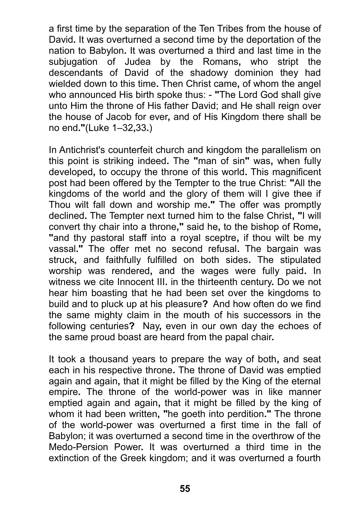a first time by the separation of the Ten Tribes from the house of David**.** It was overturned a second time by the deportation of the nation to Babylon**.** It was overturned a third and last time in the subjugation of Judea by the Romans**,** who stript the descendants of David of the shadowy dominion they had wielded down to this time**.** Then Christ came**,** of whom the angel who announced His birth spoke thus: - **"**The Lord God shall give unto Him the throne of His father David; and He shall reign over the house of Jacob for ever**,** and of His Kingdom there shall be no end**."**(Luke 1–32**,**33**.**)

In Antichrist's counterfeit church and kingdom the parallelism on this point is striking indeed**.** The **"**man of sin**"** was**,** when fully developed**,** to occupy the throne of this world**.** This magnificent post had been offered by the Tempter to the true Christ: **"**All the kingdoms of the world and the glory of them will I give thee if Thou wilt fall down and worship me**."** The offer was promptly declined**.** The Tempter next turned him to the false Christ**, "**I will convert thy chair into a throne**,"** said he**,** to the bishop of Rome**, "**and thy pastoral staff into a royal sceptre**,** if thou wilt be my vassal**."** The offer met no second refusal**.** The bargain was struck**,** and faithfully fulfilled on both sides**.** The stipulated worship was rendered**,** and the wages were fully paid**.** In witness we cite Innocent III**.** in the thirteenth century**.** Do we not hear him boasting that he had been set over the kingdoms to build and to pluck up at his pleasure**?** And how often do we find the same mighty claim in the mouth of his successors in the following centuries**?** Nay**,** even in our own day the echoes of the same proud boast are heard from the papal chair**.**

It took a thousand years to prepare the way of both**,** and seat each in his respective throne**.** The throne of David was emptied again and again**,** that it might be filled by the King of the eternal empire**.** The throne of the world-power was in like manner emptied again and again**,** that it might be filled by the king of whom it had been written**, "**he goeth into perdition**."** The throne of the world-power was overturned a first time in the fall of Babylon; it was overturned a second time in the overthrow of the Medo-Persion Power**.** It was overturned a third time in the extinction of the Greek kingdom; and it was overturned a fourth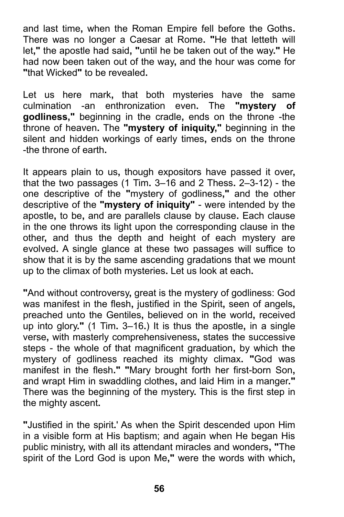and last time**,** when the Roman Empire fell before the Goths**.** There was no longer a Caesar at Rome**. "**He that letteth will let**,"** the apostle had said**, "**until he be taken out of the way**."** He had now been taken out of the way**,** and the hour was come for **"**that Wicked**"** to be revealed**.**

Let us here mark**,** that both mysteries have the same culmination -an enthronization even**.** The **"mystery of godliness,"** beginning in the cradle**,** ends on the throne -the throne of heaven**.** The **"mystery of iniquity,"** beginning in the silent and hidden workings of early times**,** ends on the throne -the throne of earth**.**

It appears plain to us**,** though expositors have passed it over**,** that the two passages (1 Tim**.** 3–16 and 2 Thess**.** 2–3-12) - the one descriptive of the **"**mystery of godliness**,"** and the other descriptive of the **"mystery of iniquity"** - were intended by the apostle**,** to be**,** and are parallels clause by clause**.** Each clause in the one throws its light upon the corresponding clause in the other**,** and thus the depth and height of each mystery are evolved**.** A single glance at these two passages will suffice to show that it is by the same ascending gradations that we mount up to the climax of both mysteries**.** Let us look at each**.**

**"**And without controversy**,** great is the mystery of godliness: God was manifest in the flesh**,** justified in the Spirit**,** seen of angels**,** preached unto the Gentiles**,** believed on in the world**,** received up into glory**."** (1 Tim**.** 3–16**.**) It is thus the apostle**,** in a single verse**,** with masterly comprehensiveness**,** states the successive steps - the whole of that magnificent graduation**,** by which the mystery of godliness reached its mighty climax**. "**God was manifest in the flesh**." "**Mary brought forth her first-born Son**,** and wrapt Him in swaddling clothes**,** and laid Him in a manger**."** There was the beginning of the mystery**.** This is the first step in the mighty ascent**.**

**"**Justified in the spirit**.**' As when the Spirit descended upon Him in a visible form at His baptism; and again when He began His public ministry**,** with all its attendant miracles and wonders**, "**The spirit of the Lord God is upon Me**,"** were the words with which**,**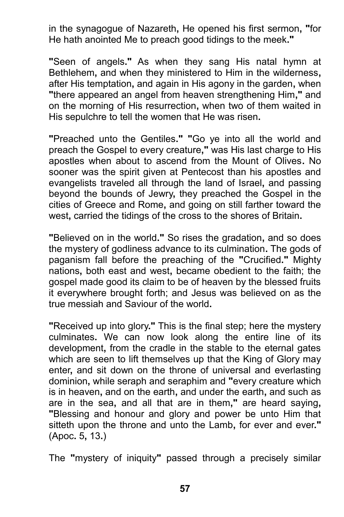in the synagogue of Nazareth**,** He opened his first sermon**, "**for He hath anointed Me to preach good tidings to the meek**."**

**"**Seen of angels**."** As when they sang His natal hymn at Bethlehem**,** and when they ministered to Him in the wilderness**,** after His temptation**,** and again in His agony in the garden**,** when **"**there appeared an angel from heaven strengthening Him**,"** and on the morning of His resurrection**,** when two of them waited in His sepulchre to tell the women that He was risen**.**

**"**Preached unto the Gentiles**." "**Go ye into all the world and preach the Gospel to every creature**,"** was His last charge to His apostles when about to ascend from the Mount of Olives**.** No sooner was the spirit given at Pentecost than his apostles and evangelists traveled all through the land of Israel**,** and passing beyond the bounds of Jewry**,** they preached the Gospel in the cities of Greece and Rome**,** and going on still farther toward the west**,** carried the tidings of the cross to the shores of Britain**.**

**"**Believed on in the world**."** So rises the gradation**,** and so does the mystery of godliness advance to its culmination**.** The gods of paganism fall before the preaching of the **"**Crucified**."** Mighty nations**,** both east and west**,** became obedient to the faith; the gospel made good its claim to be of heaven by the blessed fruits it everywhere brought forth; and Jesus was believed on as the true messiah and Saviour of the world**.**

**"**Received up into glory**."** This is the final step; here the mystery culminates**.** We can now look along the entire line of its development**,** from the cradle in the stable to the eternal gates which are seen to lift themselves up that the King of Glory may enter**,** and sit down on the throne of universal and everlasting dominion**,** while seraph and seraphim and **"**every creature which is in heaven**,** and on the earth**,** and under the earth**,** and such as are in the sea**,** and all that are in them**,"** are heard saying**, "**Blessing and honour and glory and power be unto Him that sitteth upon the throne and unto the Lamb**,** for ever and ever**."** (Apoc**.** 5**,** 13**.**)

The **"**mystery of iniquity**"** passed through a precisely similar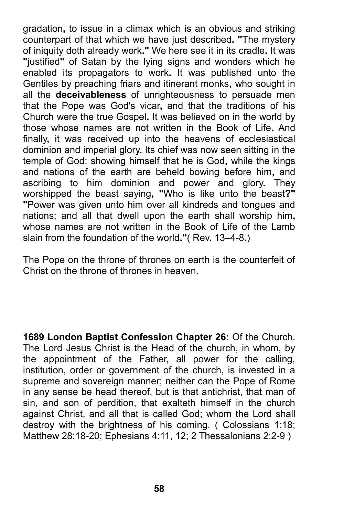gradation**,** to issue in a climax which is an obvious and striking counterpart of that which we have just described**. "**The mystery of iniquity doth already work**."** We here see it in its cradle**.** It was **"**justified**"** of Satan by the lying signs and wonders which he enabled its propagators to work**.** It was published unto the Gentiles by preaching friars and itinerant monks**,** who sought in all the **deceivableness** of unrighteousness to persuade men that the Pope was God's vicar**,** and that the traditions of his Church were the true Gospel**.** It was believed on in the world by those whose names are not written in the Book of Life**.** And finally**,** it was received up into the heavens of ecclesiastical dominion and imperial glory**.** Its chief was now seen sitting in the temple of God; showing himself that he is God**,** while the kings and nations of the earth are beheld bowing before him**,** and ascribing to him dominion and power and glory**.** They worshipped the beast saying**, "**Who is like unto the beast**?" "**Power was given unto him over all kindreds and tongues and nations; and all that dwell upon the earth shall worship him**,** whose names are not written in the Book of Life of the Lamb slain from the foundation of the world**."**( Rev**.** 13–4-8**.**)

The Pope on the throne of thrones on earth is the counterfeit of Christ on the throne of thrones in heaven**.**

**1689 London Baptist Confession Chapter 26:** Of the Church. The Lord Jesus Christ is the Head of the church, in whom, by the appointment of the Father, all power for the calling, institution, order or government of the church, is invested in a supreme and sovereign manner; neither can the Pope of Rome in any sense be head thereof, but is that antichrist, that man of sin, and son of perdition, that exalteth himself in the church against Christ, and all that is called God; whom the Lord shall destroy with the brightness of his coming. ( Colossians 1:18; Matthew 28:18-20; Ephesians 4:11, 12; 2 Thessalonians 2:2-9 )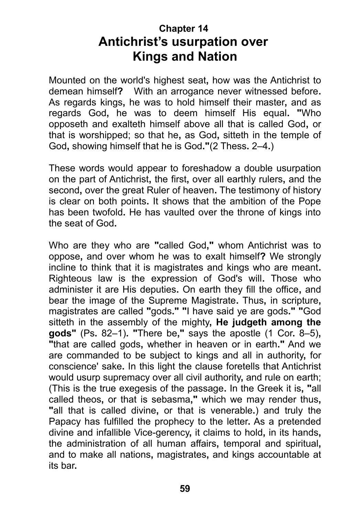### **Chapter 14 Antichrist's usurpation over Kings and Nation**

Mounted on the world's highest seat**,** how was the Antichrist to demean himself**?** With an arrogance never witnessed before**.** As regards kings**,** he was to hold himself their master**,** and as regards God**,** he was to deem himself His equal**. "**Who opposeth and exalteth himself above all that is called God**,** or that is worshipped; so that he**,** as God**,** sitteth in the temple of God**,** showing himself that he is God**."**(2 Thess**.** 2–4**.**)

These words would appear to foreshadow a double usurpation on the part of Antichrist**,** the first**,** over all earthly rulers**,** and the second**,** over the great Ruler of heaven**.** The testimony of history is clear on both points**.** It shows that the ambition of the Pope has been twofold**.** He has vaulted over the throne of kings into the seat of God**.**

Who are they who are **"**called God**,"** whom Antichrist was to oppose**,** and over whom he was to exalt himself**?** We strongly incline to think that it is magistrates and kings who are meant**.** Righteous law is the expression of God's will**.** Those who administer it are His deputies**.** On earth they fill the office**,** and bear the image of the Supreme Magistrate**.** Thus**,** in scripture**,** magistrates are called **"**gods**." "**I have said ye are gods**." "**God sitteth in the assembly of the mighty**, He judgeth among the gods"** (Ps**.** 82–1)**. "**There be**,"** says the apostle (1 Cor**.** 8–5)**, "**that are called gods**,** whether in heaven or in earth**."** And we are commanded to be subject to kings and all in authority**,** for conscience' sake**.** In this light the clause foretells that Antichrist would usurp supremacy over all civil authority**,** and rule on earth; (This is the true exegesis of the passage**.** In the Greek it is**, "**all called theos**,** or that is sebasma**,"** which we may render thus**, "**all that is called divine**,** or that is venerable**.**) and truly the Papacy has fulfilled the prophecy to the letter**.** As a pretended divine and infallible Vice-gerency**,** it claims to hold**,** in its hands**,** the administration of all human affairs**,** temporal and spiritual**,** and to make all nations**,** magistrates**,** and kings accountable at its bar**.**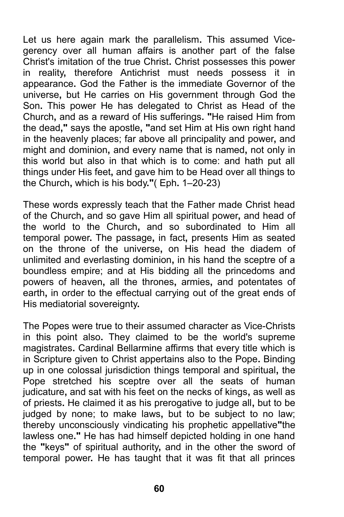Let us here again mark the parallelism**.** This assumed Vicegerency over all human affairs is another part of the false Christ's imitation of the true Christ**.** Christ possesses this power in reality**,** therefore Antichrist must needs possess it in appearance**.** God the Father is the immediate Governor of the universe**,** but He carries on His government through God the Son**.** This power He has delegated to Christ as Head of the Church**,** and as a reward of His sufferings**. "**He raised Him from the dead**,"** says the apostle**, "**and set Him at His own right hand in the heavenly places; far above all principality and power**,** and might and dominion**,** and every name that is named**,** not only in this world but also in that which is to come: and hath put all things under His feet**,** and gave him to be Head over all things to the Church**,** which is his body**."**( Eph**.** 1–20-23)

These words expressly teach that the Father made Christ head of the Church**,** and so gave Him all spiritual power**,** and head of the world to the Church**,** and so subordinated to Him all temporal power**.** The passage**,** in fact**,** presents Him as seated on the throne of the universe**,** on His head the diadem of unlimited and everlasting dominion**,** in his hand the sceptre of a boundless empire; and at His bidding all the princedoms and powers of heaven**,** all the thrones**,** armies**,** and potentates of earth**,** in order to the effectual carrying out of the great ends of His mediatorial sovereignty**.**

The Popes were true to their assumed character as Vice-Christs in this point also**.** They claimed to be the world's supreme magistrates**.** Cardinal Bellarmine affirms that every title which is in Scripture given to Christ appertains also to the Pope**.** Binding up in one colossal jurisdiction things temporal and spiritual**,** the Pope stretched his sceptre over all the seats of human judicature**,** and sat with his feet on the necks of kings**,** as well as of priests**.** He claimed it as his prerogative to judge all**,** but to be judged by none; to make laws**,** but to be subject to no law; thereby unconsciously vindicating his prophetic appellative**"**the lawless one**."** He has had himself depicted holding in one hand the **"**keys**"** of spiritual authority**,** and in the other the sword of temporal power**.** He has taught that it was fit that all princes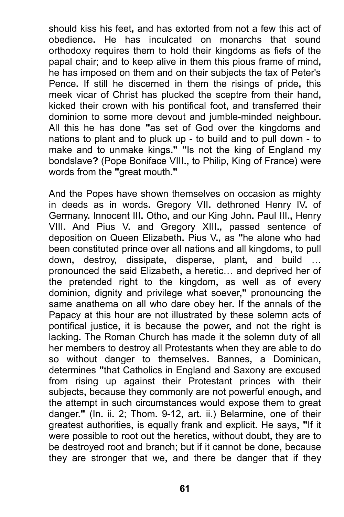should kiss his feet**,** and has extorted from not a few this act of obedience**.** He has inculcated on monarchs that sound orthodoxy requires them to hold their kingdoms as fiefs of the papal chair; and to keep alive in them this pious frame of mind**,** he has imposed on them and on their subjects the tax of Peter's Pence**.** If still he discerned in them the risings of pride**,** this meek vicar of Christ has plucked the sceptre from their hand**,** kicked their crown with his pontifical foot**,** and transferred their dominion to some more devout and jumble-minded neighbour**.** All this he has done **"**as set of God over the kingdoms and nations to plant and to pluck up - to build and to pull down - to make and to unmake kings**." "**Is not the king of England my bondslave**?** (Pope Boniface VIII**.,** to Philip**,** King of France) were words from the **"**great mouth**."**

And the Popes have shown themselves on occasion as mighty in deeds as in words**.** Gregory VII**.** dethroned Henry IV**.** of Germany**.** Innocent III**.** Otho**,** and our King John**.** Paul III**.,** Henry VIII**.** And Pius V**.** and Gregory XIII**.,** passed sentence of deposition on Queen Elizabeth**.** Pius V**.,** as **"**he alone who had been constituted prince over all nations and all kingdoms**,** to pull down**,** destroy**,** dissipate**,** disperse**,** plant**,** and build … pronounced the said Elizabeth**,** a heretic… and deprived her of the pretended right to the kingdom**,** as well as of every dominion**,** dignity and privilege what soever**,"** pronouncing the same anathema on all who dare obey her**.** If the annals of the Papacy at this hour are not illustrated by these solemn acts of pontifical justice**,** it is because the power**,** and not the right is lacking**.** The Roman Church has made it the solemn duty of all her members to destroy all Protestants when they are able to do so without danger to themselves**.** Bannes**,** a Dominican**,** determines **"**that Catholics in England and Saxony are excused from rising up against their Protestant princes with their subjects**,** because they commonly are not powerful enough**,** and the attempt in such circumstances would expose them to great danger**."** (In**.** ii**.** 2; Thom**.** 9-12**,** art**.** ii**.**) Belarmine**,** one of their greatest authorities**,** is equally frank and explicit**.** He says**, "**If it were possible to root out the heretics**,** without doubt**,** they are to be destroyed root and branch; but if it cannot be done**,** because they are stronger that we**,** and there be danger that if they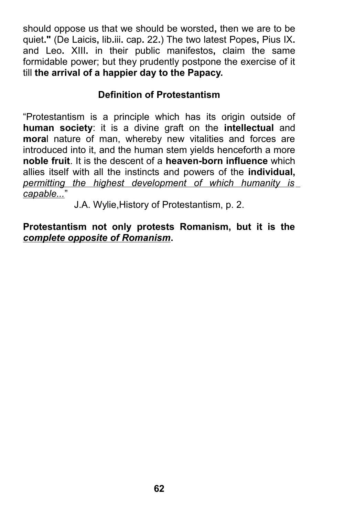should oppose us that we should be worsted**,** then we are to be quiet**."** (De Laicis**,** lib**.**iii**.** cap**.** 22**.**) The two latest Popes**,** Pius IX**.** and Leo**.** XIII**.** in their public manifestos**,** claim the same formidable power; but they prudently postpone the exercise of it till **the arrival of a happier day to the Papacy.**

#### **Definition of Protestantism**

"Protestantism is a principle which has its origin outside of **human society**: it is a divine graft on the **intellectual** and **mora**l nature of man, whereby new vitalities and forces are introduced into it, and the human stem yields henceforth a more **noble fruit**. It is the descent of a **heaven-born influence** which allies itself with all the instincts and powers of the **individual,** *permitting the highest development of which humanity is capable...*"

J.A. Wylie,History of Protestantism, p. 2.

**Protestantism not only protests Romanism, but it is the** *complete opposite of Romanism***.**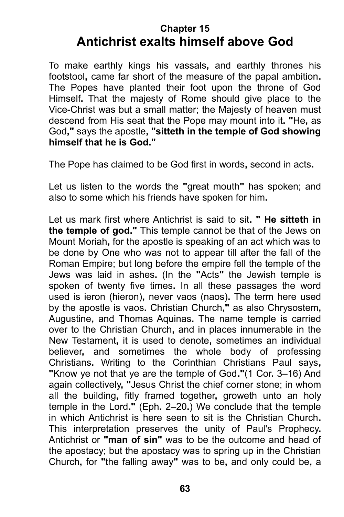### **Chapter 15 Antichrist exalts himself above God**

To make earthly kings his vassals**,** and earthly thrones his footstool**,** came far short of the measure of the papal ambition**.** The Popes have planted their foot upon the throne of God Himself**.** That the majesty of Rome should give place to the Vice-Christ was but a small matter; the Majesty of heaven must descend from His seat that the Pope may mount into it**. "**He**,** as God**,"** says the apostle**, "sitteth in the temple of God showing himself that he is God."**

The Pope has claimed to be God first in words**,** second in acts**.**

Let us listen to the words the **"**great mouth**"** has spoken; and also to some which his friends have spoken for him**.**

Let us mark first where Antichrist is said to sit**. " He sitteth in the temple of god."** This temple cannot be that of the Jews on Mount Moriah**,** for the apostle is speaking of an act which was to be done by One who was not to appear till after the fall of the Roman Empire; but long before the empire fell the temple of the Jews was laid in ashes**.** (In the **"**Acts**"** the Jewish temple is spoken of twenty five times**.** In all these passages the word used is ieron (hieron)**,** never vaos (naos)**.** The term here used by the apostle is vaos**.** Christian Church**,"** as also Chrysostem**,** Augustine**,** and Thomas Aquinas**.** The name temple is carried over to the Christian Church**,** and in places innumerable in the New Testament**,** it is used to denote**,** sometimes an individual believer**,** and sometimes the whole body of professing Christians**.** Writing to the Corinthian Christians Paul says**, "**Know ye not that ye are the temple of God**."**(1 Cor**.** 3–16) And again collectively**, "**Jesus Christ the chief corner stone; in whom all the building**,** fitly framed together**,** groweth unto an holy temple in the Lord**."** (Eph**.** 2–20**.**) We conclude that the temple in which Antichrist is here seen to sit is the Christian Church**.** This interpretation preserves the unity of Paul's Prophecy**.** Antichrist or **"man of sin"** was to be the outcome and head of the apostacy; but the apostacy was to spring up in the Christian Church**,** for **"**the falling away**"** was to be**,** and only could be**,** a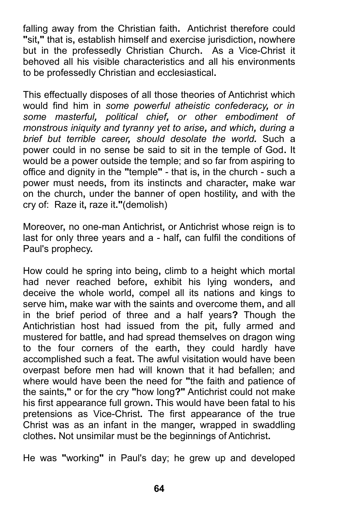falling away from the Christian faith**.** Antichrist therefore could **"**sit**,"** that is**,** establish himself and exercise jurisdiction**,** nowhere but in the professedly Christian Church**.** As a Vice-Christ it behoved all his visible characteristics and all his environments to be professedly Christian and ecclesiastical**.**

This effectually disposes of all those theories of Antichrist which would find him in *some powerful atheistic confederacy, or in some masterful, political chief, or other embodiment of monstrous iniquity and tyranny yet to arise, and which, during a brief but terrible career, should desolate the world.* Such a power could in no sense be said to sit in the temple of God**.** It would be a power outside the temple; and so far from aspiring to office and dignity in the **"**temple**"** - that is**,** in the church - such a power must needs**,** from its instincts and character**,** make war on the church**,** under the banner of open hostility**,** and with the cry of: Raze it**,** raze it**."**(demolish)

Moreover**,** no one-man Antichrist**,** or Antichrist whose reign is to last for only three years and a - half**,** can fulfil the conditions of Paul's prophecy**.**

How could he spring into being**,** climb to a height which mortal had never reached before**,** exhibit his lying wonders**,** and deceive the whole world**,** compel all its nations and kings to serve him**,** make war with the saints and overcome them**,** and all in the brief period of three and a half years**?** Though the Antichristian host had issued from the pit**,** fully armed and mustered for battle**,** and had spread themselves on dragon wing to the four corners of the earth**,** they could hardly have accomplished such a feat**.** The awful visitation would have been overpast before men had will known that it had befallen; and where would have been the need for **"**the faith and patience of the saints**,"** or for the cry **"**how long**?"** Antichrist could not make his first appearance full grown**.** This would have been fatal to his pretensions as Vice-Christ**.** The first appearance of the true Christ was as an infant in the manger**,** wrapped in swaddling clothes**.** Not unsimilar must be the beginnings of Antichrist**.**

He was **"**working**"** in Paul's day; he grew up and developed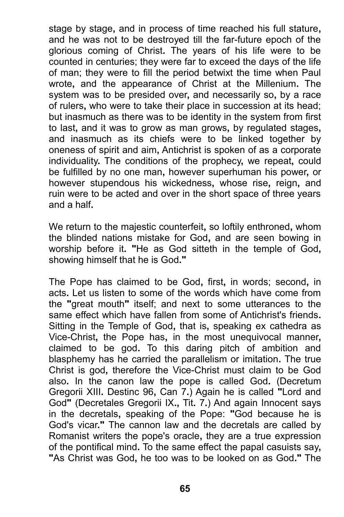stage by stage**,** and in process of time reached his full stature**,** and he was not to be destroyed till the far-future epoch of the glorious coming of Christ**.** The years of his life were to be counted in centuries; they were far to exceed the days of the life of man; they were to fill the period betwixt the time when Paul wrote**,** and the appearance of Christ at the Millenium**.** The system was to be presided over**,** and necessarily so**,** by a race of rulers**,** who were to take their place in succession at its head; but inasmuch as there was to be identity in the system from first to last**,** and it was to grow as man grows**,** by regulated stages**,** and inasmuch as its chiefs were to be linked together by oneness of spirit and aim**,** Antichrist is spoken of as a corporate individuality**.** The conditions of the prophecy**,** we repeat**,** could be fulfilled by no one man**,** however superhuman his power**,** or however stupendous his wickedness**,** whose rise**,** reign**,** and ruin were to be acted and over in the short space of three years and a half**.**

We return to the majestic counterfeit**,** so loftily enthroned**,** whom the blinded nations mistake for God**,** and are seen bowing in worship before it**. "**He as God sitteth in the temple of God**,** showing himself that he is God**."**

The Pope has claimed to be God**,** first**,** in words; second**,** in acts**.** Let us listen to some of the words which have come from the **"**great mouth**"** itself; and next to some utterances to the same effect which have fallen from some of Antichrist's friends**.** Sitting in the Temple of God**,** that is**,** speaking ex cathedra as Vice-Christ**,** the Pope has**,** in the most unequivocal manner**,** claimed to be god**.** To this daring pitch of ambition and blasphemy has he carried the parallelism or imitation**.** The true Christ is god**,** therefore the Vice-Christ must claim to be God also**.** In the canon law the pope is called God**.** (Decretum Gregorii XIII**.** Destinc 96**,** Can 7**.**) Again he is called **"**Lord and God**"** (Decretales Gregorii IX**.,** Tit**.** 7**.**) And again Innocent says in the decretals**,** speaking of the Pope: **"**God because he is God's vicar**."** The cannon law and the decretals are called by Romanist writers the pope's oracle**,** they are a true expression of the pontifical mind**.** To the same effect the papal casuists say**, "**As Christ was God**,** he too was to be looked on as God**."** The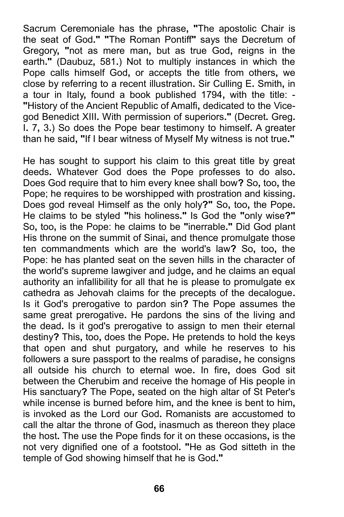Sacrum Ceremoniale has the phrase**, "**The apostolic Chair is the seat of God**." "**The Roman Pontiff**"** says the Decretum of Gregory**, "**not as mere man**,** but as true God**,** reigns in the earth**."** (Daubuz**,** 581**.**) Not to multiply instances in which the Pope calls himself God**,** or accepts the title from others**,** we close by referring to a recent illustration**.** Sir Culling E**.** Smith**,** in a tour in Italy**,** found a book published 1794**,** with the title: - **"**History of the Ancient Republic of Amalfi**,** dedicated to the Vicegod Benedict XIII**.** With permission of superiors**."** (Decret**.** Greg**.** I**.** 7**,** 3**.**) So does the Pope bear testimony to himself**.** A greater than he said**, "**If I bear witness of Myself My witness is not true**."**

He has sought to support his claim to this great title by great deeds**.** Whatever God does the Pope professes to do also**.** Does God require that to him every knee shall bow**?** So**,** too**,** the Pope; he requires to be worshipped with prostration and kissing**.** Does god reveal Himself as the only holy**?"** So**,** too**,** the Pope**.** He claims to be styled **"**his holiness**."** Is God the **"**only wise**?"** So**,** too**,** is the Pope: he claims to be **"**inerrable**."** Did God plant His throne on the summit of Sinai**,** and thence promulgate those ten commandments which are the world's law**?** So**,** too**,** the Pope: he has planted seat on the seven hills in the character of the world's supreme lawgiver and judge**,** and he claims an equal authority an infallibility for all that he is please to promulgate ex cathedra as Jehovah claims for the precepts of the decalogue**.** Is it God's prerogative to pardon sin**?** The Pope assumes the same great prerogative**.** He pardons the sins of the living and the dead**.** Is it god's prerogative to assign to men their eternal destiny**?** This**,** too**,** does the Pope**.** He pretends to hold the keys that open and shut purgatory**,** and while he reserves to his followers a sure passport to the realms of paradise**,** he consigns all outside his church to eternal woe**.** In fire**,** does God sit between the Cherubim and receive the homage of His people in His sanctuary**?** The Pope**,** seated on the high altar of St Peter's while incense is burned before him**,** and the knee is bent to him**,** is invoked as the Lord our God**.** Romanists are accustomed to call the altar the throne of God**,** inasmuch as thereon they place the host**.** The use the Pope finds for it on these occasions**,** is the not very dignified one of a footstool**. "**He as God sitteth in the temple of God showing himself that he is God**."**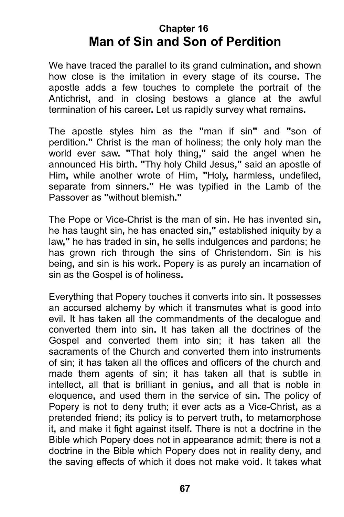### **Chapter 16 Man of Sin and Son of Perdition**

We have traced the parallel to its grand culmination**,** and shown how close is the imitation in every stage of its course**.** The apostle adds a few touches to complete the portrait of the Antichrist**,** and in closing bestows a glance at the awful termination of his career**.** Let us rapidly survey what remains**.**

The apostle styles him as the **"**man if sin**"** and **"**son of perdition**."** Christ is the man of holiness; the only holy man the world ever saw**. "**That holy thing**,"** said the angel when he announced His birth**. "**Thy holy Child Jesus**,"** said an apostle of Him**,** while another wrote of Him**, "**Holy**,** harmless**,** undefiled**,** separate from sinners**."** He was typified in the Lamb of the Passover as **"**without blemish**."**

The Pope or Vice-Christ is the man of sin**.** He has invented sin**,** he has taught sin**,** he has enacted sin**,"** established iniquity by a law**,"** he has traded in sin**,** he sells indulgences and pardons; he has grown rich through the sins of Christendom**.** Sin is his being**,** and sin is his work**.** Popery is as purely an incarnation of sin as the Gospel is of holiness**.**

Everything that Popery touches it converts into sin**.** It possesses an accursed alchemy by which it transmutes what is good into evil**.** It has taken all the commandments of the decalogue and converted them into sin**.** It has taken all the doctrines of the Gospel and converted them into sin; it has taken all the sacraments of the Church and converted them into instruments of sin; it has taken all the offices and officers of the church and made them agents of sin; it has taken all that is subtle in intellect**,** all that is brilliant in genius**,** and all that is noble in eloquence**,** and used them in the service of sin**.** The policy of Popery is not to deny truth; it ever acts as a Vice-Christ**,** as a pretended friend; its policy is to pervert truth**,** to metamorphose it**,** and make it fight against itself**.** There is not a doctrine in the Bible which Popery does not in appearance admit; there is not a doctrine in the Bible which Popery does not in reality deny**,** and the saving effects of which it does not make void**.** It takes what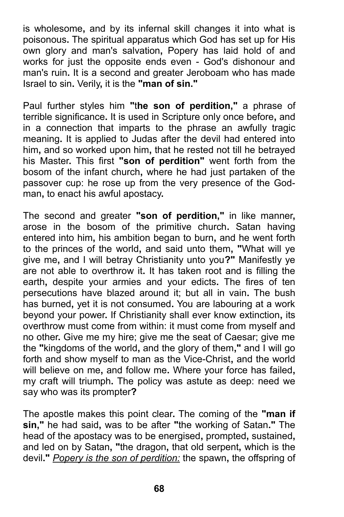is wholesome**,** and by its infernal skill changes it into what is poisonous**.** The spiritual apparatus which God has set up for His own glory and man's salvation**,** Popery has laid hold of and works for just the opposite ends even - God's dishonour and man's ruin**.** It is a second and greater Jeroboam who has made Israel to sin**.** Verily**,** it is the **"man of sin."**

Paul further styles him **"**t**he son of perdition,"** a phrase of terrible significance**.** It is used in Scripture only once before**,** and in a connection that imparts to the phrase an awfully tragic meaning**.** It is applied to Judas after the devil had entered into him**,** and so worked upon him**,** that he rested not till he betrayed his Master**.** This first **"son of perdition"** went forth from the bosom of the infant church**,** where he had just partaken of the passover cup: he rose up from the very presence of the Godman**,** to enact his awful apostacy**.**

The second and greater **"son of perdition,"** in like manner**,** arose in the bosom of the primitive church**.** Satan having entered into him**,** his ambition began to burn**,** and he went forth to the princes of the world**,** and said unto them**, "**What will ye give me**,** and I will betray Christianity unto you**?"** Manifestly ye are not able to overthrow it**.** It has taken root and is filling the earth**,** despite your armies and your edicts**.** The fires of ten persecutions have blazed around it; but all in vain**.** The bush has burned**,** yet it is not consumed**.** You are labouring at a work beyond your power**.** If Christianity shall ever know extinction**,** its overthrow must come from within: it must come from myself and no other**.** Give me my hire; give me the seat of Caesar; give me the **"**kingdoms of the world**,** and the glory of them**,"** and I will go forth and show myself to man as the Vice-Christ**,** and the world will believe on me**,** and follow me**.** Where your force has failed**,** my craft will triumph**.** The policy was astute as deep: need we say who was its prompter**?**

The apostle makes this point clear**.** The coming of the **"man if sin,"** he had said**,** was to be after **"**the working of Satan**."** The head of the apostacy was to be energised**,** prompted**,** sustained**,** and led on by Satan**, "**the dragon**,** that old serpent**,** which is the devil**."** *Popery is the son of perdition:* the spawn**,** the offspring of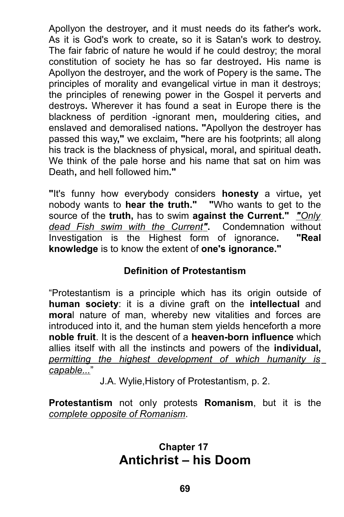Apollyon the destroyer**,** and it must needs do its father's work**.** As it is God's work to create**,** so it is Satan's work to destroy**.** The fair fabric of nature he would if he could destroy; the moral constitution of society he has so far destroyed**.** His name is Apollyon the destroyer**,** and the work of Popery is the same**.** The principles of morality and evangelical virtue in man it destroys; the principles of renewing power in the Gospel it perverts and destroys**.** Wherever it has found a seat in Europe there is the blackness of perdition -ignorant men**,** mouldering cities**,** and enslaved and demoralised nations**. "**Apollyon the destroyer has passed this way**,"** we exclaim**, "**here are his footprints; all along his track is the blackness of physical**,** moral**,** and spiritual death**.** We think of the pale horse and his name that sat on him was Death**,** and hell followed him**."**

**"**It's funny how everybody considers **honesty** a virtue**,** yet nobody wants to **hear the truth." "**Who wants to get to the source of the **truth,** has to swim **against the Current."** *" Only dead Fish swim with the Current "***.** Condemnation without Investigation is the Highest form of ignorance**. "Real knowledge** is to know the extent of **one's ignorance."**

#### **Definition of Protestantism**

"Protestantism is a principle which has its origin outside of **human society**: it is a divine graft on the **intellectual** and **mora**l nature of man, whereby new vitalities and forces are introduced into it, and the human stem yields henceforth a more **noble fruit**. It is the descent of a **heaven-born influence** which allies itself with all the instincts and powers of the **individual,** *permitting the highest development of which humanity is capable...*"

J.A. Wylie,History of Protestantism, p. 2.

**Protestantism** not only protests **Romanism**, but it is the *complete opposite of Romanism*.

### **Chapter 17 Antichrist – his Doom**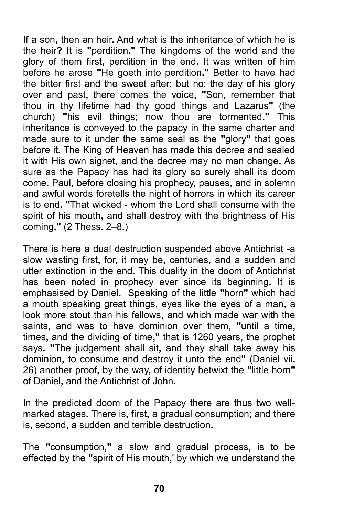If a son**,** then an heir**.** And what is the inheritance of which he is the heir**?** It is **"**perdition**."** The kingdoms of the world and the glory of them first**,** perdition in the end**.** It was written of him before he arose **"**He goeth into perdition**."** Better to have had the bitter first and the sweet after; but no; the day of his glory over and past**,** there comes the voice**, "**Son**,** remember that thou in thy lifetime had thy good things and Lazarus**"** (the church) **"**his evil things; now thou are tormented**."** This inheritance is conveyed to the papacy in the same charter and made sure to it under the same seal as the **"**glory**"** that goes before it**.** The King of Heaven has made this decree and sealed it with His own signet**,** and the decree may no man change**.** As sure as the Papacy has had its glory so surely shall its doom come**.** Paul**,** before closing his prophecy**,** pauses**,** and in solemn and awful words foretells the night of horrors in which its career is to end**. "**That wicked - whom the Lord shall consume with the spirit of his mouth**,** and shall destroy with the brightness of His coming**."** (2 Thess**.** 2–8**.**)

There is here a dual destruction suspended above Antichrist -a slow wasting first**,** for**,** it may be**,** centuries**,** and a sudden and utter extinction in the end**.** This duality in the doom of Antichrist has been noted in prophecy ever since its beginning**.** It is emphasised by Daniel**.** Speaking of the little **"**horn**"** which had a mouth speaking great things**,** eyes like the eyes of a man**,** a look more stout than his fellows**,** and which made war with the saints**,** and was to have dominion over them**, "**until a time**,** times**,** and the dividing of time**,"** that is 1260 years**,** the prophet says**. "**The judgement shall sit**,** and they shall take away his dominion**,** to consume and destroy it unto the end**"** (Daniel vii**.** 26) another proof**,** by the way**,** of identity betwixt the **"**little horn**"** of Daniel**,** and the Antichrist of John**.**

In the predicted doom of the Papacy there are thus two wellmarked stages**.** There is**,** first**,** a gradual consumption; and there is**,** second**,** a sudden and terrible destruction**.**

The **"**consumption**,"** a slow and gradual process**,** is to be effected by the **"**spirit of His mouth**,**' by which we understand the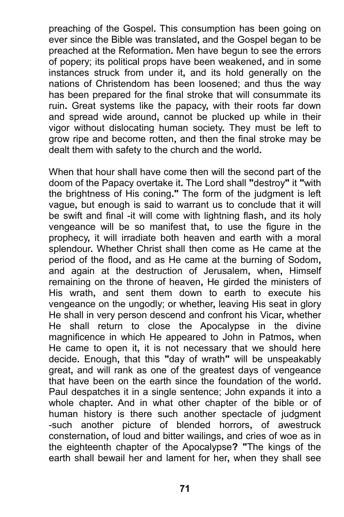preaching of the Gospel**.** This consumption has been going on ever since the Bible was translated**,** and the Gospel began to be preached at the Reformation**.** Men have begun to see the errors of popery; its political props have been weakened**,** and in some instances struck from under it**,** and its hold generally on the nations of Christendom has been loosened; and thus the way has been prepared for the final stroke that will consummate its ruin**.** Great systems like the papacy**,** with their roots far down and spread wide around**,** cannot be plucked up while in their vigor without dislocating human society**.** They must be left to grow ripe and become rotten**,** and then the final stroke may be dealt them with safety to the church and the world**.**

When that hour shall have come then will the second part of the doom of the Papacy overtake it**.** The Lord shall **"**destroy**"** it **"**with the brightness of His coning**."** The form of the judgment is left vague**,** but enough is said to warrant us to conclude that it will be swift and final -it will come with lightning flash**,** and its holy vengeance will be so manifest that**,** to use the figure in the prophecy**,** it will irradiate both heaven and earth with a moral splendour**.** Whether Christ shall then come as He came at the period of the flood**,** and as He came at the burning of Sodom**,** and again at the destruction of Jerusalem**,** when**,** Himself remaining on the throne of heaven**,** He girded the ministers of His wrath**,** and sent them down to earth to execute his vengeance on the ungodly; or whether**,** leaving His seat in glory He shall in very person descend and confront his Vicar**,** whether He shall return to close the Apocalypse in the divine magnificence in which He appeared to John in Patmos**,** when He came to open it**,** it is not necessary that we should here decide**.** Enough**,** that this **"**day of wrath**"** will be unspeakably great**,** and will rank as one of the greatest days of vengeance that have been on the earth since the foundation of the world**.** Paul despatches it in a single sentence; John expands it into a whole chapter**.** And in what other chapter of the bible or of human history is there such another spectacle of judgment -such another picture of blended horrors**,** of awestruck consternation**,** of loud and bitter wailings**,** and cries of woe as in the eighteenth chapter of the Apocalypse**? "**The kings of the earth shall bewail her and lament for her**,** when they shall see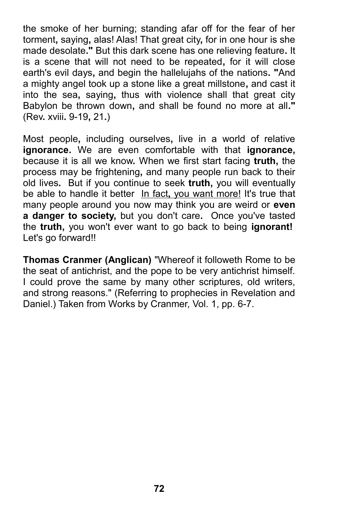the smoke of her burning; standing afar off for the fear of her torment**,** saying**,** alas! Alas! That great city**,** for in one hour is she made desolate**."** But this dark scene has one relieving feature**.** It is a scene that will not need to be repeated**,** for it will close earth's evil days**,** and begin the hallelujahs of the nations**. "**And a mighty angel took up a stone like a great millstone**,** and cast it into the sea**,** saying**,** thus with violence shall that great city Babylon be thrown down**,** and shall be found no more at all**."** (Rev**.** xviii**.** 9-19**,** 21**.**)

Most people**,** including ourselves**,** live in a world of relative **ignorance.** We are even comfortable with that **ignorance,** because it is all we know**.** When we first start facing **truth,** the process may be frightening**,** and many people run back to their old lives**.** But if you continue to seek **truth,** you will eventually be able to handle it better In fact**,** you want more! It's true that many people around you now may think you are weird or **even a danger to society,** but you don't care**.** Once you've tasted the **truth,** you won't ever want to go back to being **ignorant!** Let's go forward!!

**Thomas Cranmer (Anglican)** "Whereof it followeth Rome to be the seat of antichrist, and the pope to be very antichrist himself. I could prove the same by many other scriptures, old writers, and strong reasons." (Referring to prophecies in Revelation and Daniel.) Taken from Works by Cranmer, Vol. 1, pp. 6-7.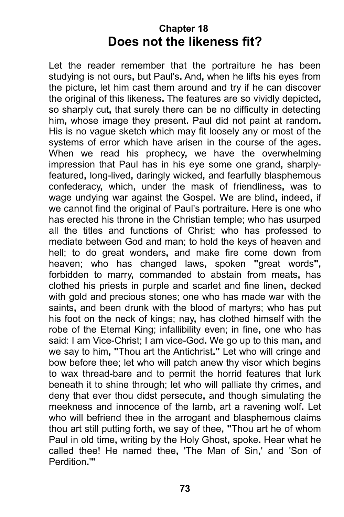### **Chapter 18 Does not the likeness fit?**

Let the reader remember that the portraiture he has been studying is not ours**,** but Paul's**.** And**,** when he lifts his eyes from the picture**,** let him cast them around and try if he can discover the original of this likeness**.** The features are so vividly depicted**,** so sharply cut**,** that surely there can be no difficulty in detecting him**,** whose image they present**.** Paul did not paint at random**.** His is no vague sketch which may fit loosely any or most of the systems of error which have arisen in the course of the ages**.** When we read his prophecy**,** we have the overwhelming impression that Paul has in his eye some one grand**,** sharplyfeatured**,** long-lived**,** daringly wicked**,** and fearfully blasphemous confederacy**,** which**,** under the mask of friendliness**,** was to wage undying war against the Gospel**.** We are blind**,** indeed**,** if we cannot find the original of Paul's portraiture**.** Here is one who has erected his throne in the Christian temple; who has usurped all the titles and functions of Christ; who has professed to mediate between God and man; to hold the keys of heaven and hell; to do great wonders**,** and make fire come down from heaven; who has changed laws**,** spoken **"**great words**",** forbidden to marry**,** commanded to abstain from meats**,** has clothed his priests in purple and scarlet and fine linen**,** decked with gold and precious stones; one who has made war with the saints**,** and been drunk with the blood of martyrs; who has put his foot on the neck of kings; nay**,** has clothed himself with the robe of the Eternal King; infallibility even; in fine**,** one who has said: I am Vice-Christ; I am vice-God**.** We go up to this man**,** and we say to him**, "**Thou art the Antichrist**."** Let who will cringe and bow before thee; let who will patch anew thy visor which begins to wax thread-bare and to permit the horrid features that lurk beneath it to shine through; let who will palliate thy crimes**,** and deny that ever thou didst persecute**,** and though simulating the meekness and innocence of the lamb**,** art a ravening wolf**.** Let who will befriend thee in the arrogant and blasphemous claims thou art still putting forth**,** we say of thee**, "**Thou art he of whom Paul in old time**,** writing by the Holy Ghost**,** spoke**.** Hear what he called thee! He named thee**,** 'The Man of Sin**,**' and 'Son of Perdition**.**'**"**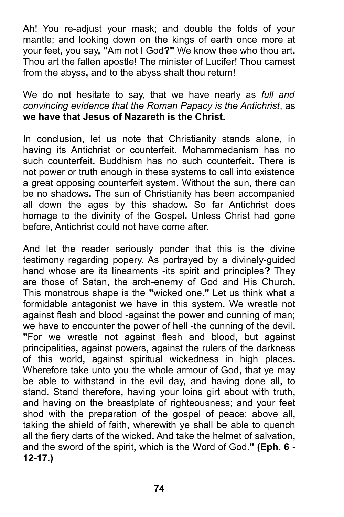Ah! You re-adjust your mask; and double the folds of your mantle; and looking down on the kings of earth once more at your feet**,** you say**, "**Am not I God**?"** We know thee who thou art**.** Thou art the fallen apostle! The minister of Lucifer! Thou camest from the abyss**,** and to the abyss shalt thou return!

We do not hesitate to say, that we have nearly as *full and convincing evidence that the Roman Papacy is the Antichrist*, as **we have that Jesus of Nazareth is the Christ.**

In conclusion**,** let us note that Christianity stands alone**,** in having its Antichrist or counterfeit**.** Mohammedanism has no such counterfeit**.** Buddhism has no such counterfeit**.** There is not power or truth enough in these systems to call into existence a great opposing counterfeit system**.** Without the sun**,** there can be no shadows**.** The sun of Christianity has been accompanied all down the ages by this shadow**.** So far Antichrist does homage to the divinity of the Gospel**.** Unless Christ had gone before**,** Antichrist could not have come after**.**

And let the reader seriously ponder that this is the divine testimony regarding popery**.** As portrayed by a divinely-guided hand whose are its lineaments -its spirit and principles**?** They are those of Satan**,** the arch-enemy of God and His Church**.** This monstrous shape is the **"**wicked one**."** Let us think what a formidable antagonist we have in this system**.** We wrestle not against flesh and blood -against the power and cunning of man; we have to encounter the power of hell -the cunning of the devil**. "**For we wrestle not against flesh and blood**,** but against principalities**,** against powers**,** against the rulers of the darkness of this world**,** against spiritual wickedness in high places**.** Wherefore take unto you the whole armour of God**,** that ye may be able to withstand in the evil day**,** and having done all**,** to stand**.** Stand therefore**,** having your loins girt about with truth**,** and having on the breastplate of righteousness; and your feet shod with the preparation of the gospel of peace; above all**,** taking the shield of faith**,** wherewith ye shall be able to quench all the fiery darts of the wicked**.** And take the helmet of salvation**,** and the sword of the spirit**,** which is the Word of God**." (Eph. 6 - 12-17.)**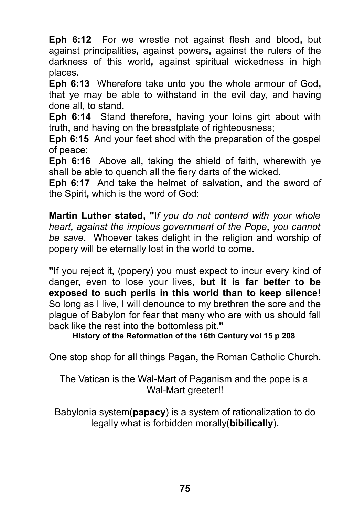**Eph 6:12** For we wrestle not against flesh and blood**,** but against principalities**,** against powers**,** against the rulers of the darkness of this world**,** against spiritual wickedness in high places**.**

**Eph 6:13** Wherefore take unto you the whole armour of God**,** that ye may be able to withstand in the evil day**,** and having done all**,** to stand**.**

**Eph 6:14** Stand therefore**,** having your loins girt about with truth**,** and having on the breastplate of righteousness;

**Eph 6:15** And your feet shod with the preparation of the gospel of peace;

**Eph 6:16** Above all**,** taking the shield of faith**,** wherewith ye shall be able to quench all the fiery darts of the wicked**.**

**Eph 6:17** And take the helmet of salvation**,** and the sword of the Spirit**,** which is the word of God:

**Martin Luther stated, "**I*f you do not contend with your whole heart, against the impious government of the Pope, you cannot be save***.** Whoever takes delight in the religion and worship of popery will be eternally lost in the world to come**.**

**"**If you reject it**,** (popery) you must expect to incur every kind of danger**,** even to lose your lives**, but it is far better to be exposed to such perils in this world than to keep silence!** So long as I live**,** I will denounce to my brethren the sore and the plague of Babylon for fear that many who are with us should fall back like the rest into the bottomless pit**."**

**History of the Reformation of the 16th Century vol 15 p 208** 

One stop shop for all things Pagan**,** the Roman Catholic Church**.**

The Vatican is the Wal-Mart of Paganism and the pope is a Wal-Mart greeter!!

Babylonia system(**papacy**) is a system of rationalization to do legally what is forbidden morally(**bibilically**)**.**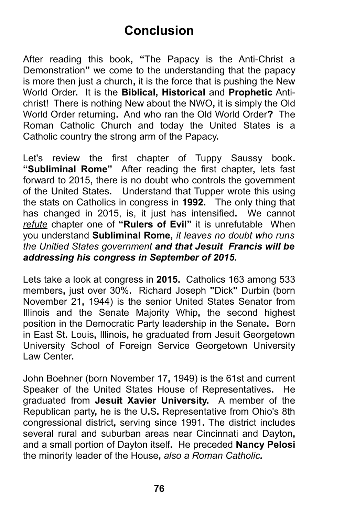## **Conclusion**

After reading this book**, "**The Papacy is the Anti-Christ a Demonstration**"** we come to the understanding that the papacy is more then just a church**,** it is the force that is pushing the New World Order**.** It is the **Biblical, Historical** and **Prophetic** Antichrist! There is nothing New about the NWO**,** it is simply the Old World Order returning**.** And who ran the Old World Order**?** The Roman Catholic Church and today the United States is a Catholic country the strong arm of the Papacy**.**

Let's review the first chapter of Tuppy Saussy book**. "Subliminal Rome"** After reading the first chapter**,** lets fast forward to 2015**,** there is no doubt who controls the government of the United States**.** Understand that Tupper wrote this using the stats on Catholics in congress in **1992.** The only thing that has changed in 2015, is, it just has intensified**.** We cannot *refute* chapter one of **"Rulers of Evil"** it is unrefutable When you understand **Subliminal Rome,** *it leaves no doubt who runs the Unitied States government and that Jesuit Francis will be addressing his congress in September of 2015.*

Lets take a look at congress in **2015.** Catholics 163 among 533 members**,** just over 30%**.** Richard Joseph **"**Dick**"** Durbin (born November 21**,** 1944) is the senior United States Senator from Illinois and the Senate Majority Whip**,** the second highest position in the Democratic Party leadership in the Senate**.** Born in East St**.** Louis**,** Illinois**,** he graduated from Jesuit Georgetown University School of Foreign Service Georgetown University Law Center**.**

John Boehner (born November 17**,** 1949) is the 61st and current Speaker of the United States House of Representatives**.** He graduated from **Jesuit Xavier University.** A member of the Republican party**,** he is the U**.**S**.** Representative from Ohio's 8th congressional district**,** serving since 1991**.** The district includes several rural and suburban areas near Cincinnati and Dayton**,** and a small portion of Dayton itself**.** He preceded **Nancy Pelosi** the minority leader of the House**,** *also a Roman Catholic.*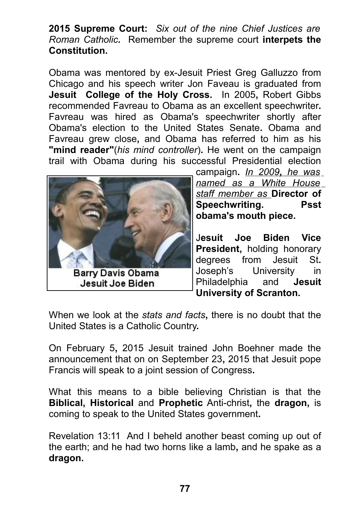**2015 Supreme Court:** *Six out of the nine Chief Justices are Roman Catholic.* Remember the supreme court **interpets the Constitution.** 

Obama was mentored by ex-Jesuit Priest Greg Galluzzo from Chicago and his speech writer Jon Faveau is graduated from **Jesuit College of the Holy Cross.** In 2005**,** Robert Gibbs recommended Favreau to Obama as an excellent speechwriter**.** Favreau was hired as Obama's speechwriter shortly after Obama's election to the United States Senate**.** Obama and Favreau grew close**,** and Obama has referred to him as his **"mind reader"**(*his mind controller*)**.** He went on the campaign trail with Obama during his successful Presidential election



campaign**.** *In 2009, he was named as a White House staff member as* **Director of Speechwriting. Psst obama's mouth piece.**

J**esuit Joe Biden Vice President,** holding honorary degrees from Jesuit St**.** Joseph's University in Philadelphia and **Jesuit University of Scranton.**

When we look at the *stats and facts***,** there is no doubt that the United States is a Catholic Country**.**

On February 5**,** 2015 Jesuit trained John Boehner made the announcement that on on September 23**,** 2015 that Jesuit pope Francis will speak to a joint session of Congress**.**

What this means to a bible believing Christian is that the **Biblical, Historical** and **Prophetic** Anti-christ**,** the **dragon,** is coming to speak to the United States government**.**

Revelation 13:11 And I beheld another beast coming up out of the earth; and he had two horns like a lamb**,** and he spake as a **dragon.**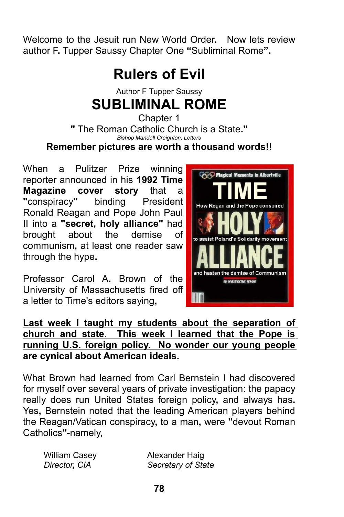Welcome to the Jesuit run New World Order**.** Now lets review author F**.** Tupper Saussy Chapter One **"**Subliminal Rome**".**

# **Rulers of Evil**

### Author F Tupper Saussy **SUBLIMINAL ROME**

#### Chapter 1 **"** The Roman Catholic Church is a State**."** *Bishop Mandell Creighton, Letters* **Remember pictures are worth a thousand words!!**

When a Pulitzer Prize winning reporter announced in his **1992 Time Magazine cover story** that a **"**conspiracy**"** binding President Ronald Reagan and Pope John Paul II into a **"secret, holy alliance"** had brought about the demise of communism**,** at least one reader saw through the hype**.**

Professor Carol A**.** Brown of the University of Massachusetts fired off a letter to Time's editors saying**,**



**Last week I taught my students about the separation of church and state. This week I learned that the Pope is running U. S. foreign policy. No wonder our young people are cynical about American ideals.**

What Brown had learned from Carl Bernstein I had discovered for myself over several years of private investigation: the papacy really does run United States foreign policy**,** and always has**.** Yes**,** Bernstein noted that the leading American players behind the Reagan/Vatican conspiracy**,** to a man**,** were **"**devout Roman Catholics**"**-namely**,**

William Casey *Director, CIA*

Alexander Haig *Secretary of State*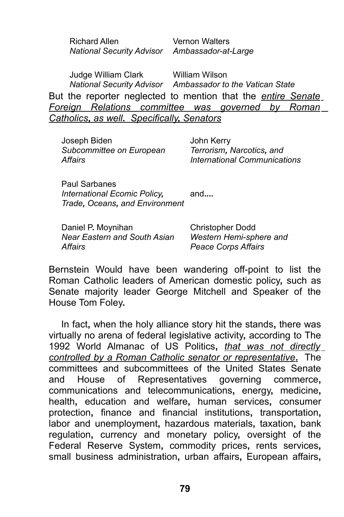Richard Allen *National Security Advisor* Vernon Walters *Ambassador-at-Large*

Judge William Clark *National Security Advisor Ambassador to the Vatican State* William Wilson But the reporter neglected to mention that the *entire Senate Foreign Relations committee was governed by Roman Catholics, as well. Specifically, Senators*

| Joseph Biden                                                                           | John Kerry                          |
|----------------------------------------------------------------------------------------|-------------------------------------|
| Subcommittee on European                                                               | Terrorism, Narcotics, and           |
| Affairs                                                                                | <b>International Communications</b> |
| <b>Paul Sarbanes</b><br>International Ecomic Policy,<br>Trade, Oceans, and Environment | and                                 |

Daniel P**.** Moynihan *Near Eastern and South Asian Affairs* Christopher Dodd *Western Hemi-sphere and Peace Corps Affairs*

Bernstein Would have been wandering off-point to list the Roman Catholic leaders of American domestic policy**,** such as Senate majority leader George Mitchell and Speaker of the House Tom Foley**.**

 In fact**,** when the holy alliance story hit the stands**,** there was virtually no arena of federal legislative activity**,** according to The 1992 World Almanac of US Politics**,** *that was not directly controlled by a Roman Catholic senator or representative.* The committees and subcommittees of the United States Senate and House of Representatives governing commerce**,** communications and telecommunications**,** energy**,** medicine**,** health**,** education and welfare**,** human services**,** consumer protection**,** finance and financial institutions**,** transportation**,** labor and unemployment**,** hazardous materials**,** taxation**,** bank regulation**,** currency and monetary policy**,** oversight of the Federal Reserve System**,** commodity prices**,** rents services**,** small business administration**,** urban affairs**,** European affairs**,**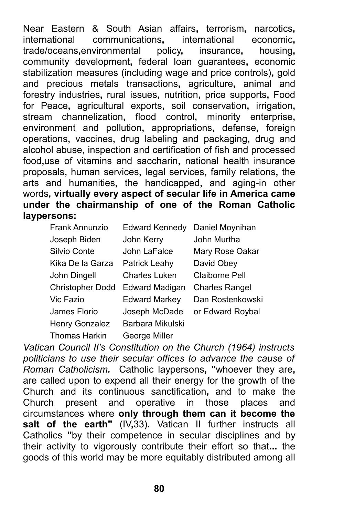Near Eastern & South Asian affairs**,** terrorism**,** narcotics**,** international communications**,** international economic**,** trade/oceans**,**environmental policy**,** insurance**,** housing**,** community development**,** federal loan guarantees**,** economic stabilization measures (including wage and price controls)**,** gold and precious metals transactions**,** agriculture**,** animal and forestry industries**,** rural issues**,** nutrition**,** price supports**,** Food for Peace**,** agricultural exports**,** soil conservation**,** irrigation**,** stream channelization**,** flood control**,** minority enterprise**,** environment and pollution**,** appropriations**,** defense**,** foreign operations**,** vaccines**,** drug labeling and packaging**,** drug and alcohol abuse**,** inspection and certification of fish and processed food**,**use of vitamins and saccharin**,** national health insurance proposals**,** human services**,** legal services**,** family relations**,** the arts and humanities**,** the handicapped**,** and aging-in other words**, virtually every aspect of secular life in America came under the chairmanship of one of the Roman Catholic laypersons:**

| Frank Annunzio          | <b>Edward Kennedy</b> | Daniel Moynihan       |
|-------------------------|-----------------------|-----------------------|
| Joseph Biden            | John Kerry            | John Murtha           |
| Silvio Conte            | John LaFalce          | Mary Rose Oakar       |
| Kika De la Garza        | Patrick Leahy         | David Obey            |
| John Dingell            | <b>Charles Luken</b>  | Claiborne Pell        |
| <b>Christopher Dodd</b> | <b>Edward Madigan</b> | <b>Charles Rangel</b> |
| Vic Fazio               | <b>Edward Markey</b>  | Dan Rostenkowski      |
| James Florio            | Joseph McDade         | or Edward Roybal      |
| Henry Gonzalez          | Barbara Mikulski      |                       |
| <b>Thomas Harkin</b>    | George Miller         |                       |

*Vatican Council II's Constitution on the Church (1964) instructs politicians to use their secular offices to advance the cause of Roman Catholicism.* Catholic laypersons**, "**whoever they are**,** are called upon to expend all their energy for the growth of the Church and its continuous sanctification**,** and to make the Church present and operative in those places and circumstances where **only through them can it become the salt of the earth"** (IV**,**33)**.** Vatican II further instructs all Catholics **"**by their competence in secular disciplines and by their activity to vigorously contribute their effort so that**...** the goods of this world may be more equitably distributed among all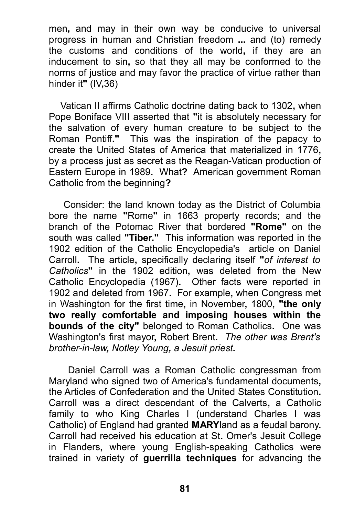men**,** and may in their own way be conducive to universal progress in human and Christian freedom **...** and (to) remedy the customs and conditions of the world**,** if they are an inducement to sin**,** so that they all may be conformed to the norms of justice and may favor the practice of virtue rather than hinder it**"** (IV**,**36)

 Vatican II affirms Catholic doctrine dating back to 1302**,** when Pope Boniface VIII asserted that **"**it is absolutely necessary for the salvation of every human creature to be subject to the Roman Pontiff**."** This was the inspiration of the papacy to create the United States of America that materialized in 1776**,** by a process just as secret as the Reagan-Vatican production of Eastern Europe in 1989**.** What**?** American government Roman Catholic from the beginning**?**

 Consider: the land known today as the District of Columbia bore the name **"**Rome**"** in 1663 property records; and the branch of the Potomac River that bordered **"Rome"** on the south was called **"Tiber."** This information was reported in the 1902 edition of the Catholic Encyclopedia's article on Daniel Carroll**.** The article**,** specifically declaring itself **"***of interest to Catholics***"** in the 1902 edition**,** was deleted from the New Catholic Encyclopedia (1967)**.** Other facts were reported in 1902 and deleted from 1967**.** For example**,** when Congress met in Washington for the first time**,** in November**,** 1800**, "the only two really comfortable and imposing houses within the bounds of the city"** belonged to Roman Catholics**.** One was Washington's first mayor**,** Robert Brent**.** *The other was Brent's brother-in-law, Notley Young, a Jesuit priest.*

 Daniel Carroll was a Roman Catholic congressman from Maryland who signed two of America's fundamental documents**,** the Articles of Confederation and the United States Constitution**.** Carroll was a direct descendant of the Calverts**,** a Catholic family to who King Charles I (understand Charles I was Catholic) of England had granted **MARY**land as a feudal barony**.** Carroll had received his education at St**.** Omer's Jesuit College in Flanders**,** where young English-speaking Catholics were trained in variety of **guerrilla techniques** for advancing the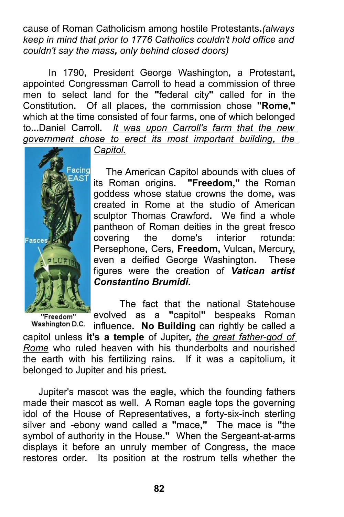cause of Roman Catholicism among hostile Protestants**.***(always keep in mind that prior to 1776 Catholics couldn't hold office and couldn't say the mass, only behind closed doors)*

 In 1790**,** President George Washington**,** a Protestant**,** appointed Congressman Carroll to head a commission of three men to select land for the **"**federal city**"** called for in the Constitution**.** Of all places**,** the commission chose **"Rome,"** which at the time consisted of four farms**,** one of which belonged to**...**Daniel Carroll**.** *It was upon Carroll's farm that the new government chose to erect its most important building, the*



 *Capitol.*

 The American Capitol abounds with clues of its Roman origins**. "Freedom,"** the Roman goddess whose statue crowns the dome**,** was created in Rome at the studio of American sculptor Thomas Crawford**.** We find a whole pantheon of Roman deities in the great fresco covering the dome's interior rotunda: Persephone**,** Cers**, Freedom,** Vulcan**,** Mercury**,** even a deified George Washington**.** These figures were the creation of *Vatican artist Constantino Brumidi***.**

The fact that the national Statehouse

evolved as a **"**capitol**"** bespeaks Roman 'Freedom' Washington D.C. influence**. No Building** can rightly be called a capitol unless **it's a temple** of Jupiter**,** *the great father-god of Rome* who ruled heaven with his thunderbolts and nourished the earth with his fertilizing rains**.** If it was a capitolium**,** it belonged to Jupiter and his priest**.**

 Jupiter's mascot was the eagle**,** which the founding fathers made their mascot as well**.** A Roman eagle tops the governing idol of the House of Representatives**,** a forty-six-inch sterling silver and -ebony wand called a **"**mace**,"** The mace is **"**the symbol of authority in the House**."** When the Sergeant-at-arms displays it before an unruly member of Congress**,** the mace restores order**.** Its position at the rostrum tells whether the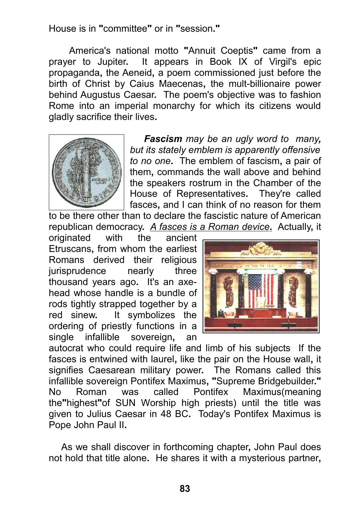House is in **"**committee**"** or in **"**session**."**

 America's national motto **"**Annuit Coeptis**"** came from a prayer to Jupiter**.** It appears in Book IX of Virgil's epic propaganda**,** the Aeneid**,** a poem commissioned just before the birth of Christ by Caius Maecenas**,** the mult-billionaire power behind Augustus Caesar**.** The poem's objective was to fashion Rome into an imperial monarchy for which its citizens would gladly sacrifice their lives**.**



 *Fascism may be an ugly word to many, but its stately emblem is apparently offensive to no one.* The emblem of fascism**,** a pair of them**,** commands the wall above and behind the speakers rostrum in the Chamber of the House of Representatives**.** They're called fasces**,** and I can think of no reason for them

to be there other than to declare the fascistic nature of American republican democracy**.** *A fasces is a Roman device.* Actually**,** it

originated with the ancient Etruscans**,** from whom the earliest Romans derived their religious jurisprudence nearly three thousand years ago**.** It's an axehead whose handle is a bundle of rods tightly strapped together by a red sinew**.** It symbolizes the ordering of priestly functions in a single infallible sovereign**,** an



autocrat who could require life and limb of his subjects If the fasces is entwined with laurel**,** like the pair on the House wall**,** it signifies Caesarean military power**.** The Romans called this infallible sovereign Pontifex Maximus**, "**Supreme Bridgebuilder**."** No Roman was called Pontifex Maximus(meaning the**"**highest**"**of SUN Worship high priests) until the title was given to Julius Caesar in 48 BC**.** Today's Pontifex Maximus is Pope John Paul II**.**

 As we shall discover in forthcoming chapter**,** John Paul does not hold that title alone**.** He shares it with a mysterious partner**,**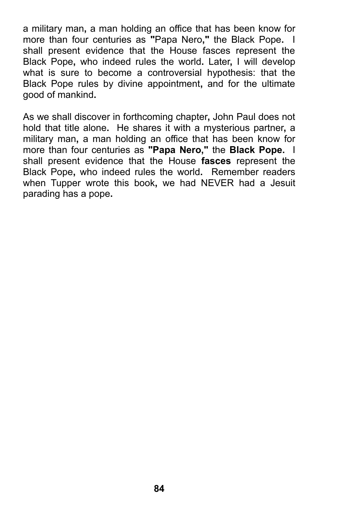a military man**,** a man holding an office that has been know for more than four centuries as **"**Papa Nero**,"** the Black Pope**.** I shall present evidence that the House fasces represent the Black Pope**,** who indeed rules the world**.** Later**,** I will develop what is sure to become a controversial hypothesis: that the Black Pope rules by divine appointment**,** and for the ultimate good of mankind**.**

As we shall discover in forthcoming chapter**,** John Paul does not hold that title alone**.** He shares it with a mysterious partner**,** a military man**,** a man holding an office that has been know for more than four centuries as **"Papa Nero,"** the **Black Pope.** I shall present evidence that the House **fasces** represent the Black Pope**,** who indeed rules the world**.** Remember readers when Tupper wrote this book**,** we had NEVER had a Jesuit parading has a pope**.**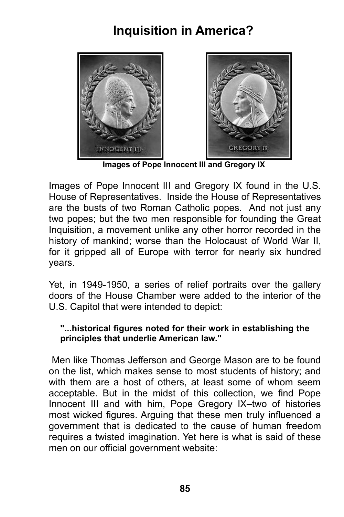# **Inquisition in America?**



**Images of Pope Innocent III and Gregory IX** 

Images of Pope Innocent III and Gregory IX found in the U.S. House of Representatives. Inside the House of Representatives are the busts of two Roman Catholic popes. And not just any two popes; but the two men responsible for founding the Great Inquisition, a movement unlike any other horror recorded in the history of mankind; worse than the Holocaust of World War II, for it gripped all of Europe with terror for nearly six hundred years.

Yet, in 1949-1950, a series of relief portraits over the gallery doors of the House Chamber were added to the interior of the U.S. Capitol that were intended to depict:

#### **"...historical figures noted for their work in establishing the principles that underlie American law."**

 Men like Thomas Jefferson and George Mason are to be found on the list, which makes sense to most students of history; and with them are a host of others, at least some of whom seem acceptable. But in the midst of this collection, we find Pope Innocent III and with him, Pope Gregory IX–two of histories most wicked figures. Arguing that these men truly influenced a government that is dedicated to the cause of human freedom requires a twisted imagination. Yet here is what is said of these men on our official government website: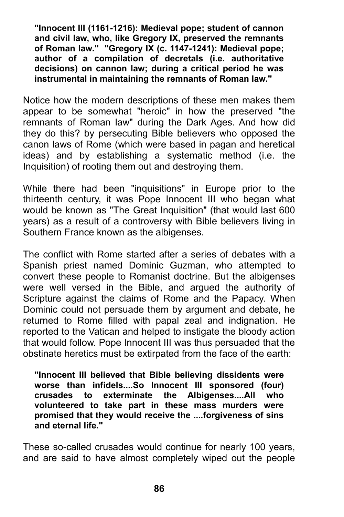**"Innocent III (1161-1216): Medieval pope; student of cannon and civil law, who, like Gregory IX, preserved the remnants of Roman law." "Gregory IX (c. 1147-1241): Medieval pope; author of a compilation of decretals (i.e. authoritative decisions) on cannon law; during a critical period he was instrumental in maintaining the remnants of Roman law."**

Notice how the modern descriptions of these men makes them appear to be somewhat "heroic" in how the preserved "the remnants of Roman law" during the Dark Ages. And how did they do this? by persecuting Bible believers who opposed the canon laws of Rome (which were based in pagan and heretical ideas) and by establishing a systematic method (i.e. the Inquisition) of rooting them out and destroying them.

While there had been "inquisitions" in Europe prior to the thirteenth century, it was Pope Innocent III who began what would be known as "The Great Inquisition" (that would last 600 years) as a result of a controversy with Bible believers living in Southern France known as the albigenses.

The conflict with Rome started after a series of debates with a Spanish priest named Dominic Guzman, who attempted to convert these people to Romanist doctrine. But the albigenses were well versed in the Bible, and argued the authority of Scripture against the claims of Rome and the Papacy. When Dominic could not persuade them by argument and debate, he returned to Rome filled with papal zeal and indignation. He reported to the Vatican and helped to instigate the bloody action that would follow. Pope Innocent III was thus persuaded that the obstinate heretics must be extirpated from the face of the earth:

**"Innocent III believed that Bible believing dissidents were worse than infidels....So Innocent III sponsored (four) crusades to exterminate the Albigenses....All who volunteered to take part in these mass murders were promised that they would receive the ....forgiveness of sins and eternal life."**

These so-called crusades would continue for nearly 100 years, and are said to have almost completely wiped out the people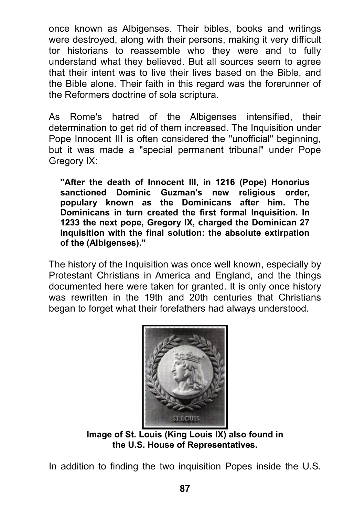once known as Albigenses. Their bibles, books and writings were destroyed, along with their persons, making it very difficult tor historians to reassemble who they were and to fully understand what they believed. But all sources seem to agree that their intent was to live their lives based on the Bible, and the Bible alone. Their faith in this regard was the forerunner of the Reformers doctrine of sola scriptura.

As Rome's hatred of the Albigenses intensified, their determination to get rid of them increased. The Inquisition under Pope Innocent III is often considered the "unofficial" beginning, but it was made a "special permanent tribunal" under Pope Gregory IX:

**"After the death of Innocent III, in 1216 (Pope) Honorius sanctioned Dominic Guzman's new religious order, populary known as the Dominicans after him. The Dominicans in turn created the first formal Inquisition. In 1233 the next pope, Gregory IX, charged the Dominican 27 Inquisition with the final solution: the absolute extirpation of the (Albigenses)."**

The history of the Inquisition was once well known, especially by Protestant Christians in America and England, and the things documented here were taken for granted. It is only once history was rewritten in the 19th and 20th centuries that Christians began to forget what their forefathers had always understood.



**Image of St. Louis (King Louis IX) also found in the U.S. House of Representatives.**

In addition to finding the two inquisition Popes inside the U.S.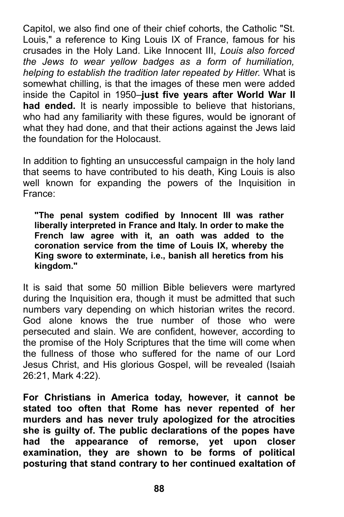Capitol, we also find one of their chief cohorts, the Catholic "St. Louis," a reference to King Louis IX of France, famous for his crusades in the Holy Land. Like Innocent III, *Louis also forced the Jews to wear yellow badges as a form of humiliation, helping to establish the tradition later repeated by Hitler.* What is somewhat chilling, is that the images of these men were added inside the Capitol in 1950–**just five years after World War II had ended.** It is nearly impossible to believe that historians, who had any familiarity with these figures, would be ignorant of what they had done, and that their actions against the Jews laid the foundation for the Holocaust.

In addition to fighting an unsuccessful campaign in the holy land that seems to have contributed to his death, King Louis is also well known for expanding the powers of the Inquisition in France:

**"The penal system codified by Innocent III was rather liberally interpreted in France and Italy. In order to make the French law agree with it, an oath was added to the coronation service from the time of Louis IX, whereby the King swore to exterminate, i.e., banish all heretics from his kingdom."** 

It is said that some 50 million Bible believers were martyred during the Inquisition era, though it must be admitted that such numbers vary depending on which historian writes the record. God alone knows the true number of those who were persecuted and slain. We are confident, however, according to the promise of the Holy Scriptures that the time will come when the fullness of those who suffered for the name of our Lord Jesus Christ, and His glorious Gospel, will be revealed (Isaiah 26:21, Mark 4:22).

**For Christians in America today, however, it cannot be stated too often that Rome has never repented of her murders and has never truly apologized for the atrocities she is guilty of. The public declarations of the popes have had the appearance of remorse, yet upon closer examination, they are shown to be forms of political posturing that stand contrary to her continued exaltation of**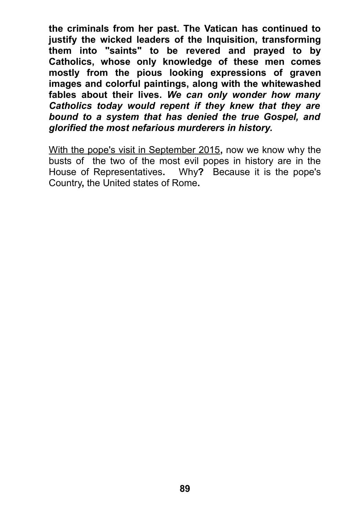**the criminals from her past. The Vatican has continued to justify the wicked leaders of the Inquisition, transforming them into "saints" to be revered and prayed to by Catholics, whose only knowledge of these men comes mostly from the pious looking expressions of graven images and colorful paintings, along with the whitewashed fables about their lives.** *We can only wonder how many Catholics today would repent if they knew that they are bound to a system that has denied the true Gospel, and glorified the most nefarious murderers in history.* 

With the pope's visit in September 2015**,** now we know why the busts of the two of the most evil popes in history are in the House of Representatives**.** Why**?** Because it is the pope's Country**,** the United states of Rome**.**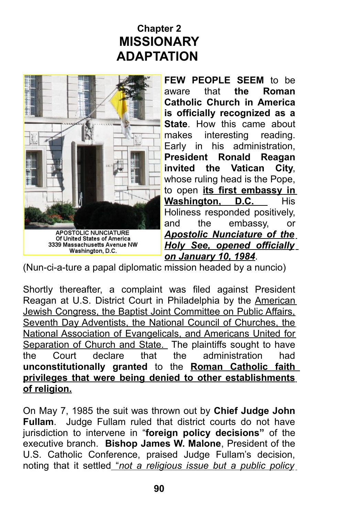## **Chapter 2 MISSIONARY ADAPTATION**



**FEW PEOPLE SEEM** to be aware that **the Roman Catholic Church in America is officially recognized as a State**. How this came about makes interesting reading. Early in his administration, **President Ronald Reagan invited the Vatican City**, whose ruling head is the Pope, to open **its first embassy in Washington, D.C.** His Holiness responded positively, and the embassy, or *Apostolic Nunciature of the Holy See, opened officially on January 10, 1984*.

(Nun-ci-a-ture a papal diplomatic mission headed by a nuncio)

Shortly thereafter, a complaint was filed against President Reagan at U.S. District Court in Philadelphia by the American Jewish Congress, the Baptist Joint Committee on Public Affairs, Seventh Day Adventists, the National Council of Churches, the National Association of Evangelicals, and Americans United for Separation of Church and State. The plaintiffs sought to have the Court declare that the administration had **unconstitutionally granted** to the **Roman Catholic faith privileges that were being denied to other establishments of religion.**

On May 7, 1985 the suit was thrown out by **Chief Judge John Fullam**. Judge Fullam ruled that district courts do not have jurisdiction to intervene in "**foreign policy decisions"** of the executive branch. **Bishop James W. Malone**, President of the U.S. Catholic Conference, praised Judge Fullam's decision, noting that it settled " *not a religious issue but a public policy*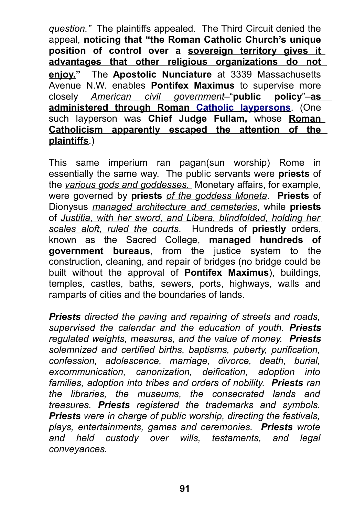*question."* The plaintiffs appealed. The Third Circuit denied the appeal, **noticing that "the Roman Catholic Church's unique position of control over a sovereign territory gives it advantages that other religious organizations do not enjoy."** The **Apostolic Nunciature** at 3339 Massachusetts Avenue N.W. enables **Pontifex Maximus** to supervise more closely *American civil government*–"**public policy**"–**as administered through Roman [Catholic laypersons](http://www.granddesignexposed.com/rulersof/evil2.html)**. (One such layperson was **Chief Judge Fullam,** whose **Roman Catholicism apparently escaped the attention of the plaintiffs**.)

This same imperium ran pagan(sun worship) Rome in essentially the same way. The public servants were **priests** of the *various gods and goddesses.* Monetary affairs, for example, were governed by **priests** *of the goddess Moneta*. **Priests** of Dionysus *managed architecture and cemeteries*, while **priests** of *Justitia, with her sword, and Libera, blindfolded, holding her scales aloft, ruled the courts*. Hundreds of **priestly** orders, known as the Sacred College, **managed hundreds of** government bureaus, from the justice system to the construction, cleaning, and repair of bridges (no bridge could be built without the approval of **Pontifex Maximus** ), buildings, temples, castles, baths, sewers, ports, highways, walls and ramparts of cities and the boundaries of lands.

*Priests directed the paving and repairing of streets and roads, supervised the calendar and the education of youth. Priests regulated weights, measures, and the value of money. Priests solemnized and certified births, baptisms, puberty, purification, confession, adolescence, marriage, divorce, death, burial, excommunication, canonization, deification, adoption into families, adoption into tribes and orders of nobility. Priests ran the libraries, the museums, the consecrated lands and treasures. Priests registered the trademarks and symbols. Priests were in charge of public worship, directing the festivals, plays, entertainments, games and ceremonies. Priests wrote and held custody over wills, testaments, and legal conveyances.*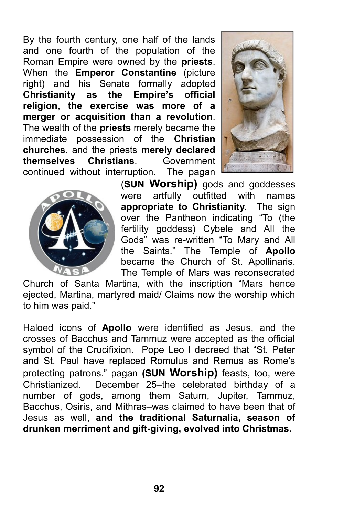By the fourth century, one half of the lands and one fourth of the population of the Roman Empire were owned by the **priests**. When the **Emperor Constantine** (picture right) and his Senate formally adopted **Christianity as the Empire's official religion, the exercise was more of a merger or acquisition than a revolution**. The wealth of the **priests** merely became the immediate possession of the **Christian churches**, and the priests **merely declared themselves Christians**. Government continued without interruption. The pagan





(**SUN Worship)** gods and goddesses were artfully outfitted with names **appropriate to Christianity**. The sign over the Pantheon indicating "To (the fertility goddess) Cybele and All the Gods" was re-written "To Mary and All the Saints." The Temple of **Apollo** became the Church of St. Apollinaris. The Temple of Mars was reconsecrated

Church of Santa Martina, with the inscription "Mars hence ejected, Martina, martyred maid/ Claims now the worship which to him was paid."

Haloed icons of **Apollo** were identified as Jesus, and the crosses of Bacchus and Tammuz were accepted as the official symbol of the Crucifixion. Pope Leo I decreed that "St. Peter and St. Paul have replaced Romulus and Remus as Rome's protecting patrons." pagan **(SUN Worship)** feasts, too, were Christianized. December 25–the celebrated birthday of a number of gods, among them Saturn, Jupiter, Tammuz, Bacchus, Osiris, and Mithras–was claimed to have been that of Jesus as well, **and the traditional Saturnalia, season of drunken merriment and gift-giving, evolved into Christmas.**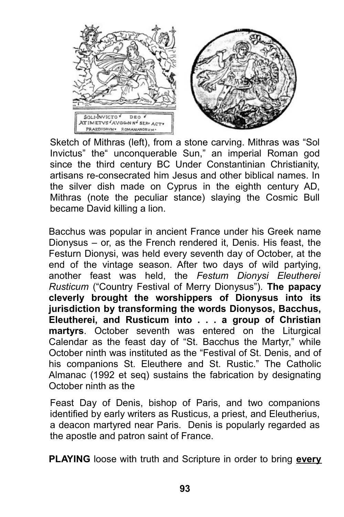

Sketch of Mithras (left), from a stone carving. Mithras was "Sol Invictus" the" unconquerable Sun," an imperial Roman god since the third century BC Under Constantinian Christianity, artisans re-consecrated him Jesus and other biblical names. In the silver dish made on Cyprus in the eighth century AD, Mithras (note the peculiar stance) slaying the Cosmic Bull became David killing a lion.

Bacchus was popular in ancient France under his Greek name Dionysus – or, as the French rendered it, Denis. His feast, the Festurn Dionysi, was held every seventh day of October, at the end of the vintage season. After two days of wild partying, another feast was held, the *Festum Dionysi Eleutherei Rusticum* ("Country Festival of Merry Dionysus"). **The papacy cleverly brought the worshippers of Dionysus into its jurisdiction by transforming the words Dionysos, Bacchus, Eleutherei, and Rusticum into . . . a group of Christian martyrs**. October seventh was entered on the Liturgical Calendar as the feast day of "St. Bacchus the Martyr," while October ninth was instituted as the "Festival of St. Denis, and of his companions St. Eleuthere and St. Rustic." The Catholic Almanac (1992 et seq) sustains the fabrication by designating October ninth as the

Feast Day of Denis, bishop of Paris, and two companions identified by early writers as Rusticus, a priest, and Eleutherius, a deacon martyred near Paris. Denis is popularly regarded as the apostle and patron saint of France.

**PLAYING** loose with truth and Scripture in order to bring **every**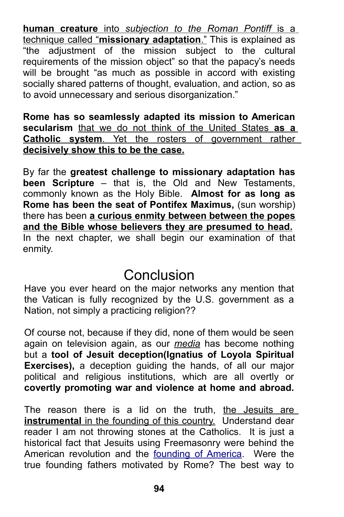**human creature** into *subjection to the Roman Pontiff* is a technique called " **missionary adaptation** ." This is explained as "the adjustment of the mission subject to the cultural requirements of the mission object" so that the papacy's needs will be brought "as much as possible in accord with existing socially shared patterns of thought, evaluation, and action, so as to avoid unnecessary and serious disorganization."

**Rome has so seamlessly adapted its mission to American secularism** that we do not think of the United States **as a Catholic system**. Yet the rosters of government rather **decisively show this to be the case.**

By far the **greatest challenge to missionary adaptation has been Scripture** – that is, the Old and New Testaments, commonly known as the Holy Bible. **Almost for as long as Rome has been the seat of Pontifex Maximus,** (sun worship) there has been **a curious enmity between between the popes and the Bible whose believers they are presumed to head.** In the next chapter, we shall begin our examination of that enmity.

# **Conclusion**

Have you ever heard on the major networks any mention that the Vatican is fully recognized by the U.S. government as a Nation, not simply a practicing religion??

Of course not, because if they did, none of them would be seen again on television again, as our *media* has become nothing but a **tool of Jesuit deception(Ignatius of Loyola Spiritual Exercises),** a deception guiding the hands, of all our major political and religious institutions, which are all overtly or **covertly promoting war and violence at home and abroad.**

The reason there is a lid on the truth, the Jesuits are **instrumental** in the founding of this country. Understand dear reader I am not throwing stones at the Catholics. It is just a historical fact that Jesuits using Freemasonry were behind the American revolution and the [founding of America.](http://www.granddesignexposed.com/rulersof/evil2.html) Were the true founding fathers motivated by Rome? The best way to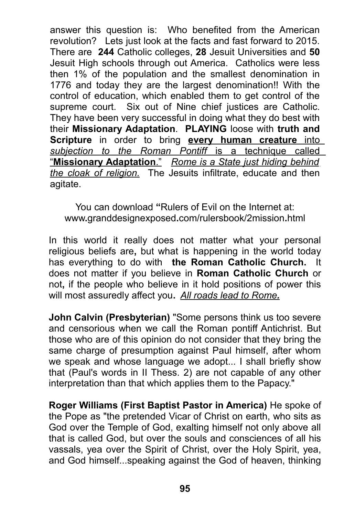answer this question is: Who benefited from the American revolution? Lets just look at the facts and fast forward to 2015. There are **244** Catholic colleges, **28** Jesuit Universities and **50** Jesuit High schools through out America. Catholics were less then 1% of the population and the smallest denomination in 1776 and today they are the largest denomination!! With the control of education, which enabled them to get control of the supreme court. Six out of Nine chief justices are Catholic. They have been very successful in doing what they do best with their **Missionary Adaptation**. **PLAYING** loose with **truth and** Scripture in order to bring **every human creature** into  *subjection to the Roman Pontiff* is a technique called " **Missionary Adaptation** ." *Rome is a State just hiding behind the cloak of religion.* The Jesuits infiltrate, educate and then agitate.

You can download **"**Rulers of Evil on the Internet at: www**.**granddesignexposed**.**com/rulersbook/2mission**.**html

In this world it really does not matter what your personal religious beliefs are**,** but what is happening in the world today has everything to do with **the Roman Catholic Church.** It does not matter if you believe in **Roman Catholic Church** or not**,** if the people who believe in it hold positions of power this will most assuredly affect you**.** *All roads lead to Rome.*

**John Calvin (Presbyterian)** "Some persons think us too severe and censorious when we call the Roman pontiff Antichrist. But those who are of this opinion do not consider that they bring the same charge of presumption against Paul himself, after whom we speak and whose language we adopt... I shall briefly show that (Paul's words in II Thess. 2) are not capable of any other interpretation than that which applies them to the Papacy."

**Roger Williams (First Baptist Pastor in America)** He spoke of the Pope as "the pretended Vicar of Christ on earth, who sits as God over the Temple of God, exalting himself not only above all that is called God, but over the souls and consciences of all his vassals, yea over the Spirit of Christ, over the Holy Spirit, yea, and God himself...speaking against the God of heaven, thinking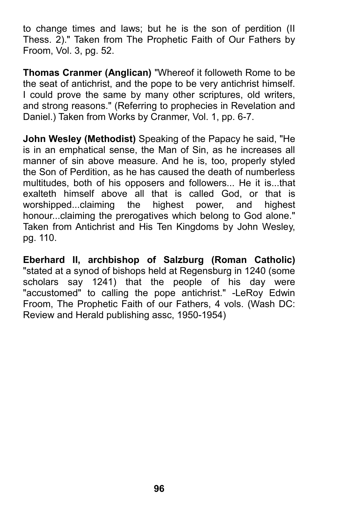to change times and laws; but he is the son of perdition (II Thess. 2)." Taken from The Prophetic Faith of Our Fathers by Froom, Vol. 3, pg. 52.

**Thomas Cranmer (Anglican)** "Whereof it followeth Rome to be the seat of antichrist, and the pope to be very antichrist himself. I could prove the same by many other scriptures, old writers, and strong reasons." (Referring to prophecies in Revelation and Daniel.) Taken from Works by Cranmer, Vol. 1, pp. 6-7.

**John Wesley (Methodist)** Speaking of the Papacy he said, "He is in an emphatical sense, the Man of Sin, as he increases all manner of sin above measure. And he is, too, properly styled the Son of Perdition, as he has caused the death of numberless multitudes, both of his opposers and followers... He it is...that exalteth himself above all that is called God, or that is worshipped...claiming the highest power, and highest honour...claiming the prerogatives which belong to God alone." Taken from Antichrist and His Ten Kingdoms by John Wesley, pg. 110.

**Eberhard II, archbishop of Salzburg (Roman Catholic)** "stated at a synod of bishops held at Regensburg in 1240 (some scholars say 1241) that the people of his day were "accustomed" to calling the pope antichrist." -LeRoy Edwin Froom, The Prophetic Faith of our Fathers, 4 vols. (Wash DC: Review and Herald publishing assc, 1950-1954)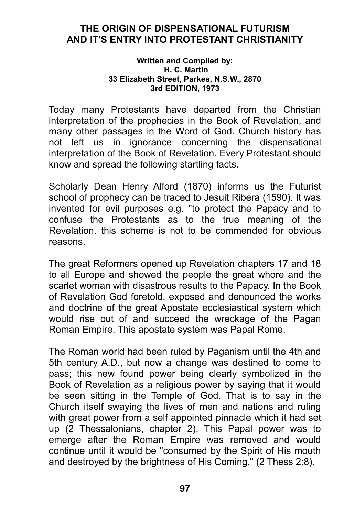#### **THE ORIGIN OF DISPENSATIONAL FUTURISM AND IT'S ENTRY INTO PROTESTANT CHRISTIANITY**

#### **Written and Compiled by: H. C. Martin 33 Elizabeth Street, Parkes, N.S.W., 2870 3rd EDITION, 1973**

Today many Protestants have departed from the Christian interpretation of the prophecies in the Book of Revelation, and many other passages in the Word of God. Church history has not left us in ignorance concerning the dispensational interpretation of the Book of Revelation. Every Protestant should know and spread the following startling facts.

Scholarly Dean Henry Alford (1870) informs us the Futurist school of prophecy can be traced to Jesuit Ribera (1590). It was invented for evil purposes e.g. "to protect the Papacy and to confuse the Protestants as to the true meaning of the Revelation. this scheme is not to be commended for obvious reasons.

The great Reformers opened up Revelation chapters 17 and 18 to all Europe and showed the people the great whore and the scarlet woman with disastrous results to the Papacy. In the Book of Revelation God foretold, exposed and denounced the works and doctrine of the great Apostate ecclesiastical system which would rise out of and succeed the wreckage of the Pagan Roman Empire. This apostate system was Papal Rome.

The Roman world had been ruled by Paganism until the 4th and 5th century A.D., but now a change was destined to come to pass; this new found power being clearly symbolized in the Book of Revelation as a religious power by saying that it would be seen sitting in the Temple of God. That is to say in the Church itself swaying the lives of men and nations and ruling with great power from a self appointed pinnacle which it had set up (2 Thessalonians, chapter 2). This Papal power was to emerge after the Roman Empire was removed and would continue until it would be "consumed by the Spirit of His mouth and destroyed by the brightness of His Coming." (2 Thess 2:8).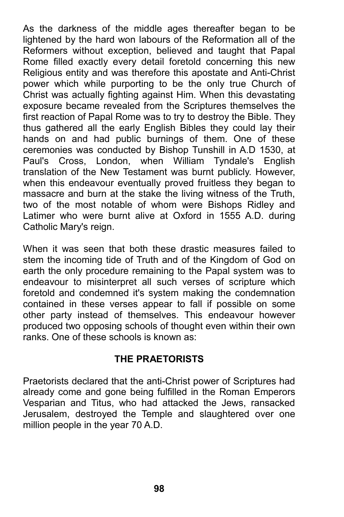As the darkness of the middle ages thereafter began to be lightened by the hard won labours of the Reformation all of the Reformers without exception, believed and taught that Papal Rome filled exactly every detail foretold concerning this new Religious entity and was therefore this apostate and Anti-Christ power which while purporting to be the only true Church of Christ was actually fighting against Him. When this devastating exposure became revealed from the Scriptures themselves the first reaction of Papal Rome was to try to destroy the Bible. They thus gathered all the early English Bibles they could lay their hands on and had public burnings of them. One of these ceremonies was conducted by Bishop Tunshill in A.D 1530, at Paul's Cross, London, when William Tyndale's English translation of the New Testament was burnt publicly. However, when this endeavour eventually proved fruitless they began to massacre and burn at the stake the living witness of the Truth, two of the most notable of whom were Bishops Ridley and Latimer who were burnt alive at Oxford in 1555 A.D. during Catholic Mary's reign.

When it was seen that both these drastic measures failed to stem the incoming tide of Truth and of the Kingdom of God on earth the only procedure remaining to the Papal system was to endeavour to misinterpret all such verses of scripture which foretold and condemned it's system making the condemnation contained in these verses appear to fall if possible on some other party instead of themselves. This endeavour however produced two opposing schools of thought even within their own ranks. One of these schools is known as:

#### **THE PRAETORISTS**

Praetorists declared that the anti-Christ power of Scriptures had already come and gone being fulfilled in the Roman Emperors Vesparian and Titus, who had attacked the Jews, ransacked Jerusalem, destroyed the Temple and slaughtered over one million people in the year 70 A.D.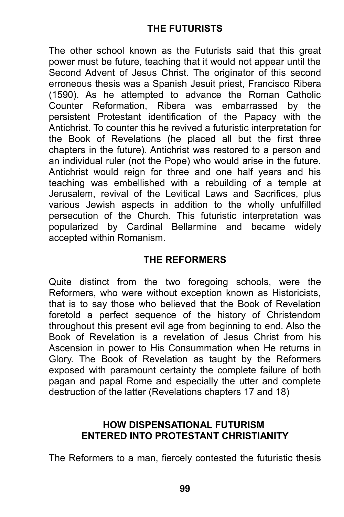The other school known as the Futurists said that this great power must be future, teaching that it would not appear until the Second Advent of Jesus Christ. The originator of this second erroneous thesis was a Spanish Jesuit priest, Francisco Ribera (1590). As he attempted to advance the Roman Catholic Counter Reformation, Ribera was embarrassed by the persistent Protestant identification of the Papacy with the Antichrist. To counter this he revived a futuristic interpretation for the Book of Revelations (he placed all but the first three chapters in the future). Antichrist was restored to a person and an individual ruler (not the Pope) who would arise in the future. Antichrist would reign for three and one half years and his teaching was embellished with a rebuilding of a temple at Jerusalem, revival of the Levitical Laws and Sacrifices, plus various Jewish aspects in addition to the wholly unfulfilled persecution of the Church. This futuristic interpretation was popularized by Cardinal Bellarmine and became widely accepted within Romanism.

#### **THE REFORMERS**

Quite distinct from the two foregoing schools, were the Reformers, who were without exception known as Historicists, that is to say those who believed that the Book of Revelation foretold a perfect sequence of the history of Christendom throughout this present evil age from beginning to end. Also the Book of Revelation is a revelation of Jesus Christ from his Ascension in power to His Consummation when He returns in Glory. The Book of Revelation as taught by the Reformers exposed with paramount certainty the complete failure of both pagan and papal Rome and especially the utter and complete destruction of the latter (Revelations chapters 17 and 18)

#### **HOW DISPENSATIONAL FUTURISM ENTERED INTO PROTESTANT CHRISTIANITY**

The Reformers to a man, fiercely contested the futuristic thesis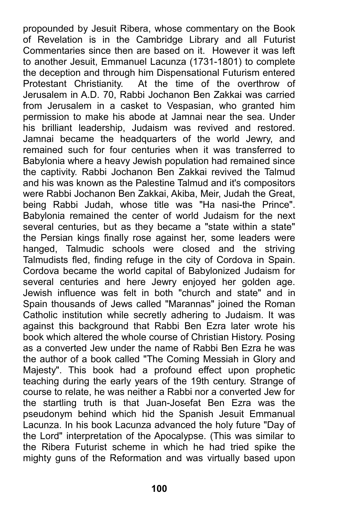propounded by Jesuit Ribera, whose commentary on the Book of Revelation is in the Cambridge Library and all Futurist Commentaries since then are based on it. However it was left to another Jesuit, Emmanuel Lacunza (1731-1801) to complete the deception and through him Dispensational Futurism entered Protestant Christianity. At the time of the overthrow of Jerusalem in A.D. 70, Rabbi Jochanon Ben Zakkai was carried from Jerusalem in a casket to Vespasian, who granted him permission to make his abode at Jamnai near the sea. Under his brilliant leadership, Judaism was revived and restored. Jamnai became the headquarters of the world Jewry, and remained such for four centuries when it was transferred to Babylonia where a heavy Jewish population had remained since the captivity. Rabbi Jochanon Ben Zakkai revived the Talmud and his was known as the Palestine Talmud and it's compositors were Rabbi Jochanon Ben Zakkai, Akiba, Meir, Judah the Great, being Rabbi Judah, whose title was "Ha nasi-the Prince". Babylonia remained the center of world Judaism for the next several centuries, but as they became a "state within a state" the Persian kings finally rose against her, some leaders were hanged, Talmudic schools were closed and the striving Talmudists fled, finding refuge in the city of Cordova in Spain. Cordova became the world capital of Babylonized Judaism for several centuries and here Jewry enjoyed her golden age. Jewish influence was felt in both "church and state" and in Spain thousands of Jews called "Marannas" joined the Roman Catholic institution while secretly adhering to Judaism. It was against this background that Rabbi Ben Ezra later wrote his book which altered the whole course of Christian History. Posing as a converted Jew under the name of Rabbi Ben Ezra he was the author of a book called "The Coming Messiah in Glory and Majesty". This book had a profound effect upon prophetic teaching during the early years of the 19th century. Strange of course to relate, he was neither a Rabbi nor a converted Jew for the startling truth is that Juan-Josefat Ben Ezra was the pseudonym behind which hid the Spanish Jesuit Emmanual Lacunza. In his book Lacunza advanced the holy future "Day of the Lord" interpretation of the Apocalypse. (This was similar to the Ribera Futurist scheme in which he had tried spike the mighty guns of the Reformation and was virtually based upon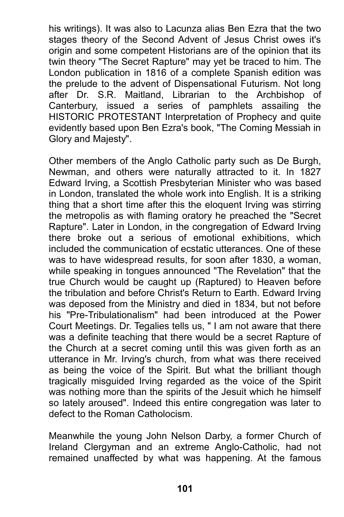his writings). It was also to Lacunza alias Ben Ezra that the two stages theory of the Second Advent of Jesus Christ owes it's origin and some competent Historians are of the opinion that its twin theory "The Secret Rapture" may yet be traced to him. The London publication in 1816 of a complete Spanish edition was the prelude to the advent of Dispensational Futurism. Not long after Dr. S.R. Maitland, Librarian to the Archbishop of Canterbury, issued a series of pamphlets assailing the HISTORIC PROTESTANT Interpretation of Prophecy and quite evidently based upon Ben Ezra's book, "The Coming Messiah in Glory and Majesty".

Other members of the Anglo Catholic party such as De Burgh, Newman, and others were naturally attracted to it. In 1827 Edward Irving, a Scottish Presbyterian Minister who was based in London, translated the whole work into English. It is a striking thing that a short time after this the eloquent Irving was stirring the metropolis as with flaming oratory he preached the "Secret Rapture". Later in London, in the congregation of Edward Irving there broke out a serious of emotional exhibitions, which included the communication of ecstatic utterances. One of these was to have widespread results, for soon after 1830, a woman, while speaking in tongues announced "The Revelation" that the true Church would be caught up (Raptured) to Heaven before the tribulation and before Christ's Return to Earth. Edward Irving was deposed from the Ministry and died in 1834, but not before his "Pre-Tribulationalism" had been introduced at the Power Court Meetings. Dr. Tegalies tells us, " I am not aware that there was a definite teaching that there would be a secret Rapture of the Church at a secret coming until this was given forth as an utterance in Mr. Irving's church, from what was there received as being the voice of the Spirit. But what the brilliant though tragically misguided Irving regarded as the voice of the Spirit was nothing more than the spirits of the Jesuit which he himself so lately aroused". Indeed this entire congregation was later to defect to the Roman Catholocism.

Meanwhile the young John Nelson Darby, a former Church of Ireland Clergyman and an extreme Anglo-Catholic, had not remained unaffected by what was happening. At the famous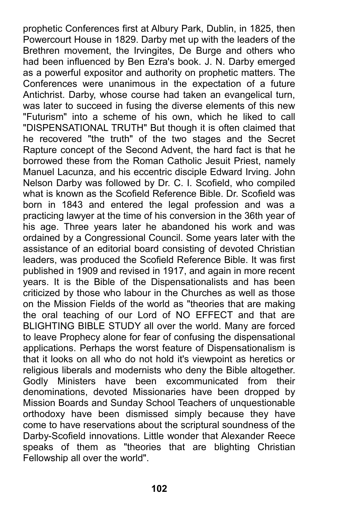prophetic Conferences first at Albury Park, Dublin, in 1825, then Powercourt House in 1829. Darby met up with the leaders of the Brethren movement, the Irvingites, De Burge and others who had been influenced by Ben Ezra's book. J. N. Darby emerged as a powerful expositor and authority on prophetic matters. The Conferences were unanimous in the expectation of a future Antichrist. Darby, whose course had taken an evangelical turn, was later to succeed in fusing the diverse elements of this new "Futurism" into a scheme of his own, which he liked to call "DISPENSATIONAL TRUTH" But though it is often claimed that he recovered "the truth" of the two stages and the Secret Rapture concept of the Second Advent, the hard fact is that he borrowed these from the Roman Catholic Jesuit Priest, namely Manuel Lacunza, and his eccentric disciple Edward Irving. John Nelson Darby was followed by Dr. C. I. Scofield, who compiled what is known as the Scofield Reference Bible. Dr. Scofield was born in 1843 and entered the legal profession and was a practicing lawyer at the time of his conversion in the 36th year of his age. Three years later he abandoned his work and was ordained by a Congressional Council. Some years later with the assistance of an editorial board consisting of devoted Christian leaders, was produced the Scofield Reference Bible. It was first published in 1909 and revised in 1917, and again in more recent years. It is the Bible of the Dispensationalists and has been criticized by those who labour in the Churches as well as those on the Mission Fields of the world as "theories that are making the oral teaching of our Lord of NO EFFECT and that are BLIGHTING BIBLE STUDY all over the world. Many are forced to leave Prophecy alone for fear of confusing the dispensational applications. Perhaps the worst feature of Dispensationalism is that it looks on all who do not hold it's viewpoint as heretics or religious liberals and modernists who deny the Bible altogether. Godly Ministers have been excommunicated from their denominations, devoted Missionaries have been dropped by Mission Boards and Sunday School Teachers of unquestionable orthodoxy have been dismissed simply because they have come to have reservations about the scriptural soundness of the Darby-Scofield innovations. Little wonder that Alexander Reece speaks of them as "theories that are blighting Christian Fellowship all over the world".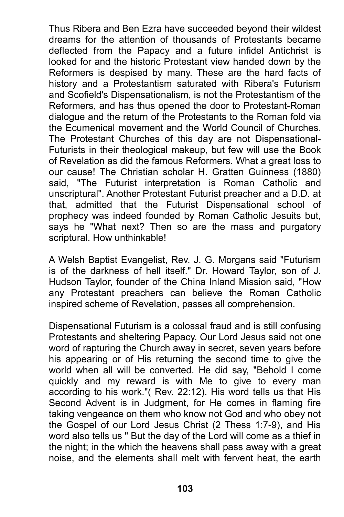Thus Ribera and Ben Ezra have succeeded beyond their wildest dreams for the attention of thousands of Protestants became deflected from the Papacy and a future infidel Antichrist is looked for and the historic Protestant view handed down by the Reformers is despised by many. These are the hard facts of history and a Protestantism saturated with Ribera's Futurism and Scofield's Dispensationalism, is not the Protestantism of the Reformers, and has thus opened the door to Protestant-Roman dialogue and the return of the Protestants to the Roman fold via the Ecumenical movement and the World Council of Churches. The Protestant Churches of this day are not Dispensational-Futurists in their theological makeup, but few will use the Book of Revelation as did the famous Reformers. What a great loss to our cause! The Christian scholar H. Gratten Guinness (1880) said, "The Futurist interpretation is Roman Catholic and unscriptural". Another Protestant Futurist preacher and a D.D. at that, admitted that the Futurist Dispensational school of prophecy was indeed founded by Roman Catholic Jesuits but, says he "What next? Then so are the mass and purgatory scriptural. How unthinkable!

A Welsh Baptist Evangelist, Rev. J. G. Morgans said "Futurism is of the darkness of hell itself." Dr. Howard Taylor, son of J. Hudson Taylor, founder of the China Inland Mission said, "How any Protestant preachers can believe the Roman Catholic inspired scheme of Revelation, passes all comprehension.

Dispensational Futurism is a colossal fraud and is still confusing Protestants and sheltering Papacy. Our Lord Jesus said not one word of rapturing the Church away in secret, seven years before his appearing or of His returning the second time to give the world when all will be converted. He did say, "Behold I come quickly and my reward is with Me to give to every man according to his work."( Rev. 22:12). His word tells us that His Second Advent is in Judgment, for He comes in flaming fire taking vengeance on them who know not God and who obey not the Gospel of our Lord Jesus Christ (2 Thess 1:7-9), and His word also tells us " But the day of the Lord will come as a thief in the night; in the which the heavens shall pass away with a great noise, and the elements shall melt with fervent heat, the earth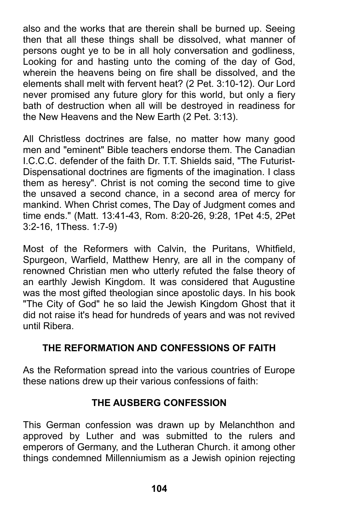also and the works that are therein shall be burned up. Seeing then that all these things shall be dissolved, what manner of persons ought ye to be in all holy conversation and godliness, Looking for and hasting unto the coming of the day of God, wherein the heavens being on fire shall be dissolved, and the elements shall melt with fervent heat? (2 Pet. 3:10-12). Our Lord never promised any future glory for this world, but only a fiery bath of destruction when all will be destroyed in readiness for the New Heavens and the New Earth (2 Pet. 3:13).

All Christless doctrines are false, no matter how many good men and "eminent" Bible teachers endorse them. The Canadian I.C.C.C. defender of the faith Dr. T.T. Shields said, "The Futurist-Dispensational doctrines are figments of the imagination. I class them as heresy". Christ is not coming the second time to give the unsaved a second chance, in a second area of mercy for mankind. When Christ comes, The Day of Judgment comes and time ends." (Matt. 13:41-43, Rom. 8:20-26, 9:28, 1Pet 4:5, 2Pet 3:2-16, 1Thess. 1:7-9)

Most of the Reformers with Calvin, the Puritans, Whitfield, Spurgeon, Warfield, Matthew Henry, are all in the company of renowned Christian men who utterly refuted the false theory of an earthly Jewish Kingdom. It was considered that Augustine was the most gifted theologian since apostolic days. In his book "The City of God" he so laid the Jewish Kingdom Ghost that it did not raise it's head for hundreds of years and was not revived until Ribera.

### **THE REFORMATION AND CONFESSIONS OF FAITH**

As the Reformation spread into the various countries of Europe these nations drew up their various confessions of faith:

### **THE AUSBERG CONFESSION**

This German confession was drawn up by Melanchthon and approved by Luther and was submitted to the rulers and emperors of Germany, and the Lutheran Church. it among other things condemned Millenniumism as a Jewish opinion rejecting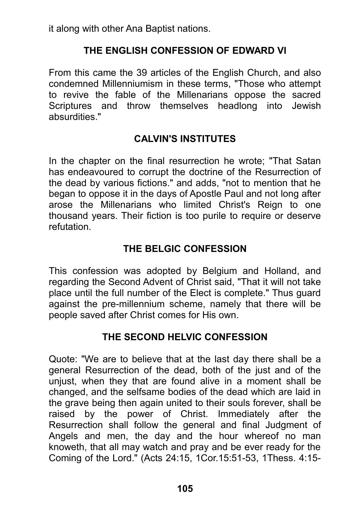it along with other Ana Baptist nations.

### **THE ENGLISH CONFESSION OF EDWARD VI**

From this came the 39 articles of the English Church, and also condemned Millenniumism in these terms, "Those who attempt to revive the fable of the Millenarians oppose the sacred Scriptures and throw themselves headlong into Jewish absurdities."

#### **CALVIN'S INSTITUTES**

In the chapter on the final resurrection he wrote; "That Satan has endeavoured to corrupt the doctrine of the Resurrection of the dead by various fictions." and adds, "not to mention that he began to oppose it in the days of Apostle Paul and not long after arose the Millenarians who limited Christ's Reign to one thousand years. Their fiction is too purile to require or deserve refutation.

### **THE BELGIC CONFESSION**

This confession was adopted by Belgium and Holland, and regarding the Second Advent of Christ said, "That it will not take place until the full number of the Elect is complete." Thus guard against the pre-millennium scheme, namely that there will be people saved after Christ comes for His own.

### **THE SECOND HELVIC CONFESSION**

Quote: "We are to believe that at the last day there shall be a general Resurrection of the dead, both of the just and of the unjust, when they that are found alive in a moment shall be changed, and the selfsame bodies of the dead which are laid in the grave being then again united to their souls forever, shall be raised by the power of Christ. Immediately after the Resurrection shall follow the general and final Judgment of Angels and men, the day and the hour whereof no man knoweth, that all may watch and pray and be ever ready for the Coming of the Lord." (Acts 24:15, 1Cor.15:51-53, 1Thess. 4:15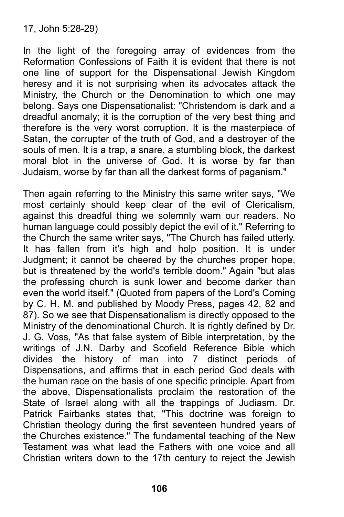17, John 5:28-29)

In the light of the foregoing array of evidences from the Reformation Confessions of Faith it is evident that there is not one line of support for the Dispensational Jewish Kingdom heresy and it is not surprising when its advocates attack the Ministry, the Church or the Denomination to which one may belong. Says one Dispensationalist: "Christendom is dark and a dreadful anomaly; it is the corruption of the very best thing and therefore is the very worst corruption. It is the masterpiece of Satan, the corrupter of the truth of God, and a destroyer of the souls of men. It is a trap, a snare, a stumbling block, the darkest moral blot in the universe of God. It is worse by far than Judaism, worse by far than all the darkest forms of paganism."

Then again referring to the Ministry this same writer says, "We most certainly should keep clear of the evil of Clericalism, against this dreadful thing we solemnly warn our readers. No human language could possibly depict the evil of it." Referring to the Church the same writer says, "The Church has failed utterly. It has fallen from it's high and holp position. It is under Judgment; it cannot be cheered by the churches proper hope, but is threatened by the world's terrible doom." Again "but alas the professing church is sunk lower and become darker than even the world itself." (Quoted from papers of the Lord's Coming by C. H. M. and published by Moody Press, pages 42, 82 and 87). So we see that Dispensationalism is directly opposed to the Ministry of the denominational Church. It is rightly defined by Dr. J. G. Voss, "As that false system of Bible interpretation, by the writings of J.N. Darby and Scofield Reference Bible which divides the history of man into 7 distinct periods of Dispensations, and affirms that in each period God deals with the human race on the basis of one specific principle. Apart from the above, Dispensationalists proclaim the restoration of the State of Israel along with all the trappings of Judiasm. Dr. Patrick Fairbanks states that, "This doctrine was foreign to Christian theology during the first seventeen hundred years of the Churches existence." The fundamental teaching of the New Testament was what lead the Fathers with one voice and all Christian writers down to the 17th century to reject the Jewish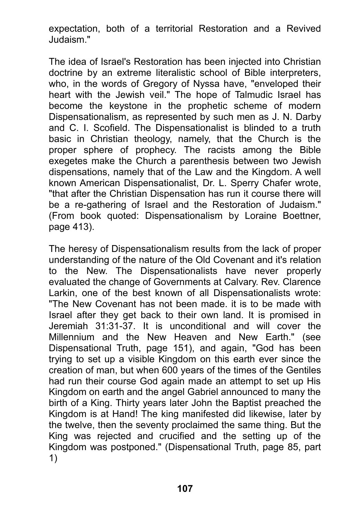expectation, both of a territorial Restoration and a Revived Judaism."

The idea of Israel's Restoration has been injected into Christian doctrine by an extreme literalistic school of Bible interpreters, who, in the words of Gregory of Nyssa have, "enveloped their heart with the Jewish veil." The hope of Talmudic Israel has become the keystone in the prophetic scheme of modern Dispensationalism, as represented by such men as J. N. Darby and C. I. Scofield. The Dispensationalist is blinded to a truth basic in Christian theology, namely, that the Church is the proper sphere of prophecy. The racists among the Bible exegetes make the Church a parenthesis between two Jewish dispensations, namely that of the Law and the Kingdom. A well known American Dispensationalist, Dr. L. Sperry Chafer wrote, "that after the Christian Dispensation has run it course there will be a re-gathering of Israel and the Restoration of Judaism." (From book quoted: Dispensationalism by Loraine Boettner, page 413).

The heresy of Dispensationalism results from the lack of proper understanding of the nature of the Old Covenant and it's relation to the New. The Dispensationalists have never properly evaluated the change of Governments at Calvary. Rev. Clarence Larkin, one of the best known of all Dispensationalists wrote: "The New Covenant has not been made. it is to be made with Israel after they get back to their own land. It is promised in Jeremiah 31:31-37. It is unconditional and will cover the Millennium and the New Heaven and New Earth." (see Dispensational Truth, page 151), and again, "God has been trying to set up a visible Kingdom on this earth ever since the creation of man, but when 600 years of the times of the Gentiles had run their course God again made an attempt to set up His Kingdom on earth and the angel Gabriel announced to many the birth of a King. Thirty years later John the Baptist preached the Kingdom is at Hand! The king manifested did likewise, later by the twelve, then the seventy proclaimed the same thing. But the King was rejected and crucified and the setting up of the Kingdom was postponed." (Dispensational Truth, page 85, part 1)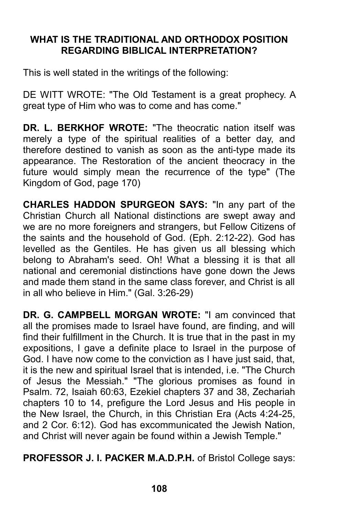#### **WHAT IS THE TRADITIONAL AND ORTHODOX POSITION REGARDING BIBLICAL INTERPRETATION?**

This is well stated in the writings of the following:

DE WITT WROTE: "The Old Testament is a great prophecy. A great type of Him who was to come and has come."

**DR. L. BERKHOF WROTE:** "The theocratic nation itself was merely a type of the spiritual realities of a better day, and therefore destined to vanish as soon as the anti-type made its appearance. The Restoration of the ancient theocracy in the future would simply mean the recurrence of the type" (The Kingdom of God, page 170)

**CHARLES HADDON SPURGEON SAYS:** "In any part of the Christian Church all National distinctions are swept away and we are no more foreigners and strangers, but Fellow Citizens of the saints and the household of God. (Eph. 2:12-22). God has levelled as the Gentiles. He has given us all blessing which belong to Abraham's seed. Oh! What a blessing it is that all national and ceremonial distinctions have gone down the Jews and made them stand in the same class forever, and Christ is all in all who believe in Him." (Gal. 3:26-29)

**DR. G. CAMPBELL MORGAN WROTE:** "I am convinced that all the promises made to Israel have found, are finding, and will find their fulfillment in the Church. It is true that in the past in my expositions, I gave a definite place to Israel in the purpose of God. I have now come to the conviction as I have just said, that, it is the new and spiritual Israel that is intended, i.e. "The Church of Jesus the Messiah." "The glorious promises as found in Psalm. 72, Isaiah 60:63, Ezekiel chapters 37 and 38, Zechariah chapters 10 to 14, prefigure the Lord Jesus and His people in the New Israel, the Church, in this Christian Era (Acts 4:24-25, and 2 Cor. 6:12). God has excommunicated the Jewish Nation, and Christ will never again be found within a Jewish Temple."

**PROFESSOR J. I. PACKER M.A.D.P.H.** of Bristol College says: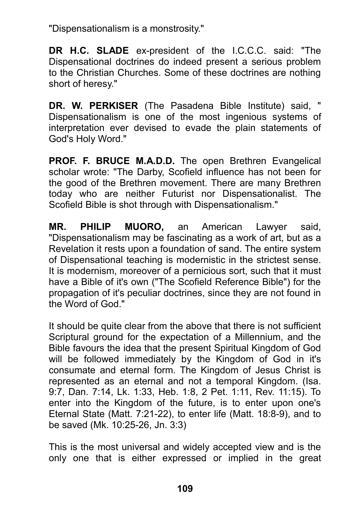"Dispensationalism is a monstrosity."

**DR H.C. SLADE** ex-president of the I.C.C.C. said: "The Dispensational doctrines do indeed present a serious problem to the Christian Churches. Some of these doctrines are nothing short of heresy."

**DR. W. PERKISER** (The Pasadena Bible Institute) said, " Dispensationalism is one of the most ingenious systems of interpretation ever devised to evade the plain statements of God's Holy Word."

**PROF. F. BRUCE M.A.D.D.** The open Brethren Evangelical scholar wrote: "The Darby, Scofield influence has not been for the good of the Brethren movement. There are many Brethren today who are neither Futurist nor Dispensationalist. The Scofield Bible is shot through with Dispensationalism."

**MR. PHILIP MUORO,** an American Lawyer said, "Dispensationalism may be fascinating as a work of art, but as a Revelation it rests upon a foundation of sand. The entire system of Dispensational teaching is modernistic in the strictest sense. It is modernism, moreover of a pernicious sort, such that it must have a Bible of it's own ("The Scofield Reference Bible") for the propagation of it's peculiar doctrines, since they are not found in the Word of God."

It should be quite clear from the above that there is not sufficient Scriptural ground for the expectation of a Millennium, and the Bible favours the idea that the present Spiritual Kingdom of God will be followed immediately by the Kingdom of God in it's consumate and eternal form. The Kingdom of Jesus Christ is represented as an eternal and not a temporal Kingdom. (Isa. 9:7, Dan. 7:14, Lk. 1:33, Heb. 1:8, 2 Pet. 1:11, Rev. 11:15). To enter into the Kingdom of the future, is to enter upon one's Eternal State (Matt. 7:21-22), to enter life (Matt. 18:8-9), and to be saved (Mk. 10:25-26, Jn. 3:3)

This is the most universal and widely accepted view and is the only one that is either expressed or implied in the great